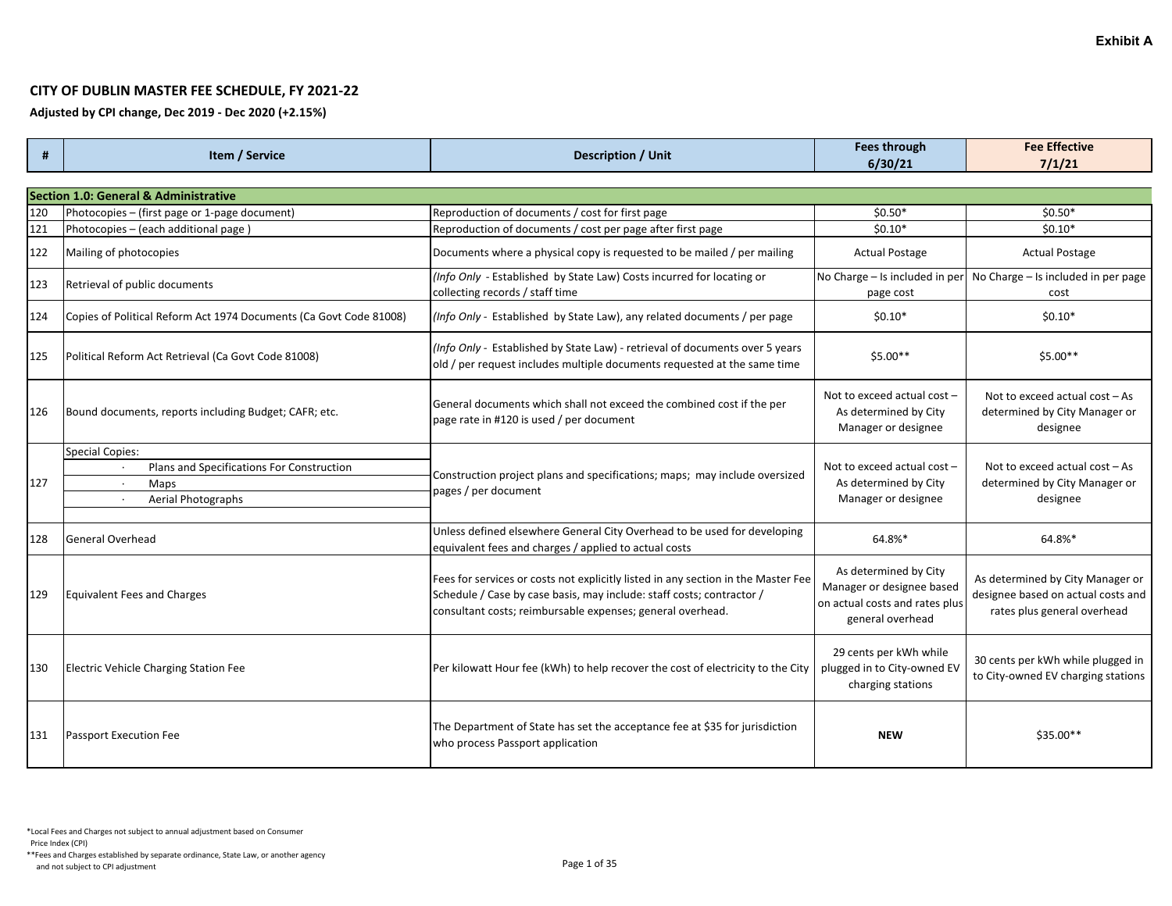## **CITY OF DUBLIN MASTER FEE SCHEDULE, FY 2021-22**

**Adjusted by CPI change, Dec 2019 - Dec 2020 (+2.15%)**

| #   | Item / Service                                                     | <b>Description / Unit</b>                                                                                                                                                                                                | Fees through                                                                                             | <b>Fee Effective</b>                                                                                  |
|-----|--------------------------------------------------------------------|--------------------------------------------------------------------------------------------------------------------------------------------------------------------------------------------------------------------------|----------------------------------------------------------------------------------------------------------|-------------------------------------------------------------------------------------------------------|
|     |                                                                    |                                                                                                                                                                                                                          | 6/30/21                                                                                                  | 7/1/21                                                                                                |
|     |                                                                    |                                                                                                                                                                                                                          |                                                                                                          |                                                                                                       |
|     | <b>Section 1.0: General &amp; Administrative</b>                   |                                                                                                                                                                                                                          |                                                                                                          |                                                                                                       |
| 120 | Photocopies - (first page or 1-page document)                      | Reproduction of documents / cost for first page                                                                                                                                                                          | $$0.50*$                                                                                                 | $$0.50*$                                                                                              |
| 121 | Photocopies - (each additional page)                               | Reproduction of documents / cost per page after first page                                                                                                                                                               | $$0.10*$                                                                                                 | $$0.10*$                                                                                              |
| 122 | Mailing of photocopies                                             | Documents where a physical copy is requested to be mailed / per mailing                                                                                                                                                  | <b>Actual Postage</b>                                                                                    | <b>Actual Postage</b>                                                                                 |
| 123 | Retrieval of public documents                                      | (Info Only - Established by State Law) Costs incurred for locating or<br>collecting records / staff time                                                                                                                 | page cost                                                                                                | No Charge – Is included in per $\vert$ No Charge – Is included in per page<br>cost                    |
| 124 | Copies of Political Reform Act 1974 Documents (Ca Govt Code 81008) | (Info Only - Established by State Law), any related documents / per page                                                                                                                                                 | $$0.10*$                                                                                                 | $$0.10*$                                                                                              |
| 125 | Political Reform Act Retrieval (Ca Govt Code 81008)                | (Info Only - Established by State Law) - retrieval of documents over 5 years<br>old / per request includes multiple documents requested at the same time                                                                 | $$5.00**$                                                                                                | $$5.00**$                                                                                             |
| 126 | Bound documents, reports including Budget; CAFR; etc.              | General documents which shall not exceed the combined cost if the per<br>page rate in #120 is used / per document                                                                                                        | Not to exceed actual cost -<br>As determined by City<br>Manager or designee                              | Not to exceed actual cost - As<br>determined by City Manager or<br>designee                           |
|     | <b>Special Copies:</b>                                             | Construction project plans and specifications; maps; may include oversized                                                                                                                                               |                                                                                                          |                                                                                                       |
|     | Plans and Specifications For Construction<br>$\cdot$               |                                                                                                                                                                                                                          | Not to exceed actual cost -                                                                              | Not to exceed actual cost - As                                                                        |
| 127 | Maps<br>$\cdot$                                                    | pages / per document                                                                                                                                                                                                     | As determined by City                                                                                    | determined by City Manager or                                                                         |
|     | Aerial Photographs                                                 |                                                                                                                                                                                                                          | Manager or designee                                                                                      | designee                                                                                              |
| 128 | <b>General Overhead</b>                                            | Unless defined elsewhere General City Overhead to be used for developing<br>equivalent fees and charges / applied to actual costs                                                                                        | 64.8%*                                                                                                   | 64.8%*                                                                                                |
| 129 | <b>Equivalent Fees and Charges</b>                                 | Fees for services or costs not explicitly listed in any section in the Master Fee<br>Schedule / Case by case basis, may include: staff costs; contractor /<br>consultant costs; reimbursable expenses; general overhead. | As determined by City<br>Manager or designee based<br>on actual costs and rates plus<br>general overhead | As determined by City Manager or<br>designee based on actual costs and<br>rates plus general overhead |
| 130 | Electric Vehicle Charging Station Fee                              | Per kilowatt Hour fee (kWh) to help recover the cost of electricity to the City                                                                                                                                          | 29 cents per kWh while<br>plugged in to City-owned EV<br>charging stations                               | 30 cents per kWh while plugged in<br>to City-owned EV charging stations                               |
| 131 | <b>Passport Execution Fee</b>                                      | The Department of State has set the acceptance fee at \$35 for jurisdiction<br>who process Passport application                                                                                                          | <b>NEW</b>                                                                                               | $$35.00**$                                                                                            |

**Exhibit A**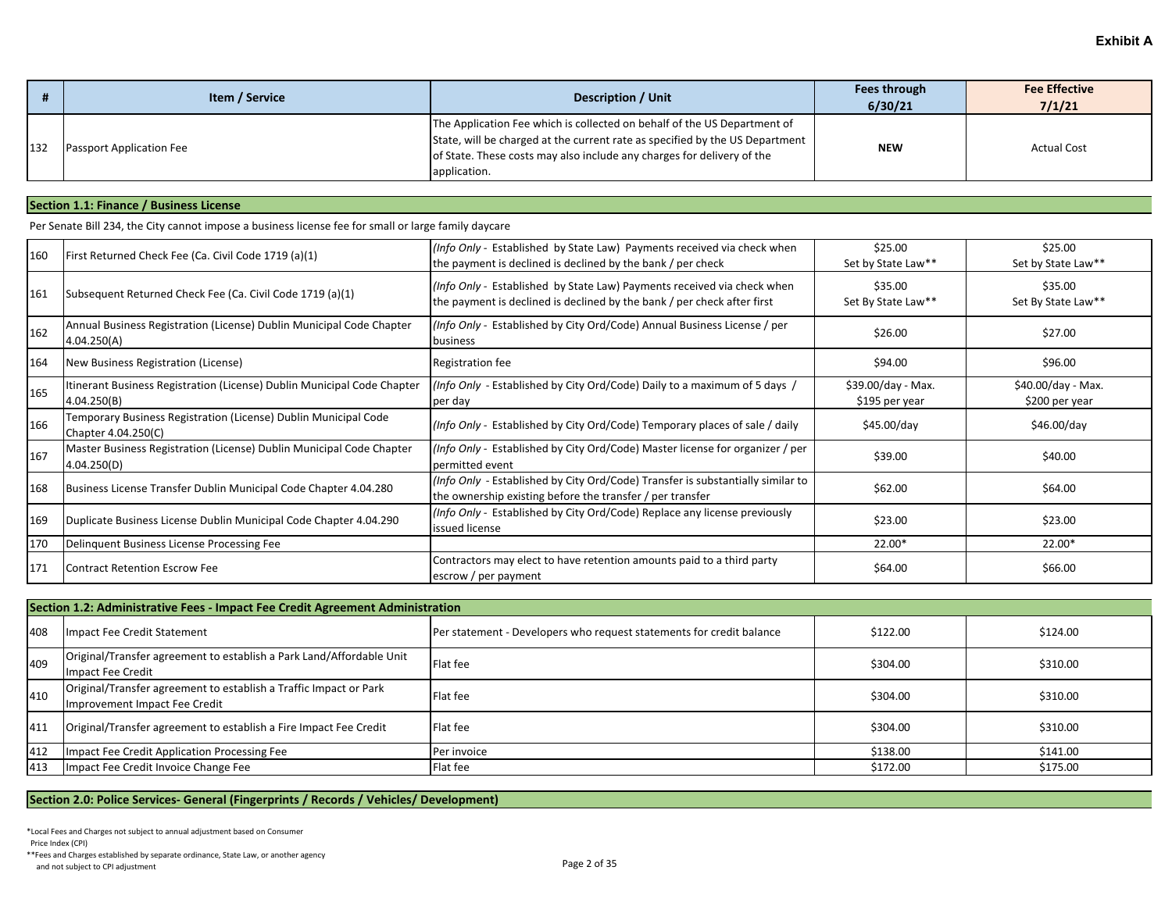|     | Item / Service                  | <b>Description / Unit</b>                                                                                                                                                                                                                          | Fees through<br>6/30/21 | <b>Fee Effective</b><br>7/1/21 |
|-----|---------------------------------|----------------------------------------------------------------------------------------------------------------------------------------------------------------------------------------------------------------------------------------------------|-------------------------|--------------------------------|
| 132 | <b>Passport Application Fee</b> | The Application Fee which is collected on behalf of the US Department of<br>State, will be charged at the current rate as specified by the US Department<br>of State. These costs may also include any charges for delivery of the<br>application. | <b>NEW</b>              | <b>Actual Cost</b>             |

### **Section 1.1: Finance / Business License**

Per Senate Bill 234, the City cannot impose a business license fee for small or large family daycare

| 160 | First Returned Check Fee (Ca. Civil Code 1719 (a)(1)                                   | (Info Only - Established by State Law) Payments received via check when<br>the payment is declined is declined by the bank / per check              | \$25.00<br>Set by State Law**         | \$25.00<br>Set by State Law**        |
|-----|----------------------------------------------------------------------------------------|-----------------------------------------------------------------------------------------------------------------------------------------------------|---------------------------------------|--------------------------------------|
| 161 | Subsequent Returned Check Fee (Ca. Civil Code 1719 (a)(1)                              | (Info Only - Established by State Law) Payments received via check when<br>the payment is declined is declined by the bank / per check after first  | \$35.00<br>Set By State Law**         | \$35.00<br>Set By State Law**        |
| 162 | Annual Business Registration (License) Dublin Municipal Code Chapter<br>4.04.250(A)    | (Info Only - Established by City Ord/Code) Annual Business License / per<br>business                                                                | \$26.00                               | \$27.00                              |
| 164 | New Business Registration (License)                                                    | Registration fee                                                                                                                                    | \$94.00                               | \$96.00                              |
| 165 | Itinerant Business Registration (License) Dublin Municipal Code Chapter<br>4.04.250(B) | (Info Only - Established by City Ord/Code) Daily to a maximum of 5 days /<br>per day                                                                | $$39.00/day - Max.$<br>\$195 per year | \$40.00/day - Max.<br>\$200 per year |
| 166 | Temporary Business Registration (License) Dublin Municipal Code<br>Chapter 4.04.250(C) | (Info Only - Established by City Ord/Code) Temporary places of sale / daily                                                                         | \$45.00/day                           | \$46.00/day                          |
| 167 | Master Business Registration (License) Dublin Municipal Code Chapter<br>4.04.250(D)    | (Info Only - Established by City Ord/Code) Master license for organizer / per<br>permitted event                                                    | \$39.00                               | \$40.00                              |
| 168 | Business License Transfer Dublin Municipal Code Chapter 4.04.280                       | <i>(Info Only - Established by City Ord/Code) Transfer is substantially similar to</i><br>the ownership existing before the transfer / per transfer | \$62.00                               | \$64.00                              |
| 169 | Duplicate Business License Dublin Municipal Code Chapter 4.04.290                      | (Info Only - Established by City Ord/Code) Replace any license previously<br>issued license                                                         | \$23.00                               | \$23.00                              |
| 170 | Delinquent Business License Processing Fee                                             |                                                                                                                                                     | 22.00*                                | 22.00*                               |
| 171 | <b>Contract Retention Escrow Fee</b>                                                   | Contractors may elect to have retention amounts paid to a third party<br>escrow / per payment                                                       | \$64.00                               | \$66.00                              |

|     | Section 1.2: Administrative Fees - Impact Fee Credit Agreement Administration                      |                                                                      |          |          |  |
|-----|----------------------------------------------------------------------------------------------------|----------------------------------------------------------------------|----------|----------|--|
| 408 | Impact Fee Credit Statement                                                                        | Per statement - Developers who request statements for credit balance | \$122.00 | \$124.00 |  |
| 409 | Original/Transfer agreement to establish a Park Land/Affordable Unit<br>Impact Fee Credit          | Flat fee                                                             | \$304.00 | \$310.00 |  |
| 410 | Original/Transfer agreement to establish a Traffic Impact or Park<br>Improvement Impact Fee Credit | Flat fee                                                             | \$304.00 | \$310.00 |  |
| 411 | Original/Transfer agreement to establish a Fire Impact Fee Credit                                  | Flat fee                                                             | \$304.00 | \$310.00 |  |
| 412 | <b>Impact Fee Credit Application Processing Fee</b>                                                | Per invoice                                                          | \$138.00 | \$141.00 |  |
| 413 | Impact Fee Credit Invoice Change Fee                                                               | Flat fee                                                             | \$172.00 | \$175.00 |  |

### **Section 2.0: Police Services- General (Fingerprints / Records / Vehicles/ Development)**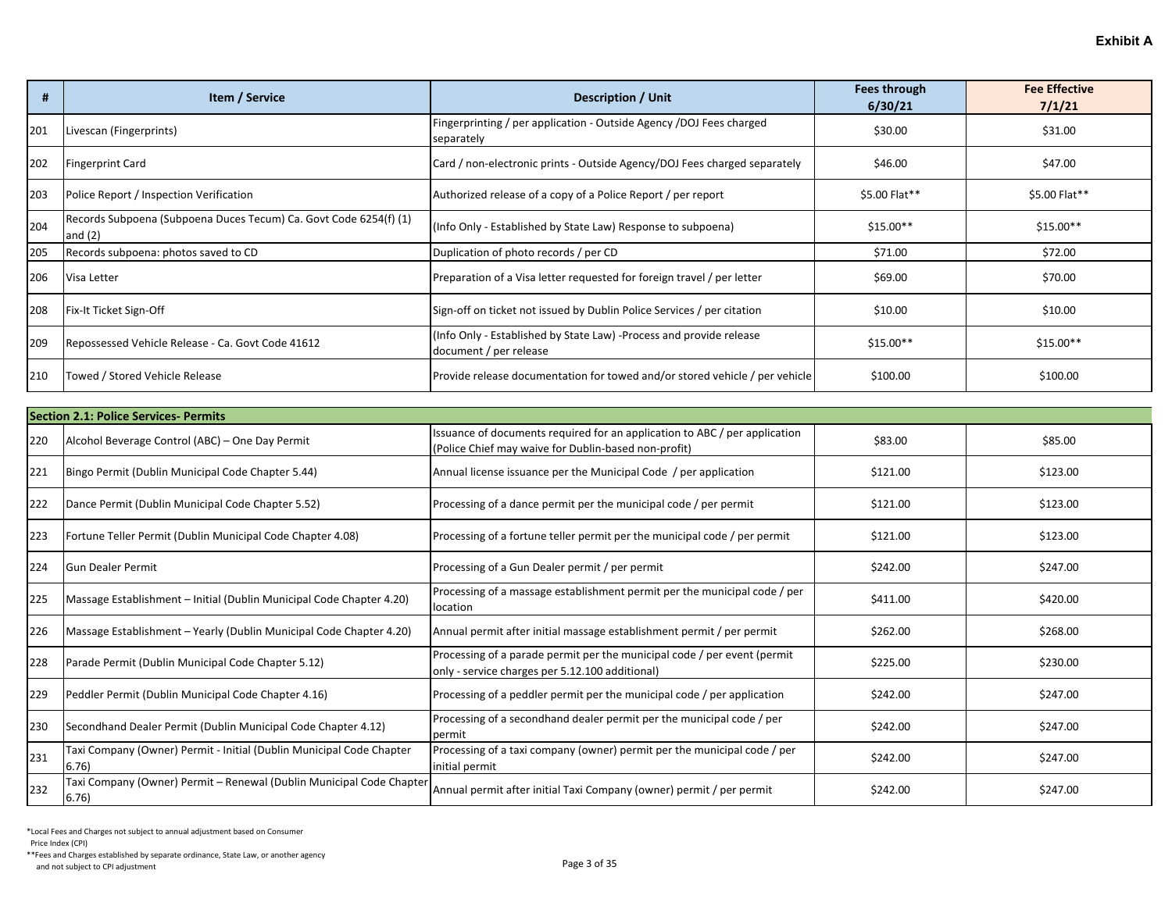|     | Item / Service                                                                 | <b>Description / Unit</b>                                                                     | <b>Fees through</b><br>6/30/21 | <b>Fee Effective</b><br>7/1/21 |
|-----|--------------------------------------------------------------------------------|-----------------------------------------------------------------------------------------------|--------------------------------|--------------------------------|
| 201 | Livescan (Fingerprints)                                                        | Fingerprinting / per application - Outside Agency /DOJ Fees charged<br>separately             | \$30.00                        | \$31.00                        |
| 202 | <b>Fingerprint Card</b>                                                        | Card / non-electronic prints - Outside Agency/DOJ Fees charged separately                     | \$46.00                        | \$47.00                        |
| 203 | Police Report / Inspection Verification                                        | Authorized release of a copy of a Police Report / per report                                  | \$5.00 Flat**                  | \$5.00 Flat**                  |
| 204 | Records Subpoena (Subpoena Duces Tecum) Ca. Govt Code 6254(f) (1)<br>and $(2)$ | (Info Only - Established by State Law) Response to subpoena)                                  | $$15.00**$                     | $$15.00**$                     |
| 205 | Records subpoena: photos saved to CD                                           | Duplication of photo records / per CD                                                         | \$71.00                        | \$72.00                        |
| 206 | Visa Letter                                                                    | Preparation of a Visa letter requested for foreign travel / per letter                        | \$69.00                        | \$70.00                        |
| 208 | Fix-It Ticket Sign-Off                                                         | Sign-off on ticket not issued by Dublin Police Services / per citation                        | \$10.00                        | \$10.00                        |
| 209 | Repossessed Vehicle Release - Ca. Govt Code 41612                              | (Info Only - Established by State Law) -Process and provide release<br>document / per release | $$15.00**$                     | $$15.00**$                     |
| 210 | Towed / Stored Vehicle Release                                                 | Provide release documentation for towed and/or stored vehicle / per vehicle                   | \$100.00                       | \$100.00                       |

|     | Section 2.1: Police Services- Permits                                         |                                                                                                                                    |          |          |  |
|-----|-------------------------------------------------------------------------------|------------------------------------------------------------------------------------------------------------------------------------|----------|----------|--|
| 220 | Alcohol Beverage Control (ABC) - One Day Permit                               | Issuance of documents required for an application to ABC / per application<br>(Police Chief may waive for Dublin-based non-profit) | \$83.00  | \$85.00  |  |
| 221 | Bingo Permit (Dublin Municipal Code Chapter 5.44)                             | Annual license issuance per the Municipal Code / per application                                                                   | \$121.00 | \$123.00 |  |
| 222 | Dance Permit (Dublin Municipal Code Chapter 5.52)                             | Processing of a dance permit per the municipal code / per permit                                                                   | \$121.00 | \$123.00 |  |
| 223 | Fortune Teller Permit (Dublin Municipal Code Chapter 4.08)                    | Processing of a fortune teller permit per the municipal code / per permit                                                          | \$121.00 | \$123.00 |  |
| 224 | <b>Gun Dealer Permit</b>                                                      | Processing of a Gun Dealer permit / per permit                                                                                     | \$242.00 | \$247.00 |  |
| 225 | Massage Establishment - Initial (Dublin Municipal Code Chapter 4.20)          | Processing of a massage establishment permit per the municipal code / per<br>location                                              | \$411.00 | \$420.00 |  |
| 226 | Massage Establishment - Yearly (Dublin Municipal Code Chapter 4.20)           | Annual permit after initial massage establishment permit / per permit                                                              | \$262.00 | \$268.00 |  |
| 228 | Parade Permit (Dublin Municipal Code Chapter 5.12)                            | Processing of a parade permit per the municipal code / per event (permit)<br>only - service charges per 5.12.100 additional)       | \$225.00 | \$230.00 |  |
| 229 | Peddler Permit (Dublin Municipal Code Chapter 4.16)                           | Processing of a peddler permit per the municipal code / per application                                                            | \$242.00 | \$247.00 |  |
| 230 | Secondhand Dealer Permit (Dublin Municipal Code Chapter 4.12)                 | Processing of a secondhand dealer permit per the municipal code / per<br>permit                                                    | \$242.00 | \$247.00 |  |
| 231 | Taxi Company (Owner) Permit - Initial (Dublin Municipal Code Chapter<br>6.76) | Processing of a taxi company (owner) permit per the municipal code / per<br>initial permit                                         | \$242.00 | \$247.00 |  |
| 232 | Taxi Company (Owner) Permit - Renewal (Dublin Municipal Code Chapter<br>6.76) | Annual permit after initial Taxi Company (owner) permit / per permit                                                               | \$242.00 | \$247.00 |  |

Price Index (CPI)

\*\*Fees and Charges established by separate ordinance, State Law, or another agency And not subject to CPI adjustment of subsequence of an anticode control of the subsequence of a subsect to CPI adjustment Page 3 of 35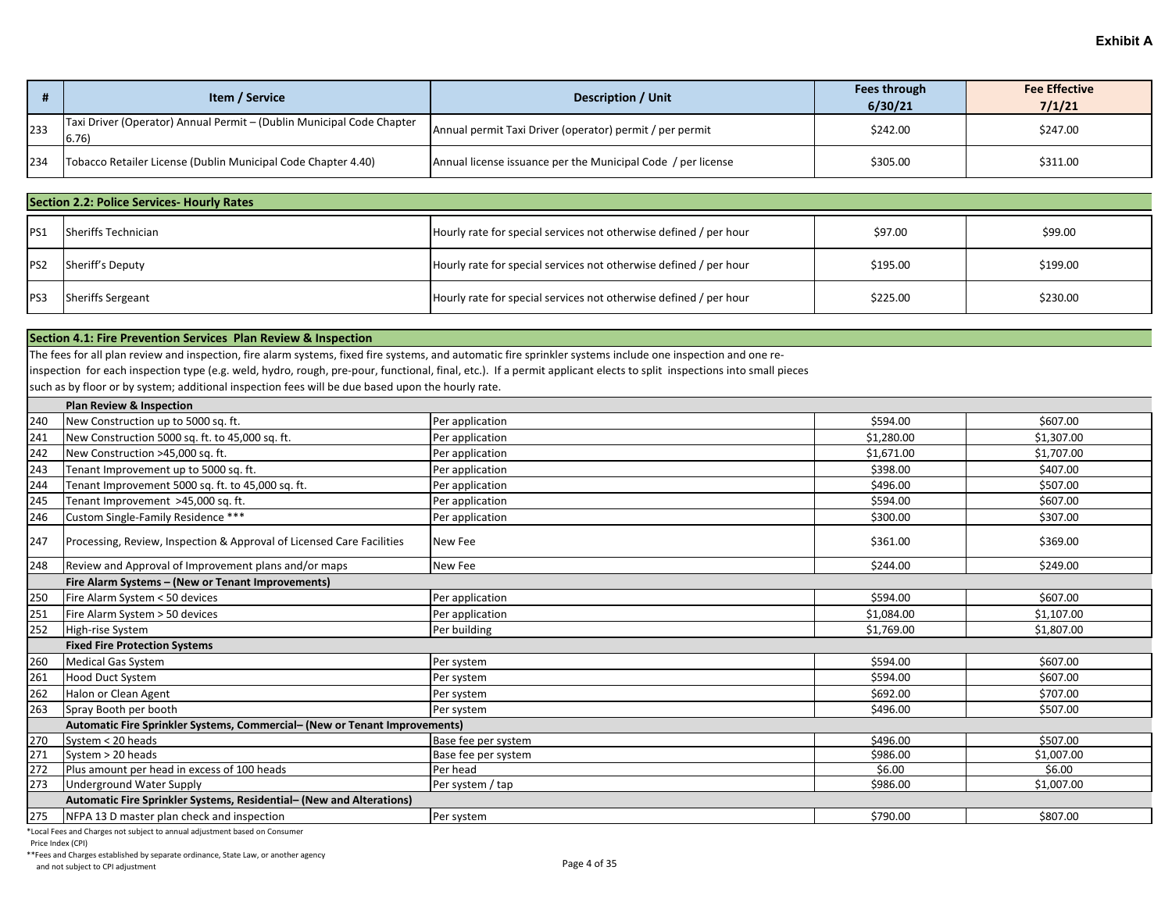|     | Item / Service                                                                 | <b>Description / Unit</b>                                    | Fees through<br>6/30/21 | <b>Fee Effective</b><br>7/1/21 |
|-----|--------------------------------------------------------------------------------|--------------------------------------------------------------|-------------------------|--------------------------------|
| 233 | Taxi Driver (Operator) Annual Permit - (Dublin Municipal Code Chapter<br>6.76) | Annual permit Taxi Driver (operator) permit / per permit     | \$242.00                | \$247.00                       |
| 234 | Tobacco Retailer License (Dublin Municipal Code Chapter 4.40)                  | Annual license issuance per the Municipal Code / per license | \$305.00                | \$311.00                       |

|                 | <b>Section 2.2: Police Services- Hourly Rates</b> |                                                                   |          |          |  |
|-----------------|---------------------------------------------------|-------------------------------------------------------------------|----------|----------|--|
| PS1             | Sheriffs Technician                               | Hourly rate for special services not otherwise defined / per hour | \$97.00  | \$99.00  |  |
| PS <sub>2</sub> | Sheriff's Deputy                                  | Hourly rate for special services not otherwise defined / per hour | \$195.00 | \$199.00 |  |
| PS <sub>3</sub> | <b>Sheriffs Sergeant</b>                          | Hourly rate for special services not otherwise defined / per hour | \$225.00 | \$230.00 |  |

### **Section 4.1: Fire Prevention Services Plan Review & Inspection**

The fees for all plan review and inspection, fire alarm systems, fixed fire systems, and automatic fire sprinkler systems include one inspection and one re-

inspection for each inspection type (e.g. weld, hydro, rough, pre-pour, functional, final, etc.). If a permit applicant elects to split inspections into small pieces

such as by floor or by system; additional inspection fees will be due based upon the hourly rate.

|     | <b>Plan Review &amp; Inspection</b>                                        |                     |            |            |
|-----|----------------------------------------------------------------------------|---------------------|------------|------------|
| 240 | New Construction up to 5000 sq. ft.                                        | Per application     | \$594.00   | \$607.00   |
| 241 | New Construction 5000 sq. ft. to 45,000 sq. ft.                            | Per application     | \$1,280.00 | \$1,307.00 |
| 242 | New Construction >45,000 sq. ft.                                           | Per application     | \$1.671.00 | \$1,707.00 |
| 243 | Tenant Improvement up to 5000 sq. ft.                                      | Per application     | \$398.00   | \$407.00   |
| 244 | Tenant Improvement 5000 sq. ft. to 45,000 sq. ft.                          | Per application     | \$496.00   | \$507.00   |
| 245 | Tenant Improvement >45,000 sq. ft.                                         | Per application     | \$594.00   | \$607.00   |
| 246 | Custom Single-Family Residence ***                                         | Per application     | \$300.00   | \$307.00   |
| 247 | Processing, Review, Inspection & Approval of Licensed Care Facilities      | New Fee             | \$361.00   | \$369.00   |
| 248 | Review and Approval of Improvement plans and/or maps                       | New Fee             | \$244.00   | \$249.00   |
|     | Fire Alarm Systems - (New or Tenant Improvements)                          |                     |            |            |
| 250 | Fire Alarm System < 50 devices                                             | Per application     | \$594.00   | \$607.00   |
| 251 | Fire Alarm System > 50 devices                                             | Per application     | \$1.084.00 | \$1.107.00 |
| 252 | High-rise System                                                           | Per building        | \$1,769.00 | \$1,807.00 |
|     | <b>Fixed Fire Protection Systems</b>                                       |                     |            |            |
| 260 | <b>Medical Gas System</b>                                                  | Per system          | \$594.00   | \$607.00   |
| 261 | Hood Duct System                                                           | Per system          | \$594.00   | \$607.00   |
| 262 | Halon or Clean Agent                                                       | Per system          | \$692.00   | \$707.00   |
| 263 | Spray Booth per booth                                                      | Per system          | \$496.00   | \$507.00   |
|     | Automatic Fire Sprinkler Systems, Commercial- (New or Tenant Improvements) |                     |            |            |
| 270 | System < 20 heads                                                          | Base fee per system | \$496.00   | \$507.00   |
| 271 | System > 20 heads                                                          | Base fee per system | \$986.00   | \$1,007.00 |
| 272 | Plus amount per head in excess of 100 heads                                | Per head            | \$6.00     | \$6.00     |
| 273 | <b>Underground Water Supply</b>                                            | Per system / tap    | \$986.00   | \$1,007.00 |
|     | Automatic Fire Sprinkler Systems, Residential- (New and Alterations)       |                     |            |            |
| 275 | NFPA 13 D master plan check and inspection                                 | Per system          | \$790.00   | \$807.00   |

\*Local Fees and Charges not subject to annual adjustment based on Consumer

Price Index (CPI)

\*\*Fees and Charges established by separate ordinance, State Law, or another agency

And not subject to CPI adjustment of subsection and not subsect to CPI adjustment Page 4 of 35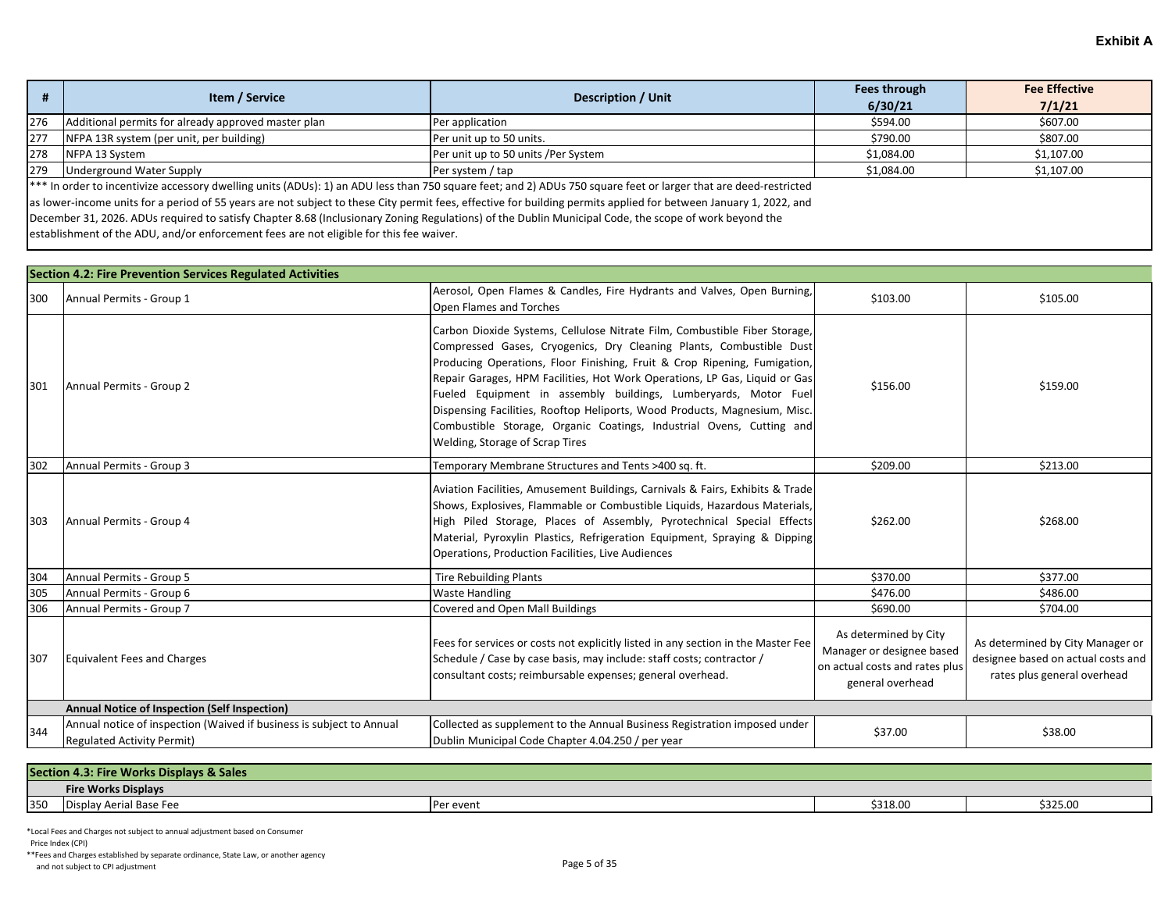|     | Item / Service                                                                                                                                                   | Description / Unit                  | Fees through | <b>Fee Effective</b> |  |
|-----|------------------------------------------------------------------------------------------------------------------------------------------------------------------|-------------------------------------|--------------|----------------------|--|
|     |                                                                                                                                                                  |                                     | 6/30/21      | 7/1/21               |  |
| 276 | Additional permits for already approved master plan                                                                                                              | Per application                     | \$594.00     | \$607.00             |  |
| 277 | NFPA 13R system (per unit, per building)                                                                                                                         | Per unit up to 50 units.            | \$790.00     | \$807.00             |  |
| 278 | NFPA 13 System                                                                                                                                                   | Per unit up to 50 units /Per System | \$1,084.00   | \$1,107.00           |  |
| 279 | <b>Underground Water Supply</b>                                                                                                                                  | Per system / tap                    | \$1,084.00   | \$1,107.00           |  |
|     | *** In order to incentivize accessory dwelling units (ADUs): 1) an ADU less than 750 square feet; and 2) ADUs 750 square feet or larger that are deed-restricted |                                     |              |                      |  |

as lower-income units for a period of 55 years are not subject to these City permit fees, effective for building permits applied for between January 1, 2022, and

December 31, 2026. ADUs required to satisfy Chapter 8.68 (Inclusionary Zoning Regulations) of the Dublin Municipal Code, the scope of work beyond the

establishment of the ADU, and/or enforcement fees are not eligible for this fee waiver.

|     | <b>Section 4.2: Fire Prevention Services Regulated Activities</b>                                         |                                                                                                                                                                                                                                                                                                                                                                                                                                                                                                                                                                         |                                                                                                          |                                                                                                       |  |
|-----|-----------------------------------------------------------------------------------------------------------|-------------------------------------------------------------------------------------------------------------------------------------------------------------------------------------------------------------------------------------------------------------------------------------------------------------------------------------------------------------------------------------------------------------------------------------------------------------------------------------------------------------------------------------------------------------------------|----------------------------------------------------------------------------------------------------------|-------------------------------------------------------------------------------------------------------|--|
| 300 | Annual Permits - Group 1                                                                                  | Aerosol, Open Flames & Candles, Fire Hydrants and Valves, Open Burning,<br>Open Flames and Torches                                                                                                                                                                                                                                                                                                                                                                                                                                                                      | \$103.00                                                                                                 | \$105.00                                                                                              |  |
| 301 | Annual Permits - Group 2                                                                                  | Carbon Dioxide Systems, Cellulose Nitrate Film, Combustible Fiber Storage,<br>Compressed Gases, Cryogenics, Dry Cleaning Plants, Combustible Dust<br>Producing Operations, Floor Finishing, Fruit & Crop Ripening, Fumigation,<br>Repair Garages, HPM Facilities, Hot Work Operations, LP Gas, Liquid or Gas<br>Fueled Equipment in assembly buildings, Lumberyards, Motor Fuel<br>Dispensing Facilities, Rooftop Heliports, Wood Products, Magnesium, Misc.<br>Combustible Storage, Organic Coatings, Industrial Ovens, Cutting and<br>Welding, Storage of Scrap Tires | \$156.00                                                                                                 | \$159.00                                                                                              |  |
| 302 | Annual Permits - Group 3                                                                                  | Temporary Membrane Structures and Tents >400 sq. ft.                                                                                                                                                                                                                                                                                                                                                                                                                                                                                                                    | \$209.00                                                                                                 | \$213.00                                                                                              |  |
| 303 | Annual Permits - Group 4                                                                                  | Aviation Facilities, Amusement Buildings, Carnivals & Fairs, Exhibits & Trade<br>Shows, Explosives, Flammable or Combustible Liquids, Hazardous Materials,<br>High Piled Storage, Places of Assembly, Pyrotechnical Special Effects<br>Material, Pyroxylin Plastics, Refrigeration Equipment, Spraying & Dipping<br>Operations, Production Facilities, Live Audiences                                                                                                                                                                                                   | \$262.00                                                                                                 | \$268.00                                                                                              |  |
| 304 | Annual Permits - Group 5                                                                                  | <b>Tire Rebuilding Plants</b>                                                                                                                                                                                                                                                                                                                                                                                                                                                                                                                                           | \$370.00                                                                                                 | \$377.00                                                                                              |  |
| 305 | Annual Permits - Group 6                                                                                  | Waste Handling                                                                                                                                                                                                                                                                                                                                                                                                                                                                                                                                                          | \$476.00                                                                                                 | \$486.00                                                                                              |  |
| 306 | Annual Permits - Group 7                                                                                  | <b>Covered and Open Mall Buildings</b>                                                                                                                                                                                                                                                                                                                                                                                                                                                                                                                                  | \$690.00                                                                                                 | \$704.00                                                                                              |  |
| 307 | Equivalent Fees and Charges                                                                               | Fees for services or costs not explicitly listed in any section in the Master Fee<br>Schedule / Case by case basis, may include: staff costs; contractor /<br>consultant costs; reimbursable expenses; general overhead.                                                                                                                                                                                                                                                                                                                                                | As determined by City<br>Manager or designee based<br>on actual costs and rates plus<br>general overhead | As determined by City Manager or<br>designee based on actual costs and<br>rates plus general overhead |  |
|     | Annual Notice of Inspection (Self Inspection)                                                             |                                                                                                                                                                                                                                                                                                                                                                                                                                                                                                                                                                         |                                                                                                          |                                                                                                       |  |
| 344 | Annual notice of inspection (Waived if business is subject to Annual<br><b>Regulated Activity Permit)</b> | Collected as supplement to the Annual Business Registration imposed under<br>Dublin Municipal Code Chapter 4.04.250 / per year                                                                                                                                                                                                                                                                                                                                                                                                                                          | \$37.00                                                                                                  | \$38.00                                                                                               |  |

|     | <b>Section</b><br>1.3: Fire Works Displays & Sales |           |          |          |  |
|-----|----------------------------------------------------|-----------|----------|----------|--|
|     | <b>Fire Works Displays</b>                         |           |          |          |  |
| 350 | <sup>,</sup> Aerial Base Fee<br>i                  | Per event | \$318.00 | \$325.00 |  |

\*Local Fees and Charges not subject to annual adjustment based on Consumer Price Index (CPI)

\*\*Fees and Charges established by separate ordinance, State Law, or another agency And not subject to CPI adjustment of subsection and not subsect to CPI adjustment Page 5 of 35 and not subject to CPI adjustment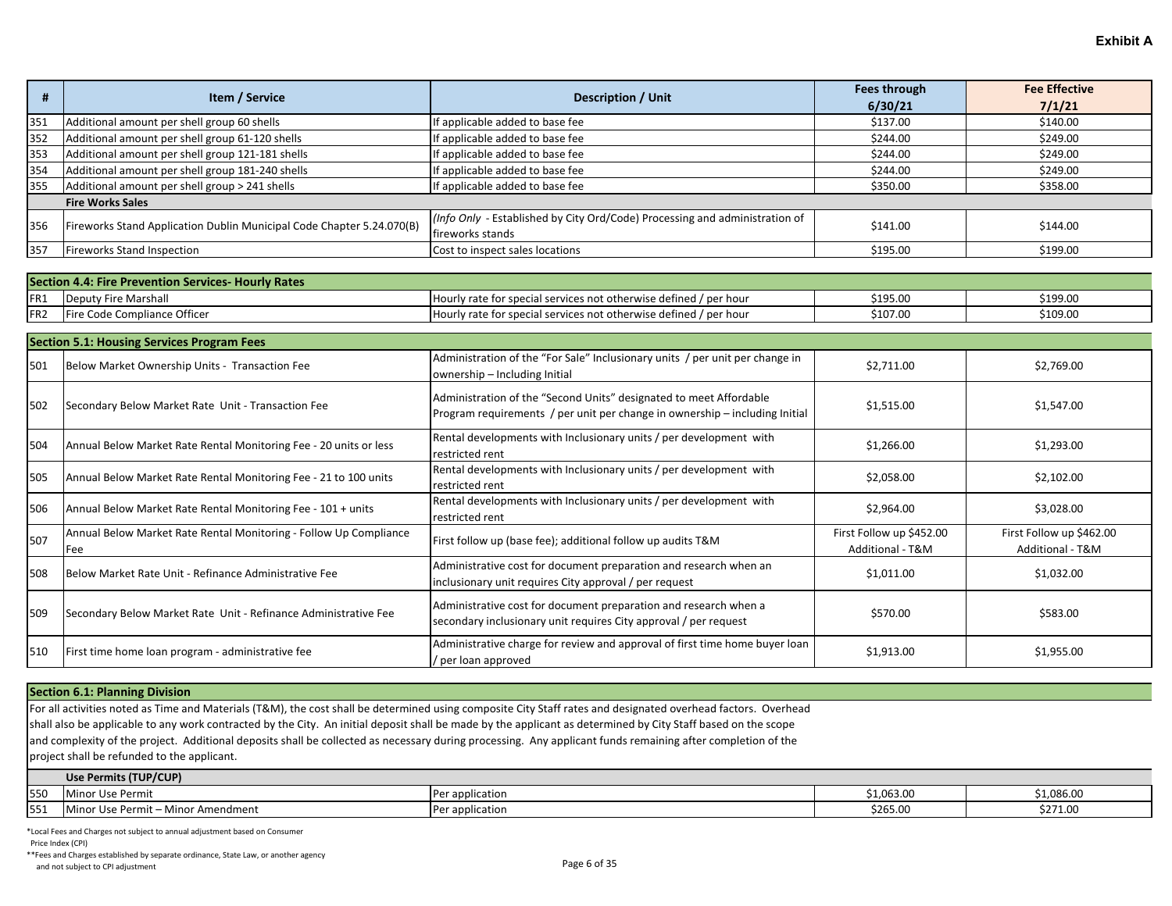| #               | Item / Service                                                           | <b>Description / Unit</b>                                                                                                                         | <b>Fees through</b><br>6/30/21               | <b>Fee Effective</b><br>7/1/21               |
|-----------------|--------------------------------------------------------------------------|---------------------------------------------------------------------------------------------------------------------------------------------------|----------------------------------------------|----------------------------------------------|
| 351             | Additional amount per shell group 60 shells                              | If applicable added to base fee                                                                                                                   | \$137.00                                     | \$140.00                                     |
| 352             | Additional amount per shell group 61-120 shells                          | If applicable added to base fee                                                                                                                   | \$244.00                                     | \$249.00                                     |
| 353             | Additional amount per shell group 121-181 shells                         | If applicable added to base fee                                                                                                                   | \$244.00                                     | \$249.00                                     |
| 354             | Additional amount per shell group 181-240 shells                         | If applicable added to base fee                                                                                                                   | \$244.00                                     | \$249.00                                     |
| 355             | Additional amount per shell group > 241 shells                           | If applicable added to base fee                                                                                                                   | \$350.00                                     | \$358.00                                     |
|                 | <b>Fire Works Sales</b>                                                  |                                                                                                                                                   |                                              |                                              |
| 356             | Fireworks Stand Application Dublin Municipal Code Chapter 5.24.070(B)    | (Info Only - Established by City Ord/Code) Processing and administration of<br>fireworks stands                                                   | \$141.00                                     | \$144.00                                     |
| 357             | <b>Fireworks Stand Inspection</b>                                        | Cost to inspect sales locations                                                                                                                   | \$195.00                                     | \$199.00                                     |
|                 |                                                                          |                                                                                                                                                   |                                              |                                              |
|                 | <b>Section 4.4: Fire Prevention Services- Hourly Rates</b>               |                                                                                                                                                   |                                              |                                              |
| FR <sub>1</sub> | <b>Deputy Fire Marshall</b>                                              | Hourly rate for special services not otherwise defined / per hour                                                                                 | \$195.00                                     | \$199.00                                     |
| FR <sub>2</sub> | Fire Code Compliance Officer                                             | Hourly rate for special services not otherwise defined / per hour                                                                                 | \$107.00                                     | \$109.00                                     |
|                 | <b>Section 5.1: Housing Services Program Fees</b>                        |                                                                                                                                                   |                                              |                                              |
| 501             | Below Market Ownership Units - Transaction Fee                           | Administration of the "For Sale" Inclusionary units / per unit per change in<br>ownership - Including Initial                                     | \$2,711.00                                   | \$2,769.00                                   |
| 502             | Secondary Below Market Rate Unit - Transaction Fee                       | Administration of the "Second Units" designated to meet Affordable<br>Program requirements / per unit per change in ownership - including Initial | \$1,515.00                                   | \$1,547.00                                   |
| 504             | Annual Below Market Rate Rental Monitoring Fee - 20 units or less        | Rental developments with Inclusionary units / per development with<br>restricted rent                                                             | \$1,266.00                                   | \$1,293.00                                   |
| 505             | Annual Below Market Rate Rental Monitoring Fee - 21 to 100 units         | Rental developments with Inclusionary units / per development with<br>restricted rent                                                             | \$2,058.00                                   | \$2,102.00                                   |
| 506             | Annual Below Market Rate Rental Monitoring Fee - 101 + units             | Rental developments with Inclusionary units / per development with<br>restricted rent                                                             | \$2,964.00                                   | \$3,028.00                                   |
| 507             | Annual Below Market Rate Rental Monitoring - Follow Up Compliance<br>Fee | First follow up (base fee); additional follow up audits T&M                                                                                       | First Follow up \$452.00<br>Additional - T&M | First Follow up \$462.00<br>Additional - T&M |
| 508             | Below Market Rate Unit - Refinance Administrative Fee                    | Administrative cost for document preparation and research when an<br>inclusionary unit requires City approval / per request                       | \$1,011.00                                   | \$1,032.00                                   |
| 509             | Secondary Below Market Rate Unit - Refinance Administrative Fee          | Administrative cost for document preparation and research when a<br>secondary inclusionary unit requires City approval / per request              | \$570.00                                     | \$583.00                                     |
| 510             | First time home loan program - administrative fee                        | Administrative charge for review and approval of first time home buyer loan<br>/ per loan approved                                                | \$1,913.00                                   | \$1,955.00                                   |

#### **Section 6.1: Planning Division**

For all activities noted as Time and Materials (T&M), the cost shall be determined using composite City Staff rates and designated overhead factors. Overhead

shall also be applicable to any work contracted by the City. An initial deposit shall be made by the applicant as determined by City Staff based on the scope

and complexity of the project. Additional deposits shall be collected as necessary during processing. Any applicant funds remaining after completion of the

project shall be refunded to the applicant.

|     | Use Permits (TUP/CUP)                |                 |                     |            |  |
|-----|--------------------------------------|-----------------|---------------------|------------|--|
| 550 | . .<br>Use Permit                    | Per application | 0.0520<br>51,003.UL | \$1,086.00 |  |
| 551 | : Use Permit – Minc<br>vor Amendment | Per application | \$265.00            | \$271.00   |  |

\*Local Fees and Charges not subject to annual adjustment based on Consumer

Price Index (CPI)

\*\*Fees and Charges established by separate ordinance, State Law, or another agency And not subject to CPI adjustment of subsequence of a matrix of the case of a subsequence of a subsequence of a subsequence of 35 and not subject to CPI adjustment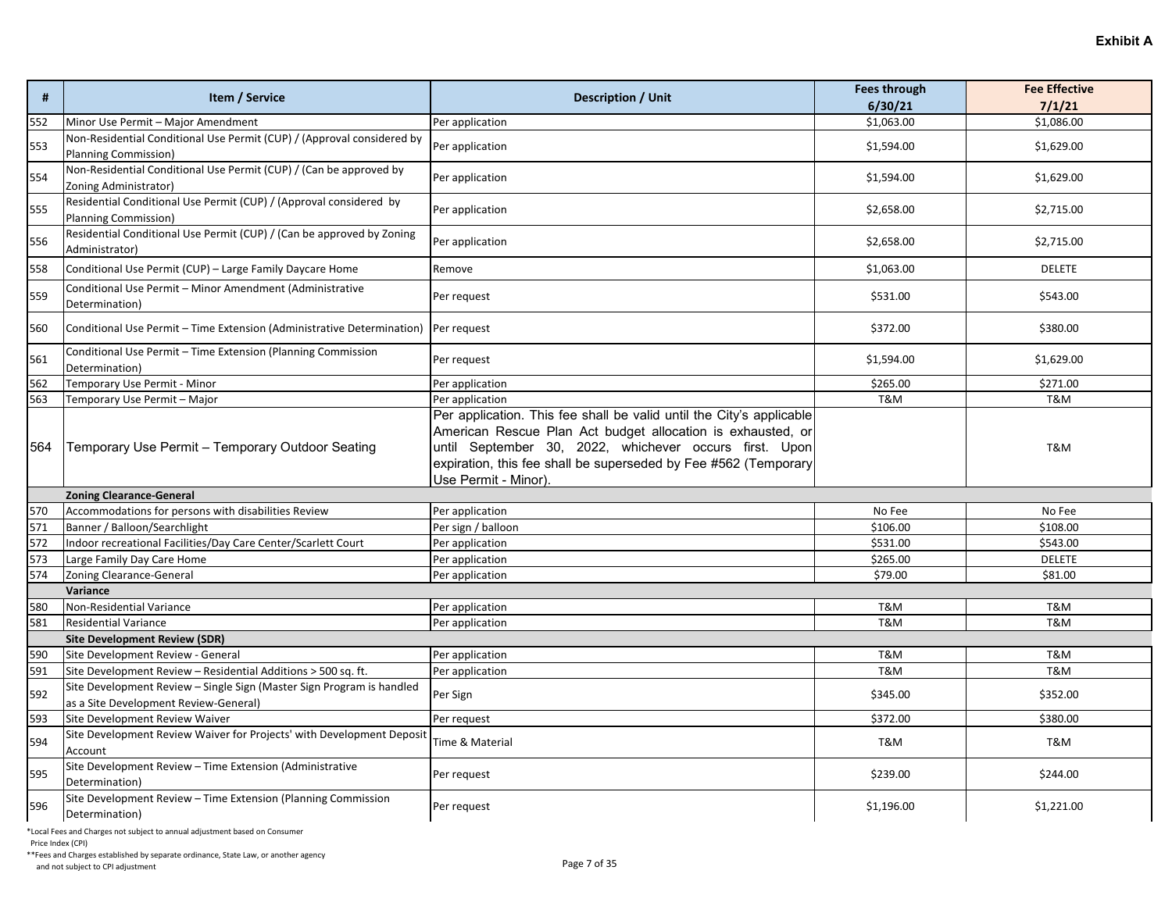| #   | Item / Service                                                                                                                         | <b>Description / Unit</b>                                                                                                                                                                                                                                                                | <b>Fees through</b><br>6/30/21 | <b>Fee Effective</b><br>7/1/21 |
|-----|----------------------------------------------------------------------------------------------------------------------------------------|------------------------------------------------------------------------------------------------------------------------------------------------------------------------------------------------------------------------------------------------------------------------------------------|--------------------------------|--------------------------------|
| 552 | Minor Use Permit - Major Amendment                                                                                                     | Per application                                                                                                                                                                                                                                                                          | \$1,063.00                     | \$1,086.00                     |
| 553 | Non-Residential Conditional Use Permit (CUP) / (Approval considered by<br>Planning Commission)                                         | Per application                                                                                                                                                                                                                                                                          | \$1,594.00                     | \$1,629.00                     |
| 554 | Non-Residential Conditional Use Permit (CUP) / (Can be approved by<br>Zoning Administrator)                                            | Per application                                                                                                                                                                                                                                                                          | \$1,594.00                     | \$1,629.00                     |
| 555 | Residential Conditional Use Permit (CUP) / (Approval considered by<br>Planning Commission)                                             | Per application                                                                                                                                                                                                                                                                          | \$2,658.00                     | \$2,715.00                     |
| 556 | Residential Conditional Use Permit (CUP) / (Can be approved by Zoning<br>Administrator)                                                | Per application                                                                                                                                                                                                                                                                          | \$2,658.00                     | \$2,715.00                     |
| 558 | Conditional Use Permit (CUP) - Large Family Daycare Home                                                                               | Remove                                                                                                                                                                                                                                                                                   | \$1,063.00                     | <b>DELETE</b>                  |
| 559 | Conditional Use Permit - Minor Amendment (Administrative<br>Determination)                                                             | Per request                                                                                                                                                                                                                                                                              | \$531.00                       | \$543.00                       |
| 560 | Conditional Use Permit - Time Extension (Administrative Determination)                                                                 | Per request                                                                                                                                                                                                                                                                              | \$372.00                       | \$380.00                       |
| 561 | Conditional Use Permit - Time Extension (Planning Commission<br>Determination)                                                         | Per request                                                                                                                                                                                                                                                                              | \$1,594.00                     | \$1,629.00                     |
| 562 | Temporary Use Permit - Minor                                                                                                           | Per application                                                                                                                                                                                                                                                                          | \$265.00                       | \$271.00                       |
| 563 | Temporary Use Permit - Major                                                                                                           | Per application                                                                                                                                                                                                                                                                          | <b>T&amp;M</b>                 | T&M                            |
| 564 | Temporary Use Permit - Temporary Outdoor Seating                                                                                       | Per application. This fee shall be valid until the City's applicable<br>American Rescue Plan Act budget allocation is exhausted, or<br>until September 30, 2022, whichever occurs first. Upon<br>expiration, this fee shall be superseded by Fee #562 (Temporary<br>Use Permit - Minor). |                                | T&M                            |
|     | <b>Zoning Clearance-General</b>                                                                                                        |                                                                                                                                                                                                                                                                                          |                                |                                |
| 570 | Accommodations for persons with disabilities Review                                                                                    | Per application                                                                                                                                                                                                                                                                          | No Fee                         | No Fee                         |
| 571 | Banner / Balloon/Searchlight                                                                                                           | Per sign / balloon                                                                                                                                                                                                                                                                       | \$106.00                       | \$108.00                       |
| 572 | Indoor recreational Facilities/Day Care Center/Scarlett Court                                                                          | Per application                                                                                                                                                                                                                                                                          | \$531.00                       | \$543.00                       |
| 573 | Large Family Day Care Home                                                                                                             | Per application                                                                                                                                                                                                                                                                          | \$265.00                       | <b>DELETE</b>                  |
| 574 | Zoning Clearance-General                                                                                                               | Per application                                                                                                                                                                                                                                                                          | \$79.00                        | \$81.00                        |
|     | Variance                                                                                                                               |                                                                                                                                                                                                                                                                                          |                                |                                |
| 580 | Non-Residential Variance                                                                                                               | Per application                                                                                                                                                                                                                                                                          | <b>T&amp;M</b>                 | T&M                            |
| 581 | <b>Residential Variance</b>                                                                                                            | Per application                                                                                                                                                                                                                                                                          | <b>T&amp;M</b>                 | T&M                            |
|     | <b>Site Development Review (SDR)</b>                                                                                                   |                                                                                                                                                                                                                                                                                          |                                |                                |
| 590 | Site Development Review - General                                                                                                      | Per application                                                                                                                                                                                                                                                                          | T&M                            | T&M                            |
| 591 | Site Development Review - Residential Additions > 500 sq. ft.<br>Site Development Review - Single Sign (Master Sign Program is handled | Per application                                                                                                                                                                                                                                                                          | <b>T&amp;M</b>                 | T&M                            |
| 592 | as a Site Development Review-General)                                                                                                  | Per Sign                                                                                                                                                                                                                                                                                 | \$345.00                       | \$352.00                       |
| 593 | Site Development Review Waiver                                                                                                         | Per request                                                                                                                                                                                                                                                                              | \$372.00                       | \$380.00                       |
| 594 | Site Development Review Waiver for Projects' with Development Deposit<br>Account                                                       | Time & Material                                                                                                                                                                                                                                                                          | T&M                            | T&M                            |
| 595 | Site Development Review - Time Extension (Administrative<br>Determination)                                                             | Per request                                                                                                                                                                                                                                                                              | \$239.00                       | \$244.00                       |
| 596 | Site Development Review - Time Extension (Planning Commission<br>Determination)                                                        | Per request                                                                                                                                                                                                                                                                              | \$1,196.00                     | \$1,221.00                     |

Price Index (CPI)

\*\*Fees and Charges established by separate ordinance, State Law, or another agency And not subject to CPI adjustment and subsection and not subsect to CPI adjustment Page 7 of 35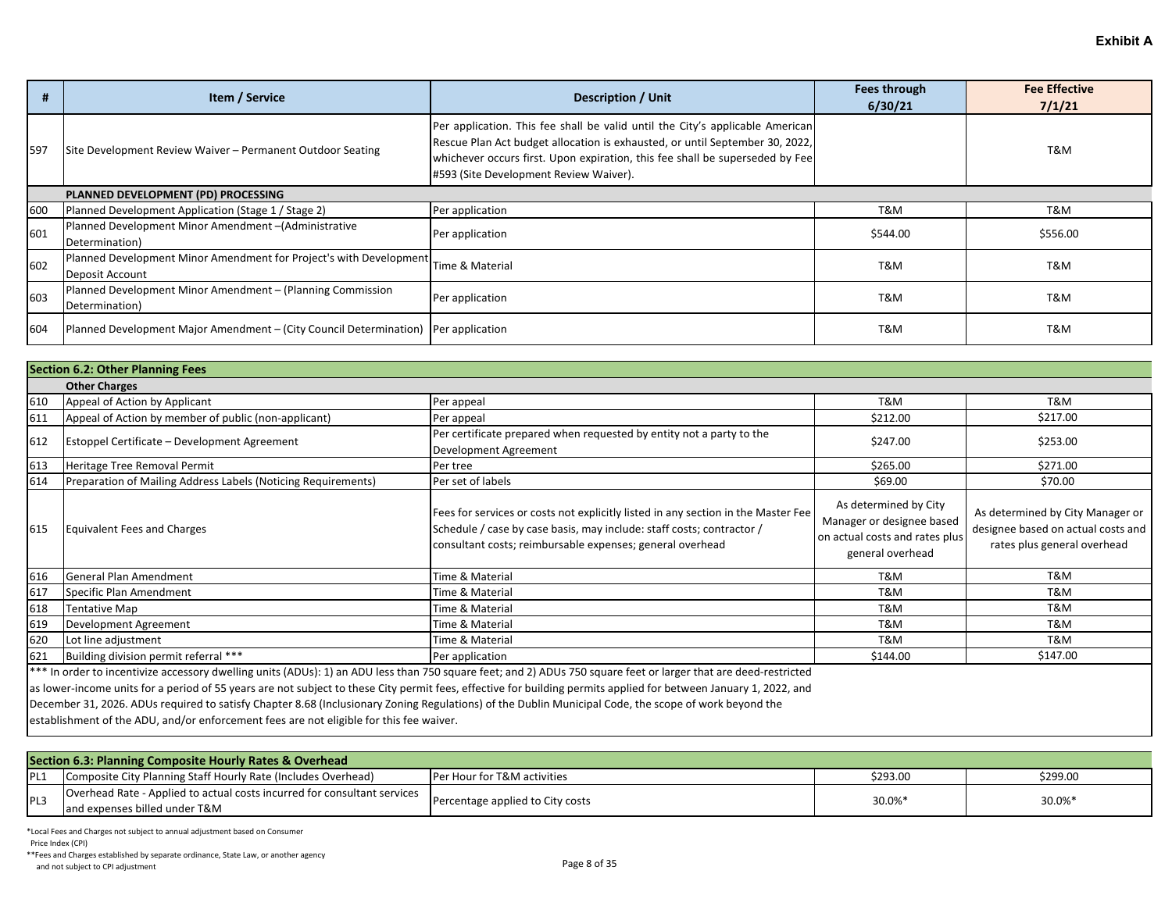|     | Item / Service                                                                                        | <b>Description / Unit</b>                                                                                                                                                                                                                                                               | Fees through<br>6/30/21 | <b>Fee Effective</b><br>7/1/21 |  |  |
|-----|-------------------------------------------------------------------------------------------------------|-----------------------------------------------------------------------------------------------------------------------------------------------------------------------------------------------------------------------------------------------------------------------------------------|-------------------------|--------------------------------|--|--|
| 597 | Site Development Review Waiver - Permanent Outdoor Seating                                            | Per application. This fee shall be valid until the City's applicable American<br>Rescue Plan Act budget allocation is exhausted, or until September 30, 2022,<br>whichever occurs first. Upon expiration, this fee shall be superseded by Fee<br>#593 (Site Development Review Waiver). |                         | T&M                            |  |  |
|     | PLANNED DEVELOPMENT (PD) PROCESSING                                                                   |                                                                                                                                                                                                                                                                                         |                         |                                |  |  |
| 600 | Planned Development Application (Stage 1 / Stage 2)                                                   | Per application                                                                                                                                                                                                                                                                         | T&M                     | T&M                            |  |  |
| 601 | Planned Development Minor Amendment-(Administrative<br>Determination)                                 | Per application                                                                                                                                                                                                                                                                         | \$544.00                | \$556.00                       |  |  |
| 602 | Planned Development Minor Amendment for Project's with Development Time & Material<br>Deposit Account |                                                                                                                                                                                                                                                                                         | T&M                     | T&M                            |  |  |
| 603 | Planned Development Minor Amendment - (Planning Commission<br>Determination)                          | Per application                                                                                                                                                                                                                                                                         | T&M                     | T&M                            |  |  |
| 604 | Planned Development Major Amendment – (City Council Determination)   Per application                  |                                                                                                                                                                                                                                                                                         | T&M                     | T&M                            |  |  |

|     | <b>Section 6.2: Other Planning Fees</b>                                                                                                                                                                                        |                                                                                                                                                                                                                         |                                                                                                          |                                                                                                       |  |
|-----|--------------------------------------------------------------------------------------------------------------------------------------------------------------------------------------------------------------------------------|-------------------------------------------------------------------------------------------------------------------------------------------------------------------------------------------------------------------------|----------------------------------------------------------------------------------------------------------|-------------------------------------------------------------------------------------------------------|--|
|     | <b>Other Charges</b>                                                                                                                                                                                                           |                                                                                                                                                                                                                         |                                                                                                          |                                                                                                       |  |
| 610 | Appeal of Action by Applicant                                                                                                                                                                                                  | Per appeal                                                                                                                                                                                                              | T&M                                                                                                      | T&M                                                                                                   |  |
| 611 | Appeal of Action by member of public (non-applicant)                                                                                                                                                                           | Per appeal                                                                                                                                                                                                              | \$212.00                                                                                                 | \$217.00                                                                                              |  |
| 612 | Estoppel Certificate - Development Agreement                                                                                                                                                                                   | Per certificate prepared when requested by entity not a party to the<br>Development Agreement                                                                                                                           | \$247.00                                                                                                 | \$253.00                                                                                              |  |
| 613 | Heritage Tree Removal Permit                                                                                                                                                                                                   | Per tree                                                                                                                                                                                                                | \$265.00                                                                                                 | \$271.00                                                                                              |  |
| 614 | Preparation of Mailing Address Labels (Noticing Requirements)                                                                                                                                                                  | Per set of labels                                                                                                                                                                                                       | \$69.00                                                                                                  | \$70.00                                                                                               |  |
| 615 | Equivalent Fees and Charges                                                                                                                                                                                                    | Fees for services or costs not explicitly listed in any section in the Master Fee<br>Schedule / case by case basis, may include: staff costs; contractor /<br>consultant costs; reimbursable expenses; general overhead | As determined by City<br>Manager or designee based<br>on actual costs and rates plus<br>general overhead | As determined by City Manager or<br>designee based on actual costs and<br>rates plus general overhead |  |
| 616 | General Plan Amendment                                                                                                                                                                                                         | Time & Material                                                                                                                                                                                                         | T&M                                                                                                      | T&M                                                                                                   |  |
| 617 | Specific Plan Amendment                                                                                                                                                                                                        | Time & Material                                                                                                                                                                                                         | T&M                                                                                                      | T&M                                                                                                   |  |
| 618 | <b>Tentative Map</b>                                                                                                                                                                                                           | Time & Material                                                                                                                                                                                                         | T&M                                                                                                      | T&M                                                                                                   |  |
| 619 | Development Agreement                                                                                                                                                                                                          | Time & Material                                                                                                                                                                                                         | T&M                                                                                                      | T&M                                                                                                   |  |
| 620 | Lot line adjustment                                                                                                                                                                                                            | Time & Material                                                                                                                                                                                                         | T&M                                                                                                      | T&M                                                                                                   |  |
| 621 | Building division permit referral ***                                                                                                                                                                                          | Per application                                                                                                                                                                                                         | \$144.00                                                                                                 | \$147.00                                                                                              |  |
|     | and and a series of the series of the series of the series of the series of the series of the series of the series of the series of the series of the series of the series of the series of the series of the series of the se |                                                                                                                                                                                                                         |                                                                                                          |                                                                                                       |  |

\*\*\* In order to incentivize accessory dwelling units (ADUs): 1) an ADU less than 750 square feet; and 2) ADUs 750 square feet or larger that are deed-restricted

as lower-income units for a period of 55 years are not subject to these City permit fees, effective for building permits applied for between January 1, 2022, and

December 31, 2026. ADUs required to satisfy Chapter 8.68 (Inclusionary Zoning Regulations) of the Dublin Municipal Code, the scope of work beyond the

establishment of the ADU, and/or enforcement fees are not eligible for this fee waiver.

| Section 6.3: Planning Composite Hourly Rates & Overhead |                                                                                                           |                                  |          |          |  |
|---------------------------------------------------------|-----------------------------------------------------------------------------------------------------------|----------------------------------|----------|----------|--|
| PL1                                                     | Composite City Planning Staff Hourly Rate (Includes Overhead)                                             | Per Hour for T&M activities      | \$293.00 | \$299.00 |  |
| <b>IPL3</b>                                             | Overhead Rate - Applied to actual costs incurred for consultant services<br>and expenses billed under T&M | Percentage applied to City costs | 30.0%*   | 30.0%*   |  |

\*Local Fees and Charges not subject to annual adjustment based on Consumer

Price Index (CPI)

\*\*Fees and Charges established by separate ordinance, State Law, or another agency And not subject to CPI adjustment of subsection and not subsect to CPI adjustment Page 8 of 35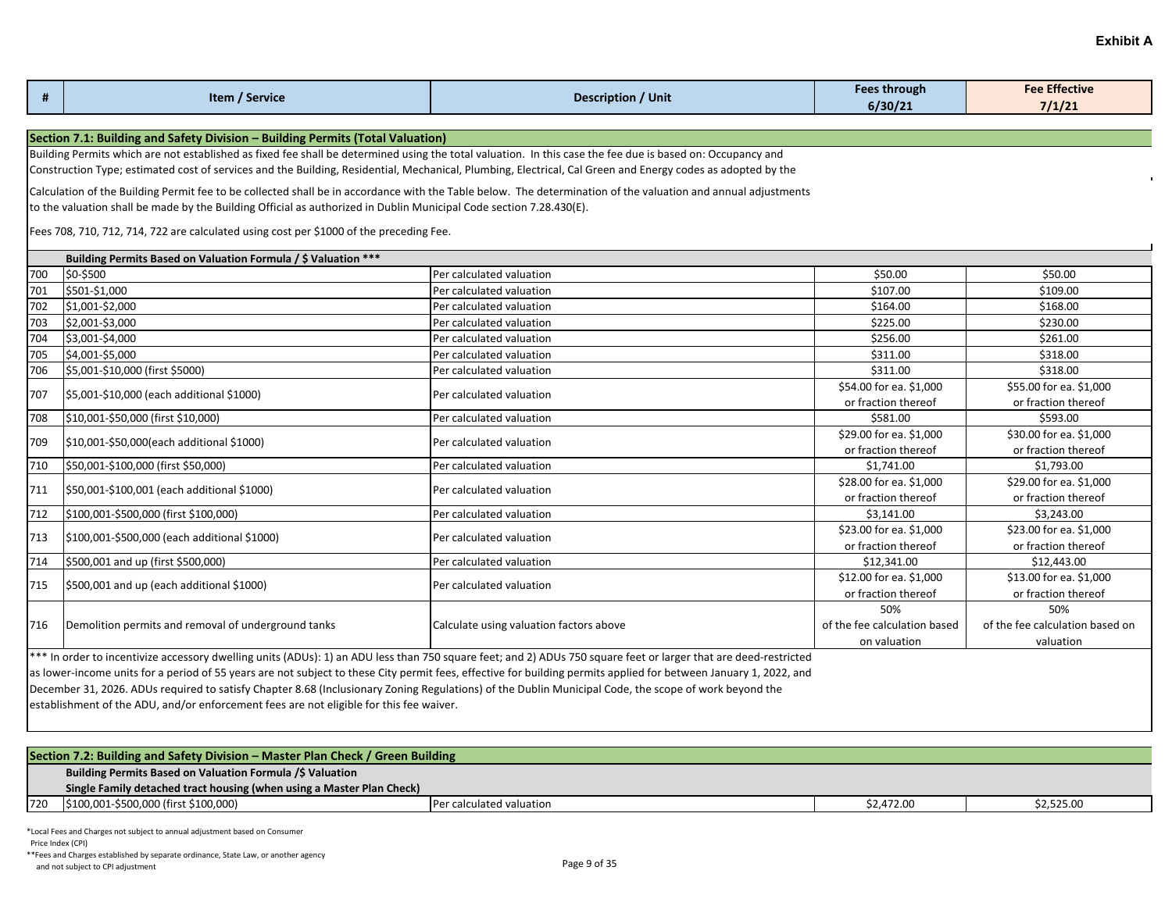| #   | Item / Service                                                                                                                                             | <b>Description / Unit</b>                                                                                                                                     | <b>Fees through</b><br>6/30/21 | <b>Fee Effective</b><br>7/1/21 |  |  |  |  |
|-----|------------------------------------------------------------------------------------------------------------------------------------------------------------|---------------------------------------------------------------------------------------------------------------------------------------------------------------|--------------------------------|--------------------------------|--|--|--|--|
|     | Section 7.1: Building and Safety Division - Building Permits (Total Valuation)                                                                             |                                                                                                                                                               |                                |                                |  |  |  |  |
|     | Building Permits which are not established as fixed fee shall be determined using the total valuation. In this case the fee due is based on: Occupancy and |                                                                                                                                                               |                                |                                |  |  |  |  |
|     |                                                                                                                                                            | Construction Type; estimated cost of services and the Building, Residential, Mechanical, Plumbing, Electrical, Cal Green and Energy codes as adopted by the   |                                |                                |  |  |  |  |
|     |                                                                                                                                                            | Calculation of the Building Permit fee to be collected shall be in accordance with the Table below. The determination of the valuation and annual adjustments |                                |                                |  |  |  |  |
|     | to the valuation shall be made by the Building Official as authorized in Dublin Municipal Code section 7.28.430(E).                                        |                                                                                                                                                               |                                |                                |  |  |  |  |
|     |                                                                                                                                                            |                                                                                                                                                               |                                |                                |  |  |  |  |
|     | Fees 708, 710, 712, 714, 722 are calculated using cost per \$1000 of the preceding Fee.                                                                    |                                                                                                                                                               |                                |                                |  |  |  |  |
|     | Building Permits Based on Valuation Formula / \$ Valuation ***                                                                                             |                                                                                                                                                               |                                |                                |  |  |  |  |
| 700 | \$0-\$500                                                                                                                                                  | Per calculated valuation                                                                                                                                      | \$50.00                        | \$50.00                        |  |  |  |  |
| 701 | \$501-\$1,000                                                                                                                                              | Per calculated valuation                                                                                                                                      | \$107.00                       | \$109.00                       |  |  |  |  |
| 702 | \$1,001-\$2,000                                                                                                                                            | Per calculated valuation                                                                                                                                      | \$164.00                       | \$168.00                       |  |  |  |  |
| 703 | \$2,001-\$3,000                                                                                                                                            | Per calculated valuation                                                                                                                                      | \$225.00                       | \$230.00                       |  |  |  |  |
| 704 | \$3,001-\$4,000                                                                                                                                            | Per calculated valuation                                                                                                                                      | \$256.00                       | \$261.00                       |  |  |  |  |
| 705 | \$4,001-\$5,000                                                                                                                                            | Per calculated valuation                                                                                                                                      | \$311.00                       | \$318.00                       |  |  |  |  |
| 706 | \$5,001-\$10,000 (first \$5000)                                                                                                                            | Per calculated valuation                                                                                                                                      | \$311.00                       | \$318.00                       |  |  |  |  |
|     |                                                                                                                                                            |                                                                                                                                                               | \$54.00 for ea. \$1,000        | \$55.00 for ea. \$1,000        |  |  |  |  |
| 707 | \$5,001-\$10,000 (each additional \$1000)                                                                                                                  | Per calculated valuation                                                                                                                                      | or fraction thereof            | or fraction thereof            |  |  |  |  |
| 708 | \$10,001-\$50,000 (first \$10,000)                                                                                                                         | Per calculated valuation                                                                                                                                      | \$581.00                       | \$593.00                       |  |  |  |  |
|     |                                                                                                                                                            |                                                                                                                                                               | \$29.00 for ea. \$1,000        | \$30.00 for ea. \$1,000        |  |  |  |  |
| 709 | \$10,001-\$50,000(each additional \$1000)                                                                                                                  | Per calculated valuation                                                                                                                                      | or fraction thereof            | or fraction thereof            |  |  |  |  |
| 710 | \$50,001-\$100,000 (first \$50,000)                                                                                                                        | Per calculated valuation                                                                                                                                      | \$1,741.00                     | \$1,793.00                     |  |  |  |  |
|     |                                                                                                                                                            |                                                                                                                                                               | \$28.00 for ea. \$1,000        | \$29.00 for ea. \$1,000        |  |  |  |  |
| 711 | \$50,001-\$100,001 (each additional \$1000)                                                                                                                | Per calculated valuation                                                                                                                                      | or fraction thereof            | or fraction thereof            |  |  |  |  |

712 \$100,001-\$500,000 (first \$100,000) Per calculated valuation 
Per calculated valuation
Per calculated valuation

Per calculated valuation

Per calculated valuation

Per calculated valuation

Per calculated valuation

Pe

714 \$500,001 and up (first \$500,000) Per calculated valuation **Per calculated valuation** \$12,341.00 \$12,443.00 \$12,443.00

 $\begin{array}{|l|l|}\n\hline\n\text{713} & \text{5100,001-}\text{5500,000 (each additional } \text{51000)}\n\hline\n\end{array}$  Per calculated valuation  $\begin{array}{c}\n\text{523.00 for each additional } \text{51000}\n\hline\n\end{array}$ 

 $\vert$ 715  $\vert$ \$500,001 and up (each additional \$1000)  $\vert$ Per calculated valuation  $\vert$  \$12.00 for ea. \$1,000 for ea. \$1,000 for ea. \$1,000 for ea. \$1,000 for ea. \$1,000 for ea. \$1,000 for ea. \$1,000 for ea. \$1,000 for ea.

\*\*\* In order to incentivize accessory dwelling units (ADUs): 1) an ADU less than 750 square feet; and 2) ADUs 750 square feet or larger that are deed-restricted as lower-income units for a period of 55 years are not subject to these City permit fees, effective for building permits applied for between January 1, 2022, and

December 31, 2026. ADUs required to satisfy Chapter 8.68 (Inclusionary Zoning Regulations) of the Dublin Municipal Code, the scope of work beyond the

716 Demolition permits and removal of underground tanks Calculate using valuation factors above

establishment of the ADU, and/or enforcement fees are not eligible for this fee waiver.

| Section 7.2: Building and Safety Division – Master Plan Check / Green Building |                                                                       |                          |            |            |  |
|--------------------------------------------------------------------------------|-----------------------------------------------------------------------|--------------------------|------------|------------|--|
|                                                                                | Building Permits Based on Valuation Formula /\$ Valuation             |                          |            |            |  |
|                                                                                | Single Family detached tract housing (when using a Master Plan Check) |                          |            |            |  |
| 720                                                                            | \$100,001-\$500,000 (first \$100,000)                                 | Per calculated valuation | \$2.472.00 | \$2,525.00 |  |
|                                                                                |                                                                       |                          |            |            |  |

\$23.00 for ea. \$1,000 or fraction thereof

\$13.00 for ea. \$1,000 or fraction thereof

50% of the fee calculation based on valuation

or fraction thereof

or fraction thereof

50% of the fee calculation based on valuation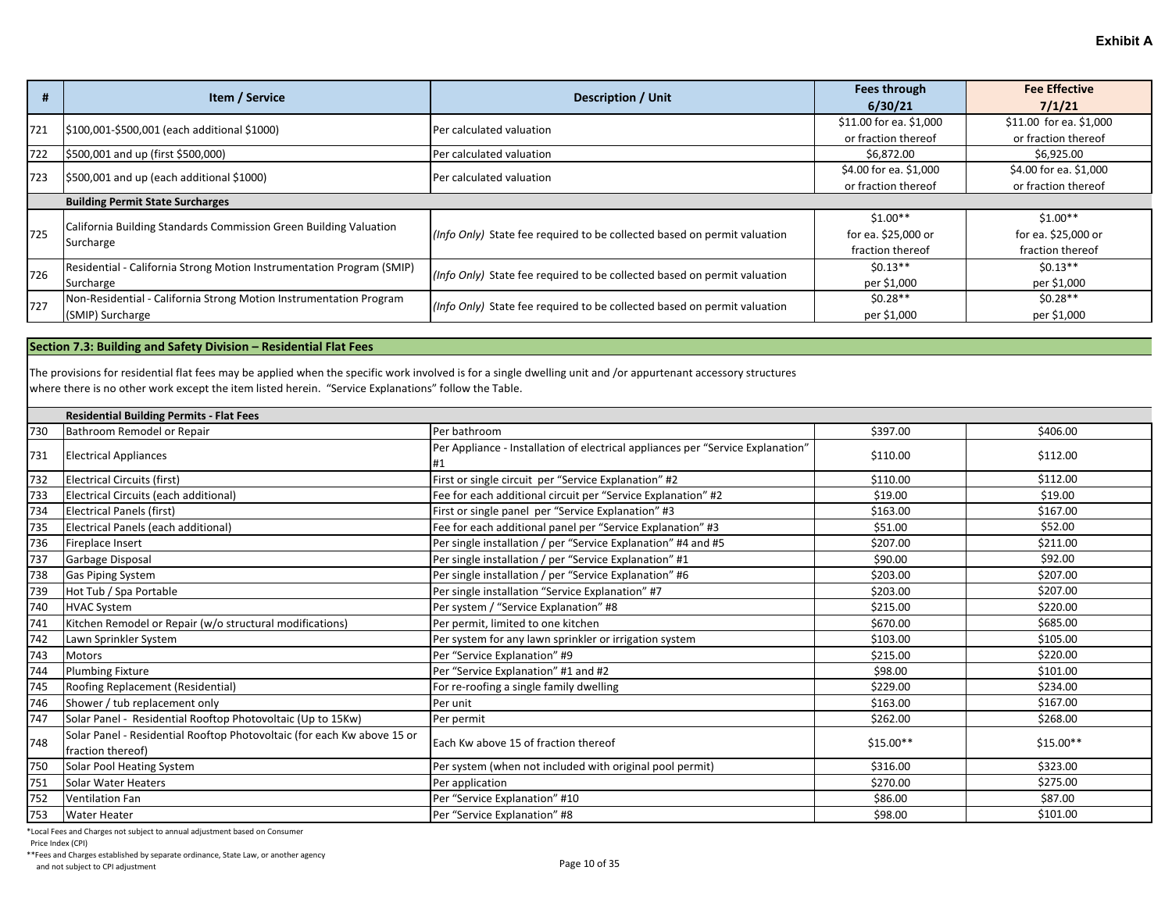|     | Item / Service                                                        | <b>Description / Unit</b>                                                | Fees through<br>6/30/21 | <b>Fee Effective</b><br>7/1/21 |
|-----|-----------------------------------------------------------------------|--------------------------------------------------------------------------|-------------------------|--------------------------------|
| 721 | \$100,001-\$500,001 (each additional \$1000)                          | Per calculated valuation                                                 | \$11.00 for ea. \$1,000 | \$11.00 for ea. \$1,000        |
|     |                                                                       |                                                                          | or fraction thereof     | or fraction thereof            |
| 722 | \$500,001 and up (first \$500,000)                                    | Per calculated valuation                                                 | \$6,872.00              | \$6,925.00                     |
| 723 | \$500,001 and up (each additional \$1000)                             | Per calculated valuation                                                 | \$4.00 for ea. \$1,000  | \$4.00 for ea. \$1,000         |
|     |                                                                       |                                                                          | or fraction thereof     | or fraction thereof            |
|     | <b>Building Permit State Surcharges</b>                               |                                                                          |                         |                                |
|     | California Building Standards Commission Green Building Valuation     |                                                                          | $$1.00**$               | $$1.00**$                      |
| 725 |                                                                       | (Info Only) State fee required to be collected based on permit valuation | for ea. \$25,000 or     | for ea. \$25,000 or            |
|     | Surcharge                                                             |                                                                          | fraction thereof        | fraction thereof               |
| 726 | Residential - California Strong Motion Instrumentation Program (SMIP) | (Info Only) State fee required to be collected based on permit valuation | $$0.13**$$              | $$0.13**$$                     |
|     | Surcharge                                                             |                                                                          | per \$1,000             | per \$1,000                    |
| 727 | Non-Residential - California Strong Motion Instrumentation Program    | (Info Only) State fee required to be collected based on permit valuation | $$0.28**$$              | $$0.28**$$                     |
|     | (SMIP) Surcharge                                                      |                                                                          | per \$1,000             | per \$1,000                    |

#### **Section 7.3: Building and Safety Division – Residential Flat Fees**

The provisions for residential flat fees may be applied when the specific work involved is for a single dwelling unit and /or appurtenant accessory structures where there is no other work except the item listed herein. "Service Explanations" follow the Table.

|     | <b>Residential Building Permits - Flat Fees</b>                                              |                                                                                        |            |            |  |  |
|-----|----------------------------------------------------------------------------------------------|----------------------------------------------------------------------------------------|------------|------------|--|--|
| 730 | Bathroom Remodel or Repair                                                                   | Per bathroom                                                                           | \$397.00   | \$406.00   |  |  |
| 731 | <b>Electrical Appliances</b>                                                                 | Per Appliance - Installation of electrical appliances per "Service Explanation"<br>l#1 | \$110.00   | \$112.00   |  |  |
| 732 | Electrical Circuits (first)                                                                  | First or single circuit per "Service Explanation" #2                                   | \$110.00   | \$112.00   |  |  |
| 733 | Electrical Circuits (each additional)                                                        | Fee for each additional circuit per "Service Explanation" #2                           | \$19.00    | \$19.00    |  |  |
| 734 | Electrical Panels (first)                                                                    | First or single panel per "Service Explanation" #3                                     | \$163.00   | \$167.00   |  |  |
| 735 | Electrical Panels (each additional)                                                          | Fee for each additional panel per "Service Explanation" #3                             | \$51.00    | \$52.00    |  |  |
| 736 | Fireplace Insert                                                                             | Per single installation / per "Service Explanation" #4 and #5                          | \$207.00   | \$211.00   |  |  |
| 737 | Garbage Disposal                                                                             | Per single installation / per "Service Explanation" #1                                 | \$90.00    | \$92.00    |  |  |
| 738 | Gas Piping System                                                                            | Per single installation / per "Service Explanation" #6                                 | \$203.00   | \$207.00   |  |  |
| 739 | Hot Tub / Spa Portable                                                                       | Per single installation "Service Explanation" #7                                       | \$203.00   | \$207.00   |  |  |
| 740 | <b>HVAC System</b>                                                                           | Per system / "Service Explanation" #8                                                  | \$215.00   | \$220.00   |  |  |
| 741 | Kitchen Remodel or Repair (w/o structural modifications)                                     | Per permit, limited to one kitchen                                                     | \$670.00   | \$685.00   |  |  |
| 742 | Lawn Sprinkler System                                                                        | Per system for any lawn sprinkler or irrigation system                                 | \$103.00   | \$105.00   |  |  |
| 743 | <b>Motors</b>                                                                                | Per "Service Explanation" #9                                                           | \$215.00   | \$220.00   |  |  |
| 744 | <b>Plumbing Fixture</b>                                                                      | Per "Service Explanation" #1 and #2                                                    | \$98.00    | \$101.00   |  |  |
| 745 | Roofing Replacement (Residential)                                                            | For re-roofing a single family dwelling                                                | \$229.00   | \$234.00   |  |  |
| 746 | Shower / tub replacement only                                                                | Per unit                                                                               | \$163.00   | \$167.00   |  |  |
| 747 | Solar Panel - Residential Rooftop Photovoltaic (Up to 15Kw)                                  | Per permit                                                                             | \$262.00   | \$268.00   |  |  |
| 748 | Solar Panel - Residential Rooftop Photovoltaic (for each Kw above 15 or<br>fraction thereof) | Each Kw above 15 of fraction thereof                                                   | $$15.00**$ | $$15.00**$ |  |  |
| 750 | Solar Pool Heating System                                                                    | Per system (when not included with original pool permit)                               | \$316.00   | \$323.00   |  |  |
| 751 | Solar Water Heaters                                                                          | Per application                                                                        | \$270.00   | \$275.00   |  |  |
| 752 | <b>Ventilation Fan</b>                                                                       | Per "Service Explanation" #10                                                          | \$86.00    | \$87.00    |  |  |
| 753 | <b>Water Heater</b>                                                                          | Per "Service Explanation" #8                                                           | \$98.00    | \$101.00   |  |  |

\*Local Fees and Charges not subject to annual adjustment based on Consumer

Price Index (CPI)

\*\*Fees and Charges established by separate ordinance, State Law, or another agency

And not subject to CPI adjustment<br>and not subject to CPI adjustment<br>
Page 10 of 35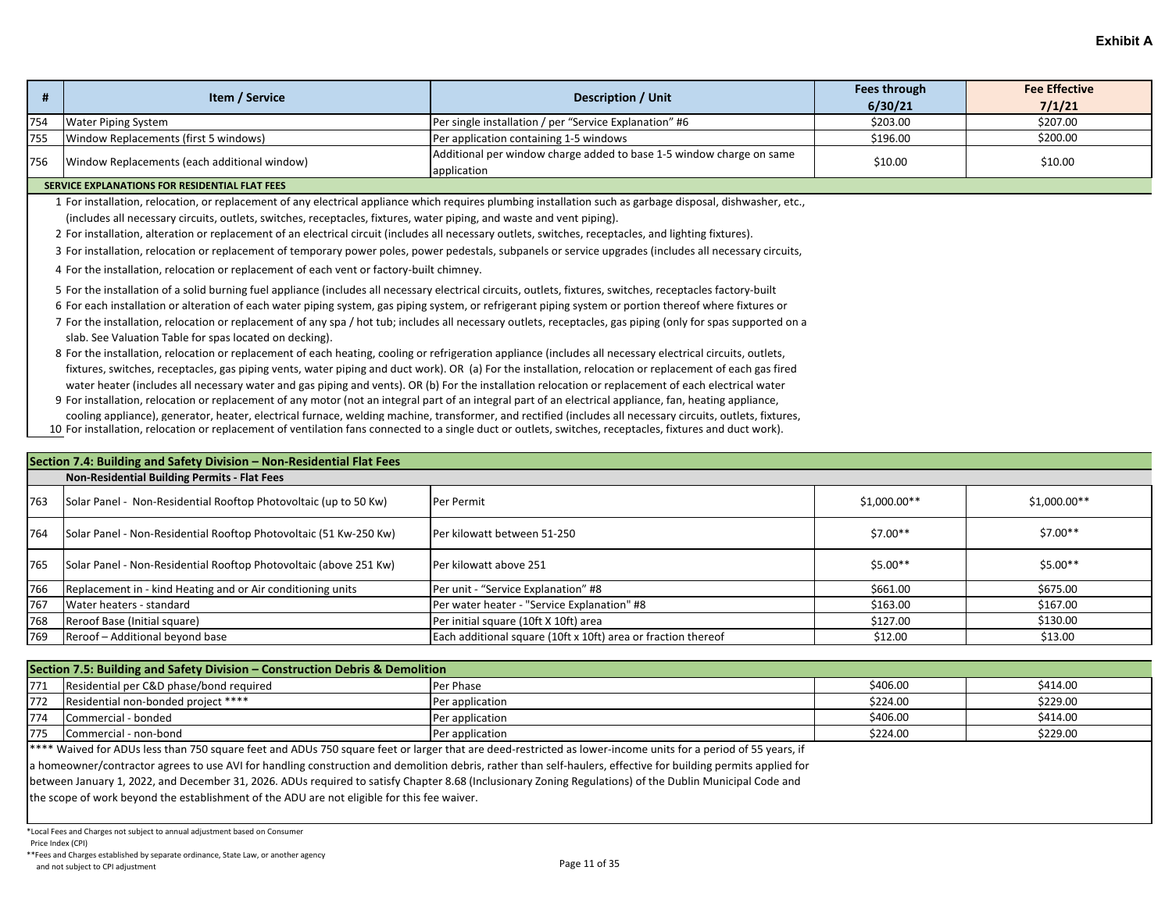|     | Item / Service                               | Description / Unit                                                                  | Fees through<br>6/30/21 | <b>Fee Effective</b><br>7/1/21 |
|-----|----------------------------------------------|-------------------------------------------------------------------------------------|-------------------------|--------------------------------|
| 754 | Water Piping System                          | Per single installation / per "Service Explanation" #6                              | \$203.00                | \$207.00                       |
| 755 | Window Replacements (first 5 windows)        | Per application containing 1-5 windows                                              | \$196.00                | \$200.00                       |
| 756 | Window Replacements (each additional window) | Additional per window charge added to base 1-5 window charge on same<br>application | \$10.00                 | \$10.00                        |

#### **SERVICE EXPLANATIONS FOR RESIDENTIAL FLAT FEES**

1 For installation, relocation, or replacement of any electrical appliance which requires plumbing installation such as garbage disposal, dishwasher, etc., (includes all necessary circuits, outlets, switches, receptacles, fixtures, water piping, and waste and vent piping).

2 For installation, alteration or replacement of an electrical circuit (includes all necessary outlets, switches, receptacles, and lighting fixtures).

3 For installation, relocation or replacement of temporary power poles, power pedestals, subpanels or service upgrades (includes all necessary circuits,

4 For the installation, relocation or replacement of each vent or factory-built chimney.

5 For the installation of a solid burning fuel appliance (includes all necessary electrical circuits, outlets, fixtures, switches, receptacles factory-built

6 For each installation or alteration of each water piping system, gas piping system, or refrigerant piping system or portion thereof where fixtures or

7 For the installation, relocation or replacement of any spa / hot tub; includes all necessary outlets, receptacles, gas piping (only for spas supported on a slab. See Valuation Table for spas located on decking).

8 For the installation, relocation or replacement of each heating, cooling or refrigeration appliance (includes all necessary electrical circuits, outlets, fixtures, switches, receptacles, gas piping vents, water piping and duct work). OR (a) For the installation, relocation or replacement of each gas fired water heater (includes all necessary water and gas piping and vents). OR (b) For the installation relocation or replacement of each electrical water

9 For installation, relocation or replacement of any motor (not an integral part of an integral part of an electrical appliance, fan, heating appliance, cooling appliance), generator, heater, electrical furnace, welding machine, transformer, and rectified (includes all necessary circuits, outlets, fixtures,

10 For installation, relocation or replacement of ventilation fans connected to a single duct or outlets, switches, receptacles, fixtures and duct work).

|     | Section 7.4: Building and Safety Division - Non-Residential Flat Fees |                                                               |              |               |  |  |
|-----|-----------------------------------------------------------------------|---------------------------------------------------------------|--------------|---------------|--|--|
|     | Non-Residential Building Permits - Flat Fees                          |                                                               |              |               |  |  |
| 763 | Solar Panel - Non-Residential Rooftop Photovoltaic (up to 50 Kw)      | Per Permit                                                    | \$1,000.00** | $$1,000.00**$ |  |  |
| 764 | Solar Panel - Non-Residential Rooftop Photovoltaic (51 Kw-250 Kw)     | Per kilowatt between 51-250                                   | $$7.00**$    | $$7.00**$$    |  |  |
| 765 | Solar Panel - Non-Residential Rooftop Photovoltaic (above 251 Kw)     | Per kilowatt above 251                                        | $$5.00**$    | $$5.00**$$    |  |  |
| 766 | Replacement in - kind Heating and or Air conditioning units           | Per unit - "Service Explanation" #8                           | \$661.00     | \$675.00      |  |  |
| 767 | Water heaters - standard                                              | Per water heater - "Service Explanation" #8                   | \$163.00     | \$167.00      |  |  |
| 768 | Reroof Base (Initial square)                                          | Per initial square (10ft X 10ft) area                         | \$127.00     | \$130.00      |  |  |
| 769 | Reroof - Additional beyond base                                       | Each additional square (10ft x 10ft) area or fraction thereof | \$12.00      | \$13.00       |  |  |

| Section 7.5: Building and Safety Division – Construction Debris & Demolition |                                         |                  |          |          |
|------------------------------------------------------------------------------|-----------------------------------------|------------------|----------|----------|
| 771                                                                          | Residential per C&D phase/bond required | <b>Per Phase</b> | \$406.00 | \$414.00 |
| 772                                                                          | Residential non-bonded project ****     | Per application  | \$224.00 | \$229.00 |
| 774                                                                          | Commercial - bonded                     | Per application  | \$406.00 | \$414.00 |
| 775                                                                          | Commercial - non-bond                   | Per application  | \$224.00 | \$229.00 |

\*\*\*\* Waived for ADUs less than 750 square feet and ADUs 750 square feet or larger that are deed-restricted as lower-income units for a period of 55 years, if

a homeowner/contractor agrees to use AVI for handling construction and demolition debris, rather than self-haulers, effective for building permits applied for

between January 1, 2022, and December 31, 2026. ADUs required to satisfy Chapter 8.68 (Inclusionary Zoning Regulations) of the Dublin Municipal Code and

the scope of work beyond the establishment of the ADU are not eligible for this fee waiver.

\*Local Fees and Charges not subject to annual adjustment based on Consumer

Price Index (CPI)

\*\*Fees and Charges established by separate ordinance, State Law, or another agency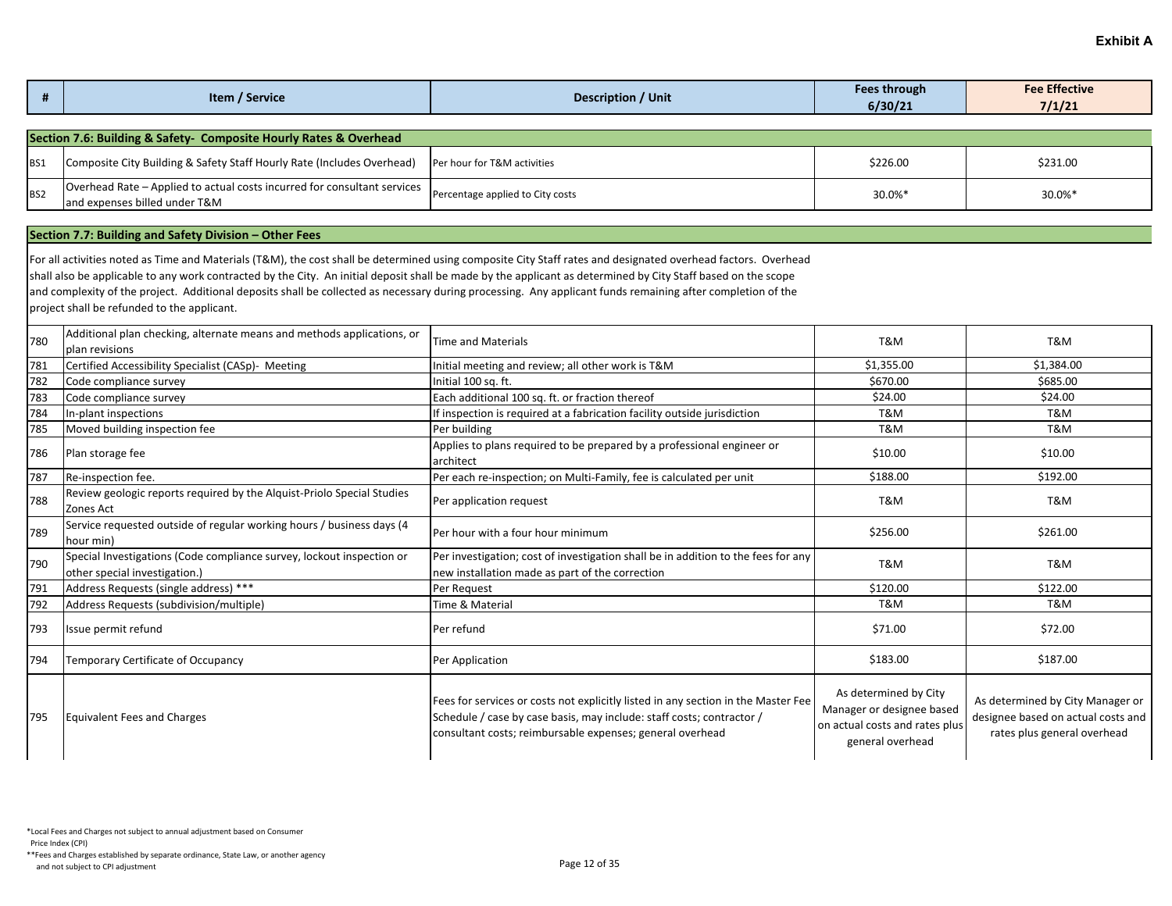|                                                                   | Item / Service | Description / Unit | <b>Fees through</b><br>6/30/21 | <b>Fee Effective</b><br>7/1/21 |  |
|-------------------------------------------------------------------|----------------|--------------------|--------------------------------|--------------------------------|--|
|                                                                   |                |                    |                                |                                |  |
| Section 7.6: Building & Safety- Composite Hourly Rates & Overhead |                |                    |                                |                                |  |
|                                                                   |                |                    |                                |                                |  |

| BS1             | Composite City Building & Safety Staff Hourly Rate (Includes Overhead)   Per hour for T&M activities      |                                  | \$226.00 | \$231.00 |
|-----------------|-----------------------------------------------------------------------------------------------------------|----------------------------------|----------|----------|
| BS <sub>2</sub> | Overhead Rate – Applied to actual costs incurred for consultant services<br>and expenses billed under T&M | Percentage applied to City costs | 30.0%    | 30.0%'   |

### **Section 7.7: Building and Safety Division – Other Fees**

For all activities noted as Time and Materials (T&M), the cost shall be determined using composite City Staff rates and designated overhead factors. Overhead shall also be applicable to any work contracted by the City. An initial deposit shall be made by the applicant as determined by City Staff based on the scope and complexity of the project. Additional deposits shall be collected as necessary during processing. Any applicant funds remaining after completion of the project shall be refunded to the applicant.

| 780 | Additional plan checking, alternate means and methods applications, or<br>Iplan revisions              | Time and Materials                                                                                                                                                                                                      | T&M                                                                                                      | T&M                                                                                                   |
|-----|--------------------------------------------------------------------------------------------------------|-------------------------------------------------------------------------------------------------------------------------------------------------------------------------------------------------------------------------|----------------------------------------------------------------------------------------------------------|-------------------------------------------------------------------------------------------------------|
| 781 | Certified Accessibility Specialist (CASp)- Meeting                                                     | Initial meeting and review; all other work is T&M                                                                                                                                                                       | \$1,355.00                                                                                               | \$1,384.00                                                                                            |
| 782 | Code compliance survey                                                                                 | Initial 100 sq. ft.                                                                                                                                                                                                     | \$670.00                                                                                                 | \$685.00                                                                                              |
| 783 | Code compliance survey                                                                                 | Each additional 100 sq. ft. or fraction thereof                                                                                                                                                                         | \$24.00                                                                                                  | \$24.00                                                                                               |
| 784 | In-plant inspections                                                                                   | If inspection is required at a fabrication facility outside jurisdiction                                                                                                                                                | T&M                                                                                                      | T&M                                                                                                   |
| 785 | Moved building inspection fee                                                                          | Per building                                                                                                                                                                                                            | T&M                                                                                                      | T&M                                                                                                   |
| 786 | Plan storage fee                                                                                       | Applies to plans required to be prepared by a professional engineer or<br>architect                                                                                                                                     | \$10.00                                                                                                  | \$10.00                                                                                               |
| 787 | Re-inspection fee.                                                                                     | Per each re-inspection; on Multi-Family, fee is calculated per unit                                                                                                                                                     | \$188.00                                                                                                 | \$192.00                                                                                              |
| 788 | Review geologic reports required by the Alquist-Priolo Special Studies<br>Zones Act                    | Per application request                                                                                                                                                                                                 | T&M                                                                                                      | T&M                                                                                                   |
| 789 | Service requested outside of regular working hours / business days (4<br>hour min)                     | Per hour with a four hour minimum                                                                                                                                                                                       | \$256.00                                                                                                 | \$261.00                                                                                              |
| 790 | Special Investigations (Code compliance survey, lockout inspection or<br>other special investigation.) | Per investigation; cost of investigation shall be in addition to the fees for any<br>new installation made as part of the correction                                                                                    | T&M                                                                                                      | T&M                                                                                                   |
| 791 | Address Requests (single address) ***                                                                  | Per Request                                                                                                                                                                                                             | \$120.00                                                                                                 | \$122.00                                                                                              |
| 792 | Address Requests (subdivision/multiple)                                                                | Time & Material                                                                                                                                                                                                         | T&M                                                                                                      | T&M                                                                                                   |
| 793 | Issue permit refund                                                                                    | Per refund                                                                                                                                                                                                              | \$71.00                                                                                                  | \$72.00                                                                                               |
| 794 | Temporary Certificate of Occupancy                                                                     | Per Application                                                                                                                                                                                                         | \$183.00                                                                                                 | \$187.00                                                                                              |
| 795 | <b>Equivalent Fees and Charges</b>                                                                     | Fees for services or costs not explicitly listed in any section in the Master Fee<br>Schedule / case by case basis, may include: staff costs; contractor /<br>consultant costs; reimbursable expenses; general overhead | As determined by City<br>Manager or designee based<br>on actual costs and rates plus<br>general overhead | As determined by City Manager or<br>designee based on actual costs and<br>rates plus general overhead |

Price Index (CPI)

\*\*Fees and Charges established by separate ordinance, State Law, or another agency And not subject to CPI adjustment<br>and not subject to CPI adjustment<br>
Page 12 of 35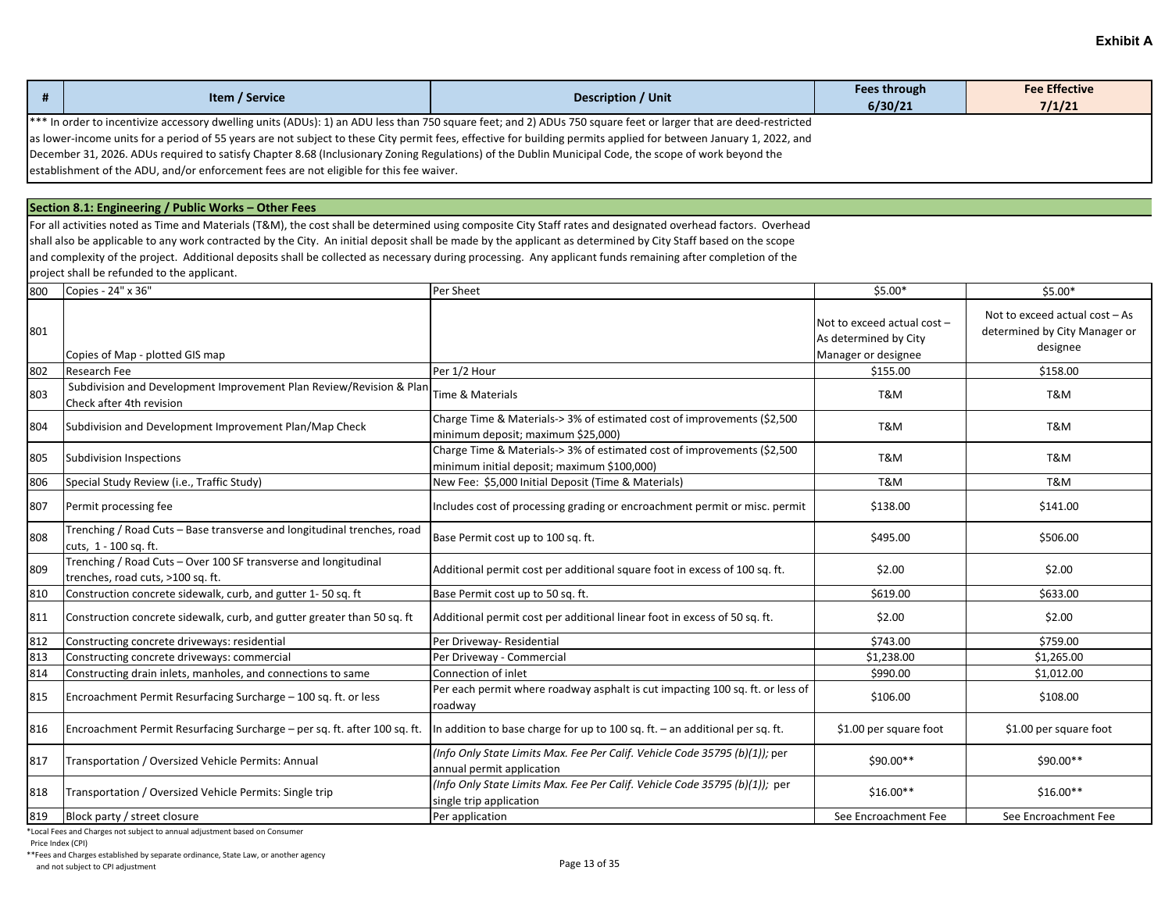| Item / Service                                                                                                                                                    | Description / Unit | Fees through<br>6/30/21 | <b>Fee Effective</b><br>7/1/21 |  |
|-------------------------------------------------------------------------------------------------------------------------------------------------------------------|--------------------|-------------------------|--------------------------------|--|
| *** In order to incentivize accessory dwelling units (ADUs): 1) an ADU less than 750 square feet; and 2) ADUs 750 square feet or larger that are deed-restricted  |                    |                         |                                |  |
| as lower-income units for a period of 55 years are not subject to these City permit fees, effective for building permits applied for between January 1, 2022, and |                    |                         |                                |  |
| December 31, 2026. ADUs required to satisfy Chapter 8.68 (Inclusionary Zoning Regulations) of the Dublin Municipal Code, the scope of work beyond the             |                    |                         |                                |  |
| establishment of the ADU, and/or enforcement fees are not eligible for this fee waiver.                                                                           |                    |                         |                                |  |

**Section 8.1: Engineering / Public Works – Other Fees** 

For all activities noted as Time and Materials (T&M), the cost shall be determined using composite City Staff rates and designated overhead factors. Overhead shall also be applicable to any work contracted by the City. An initial deposit shall be made by the applicant as determined by City Staff based on the scope and complexity of the project. Additional deposits shall be collected as necessary during processing. Any applicant funds remaining after completion of the project shall be refunded to the applicant.

| 800 | Copies - 24" x 36"                                                                                   | Per Sheet                                                                                                              | $$5.00*$                                                                    | $$5.00*$                                                                    |
|-----|------------------------------------------------------------------------------------------------------|------------------------------------------------------------------------------------------------------------------------|-----------------------------------------------------------------------------|-----------------------------------------------------------------------------|
| 801 | Copies of Map - plotted GIS map                                                                      |                                                                                                                        | Not to exceed actual cost -<br>As determined by City<br>Manager or designee | Not to exceed actual cost - As<br>determined by City Manager or<br>designee |
| 802 | <b>Research Fee</b>                                                                                  | Per 1/2 Hour                                                                                                           | \$155.00                                                                    | \$158.00                                                                    |
| 803 | Subdivision and Development Improvement Plan Review/Revision & Plan<br>Check after 4th revision      | Time & Materials                                                                                                       | T&M                                                                         | T&M                                                                         |
| 804 | Subdivision and Development Improvement Plan/Map Check                                               | Charge Time & Materials-> 3% of estimated cost of improvements (\$2,500<br>minimum deposit; maximum \$25,000)          | T&M                                                                         | T&M                                                                         |
| 805 | Subdivision Inspections                                                                              | Charge Time & Materials-> 3% of estimated cost of improvements (\$2,500<br>minimum initial deposit; maximum \$100,000) | T&M                                                                         | T&M                                                                         |
| 806 | Special Study Review (i.e., Traffic Study)                                                           | New Fee: \$5,000 Initial Deposit (Time & Materials)                                                                    | T&M                                                                         | T&M                                                                         |
| 807 | Permit processing fee                                                                                | Includes cost of processing grading or encroachment permit or misc. permit                                             | \$138.00                                                                    | \$141.00                                                                    |
| 808 | Trenching / Road Cuts - Base transverse and longitudinal trenches, road<br>cuts, 1 - 100 sq. ft.     | Base Permit cost up to 100 sq. ft.                                                                                     | \$495.00                                                                    | \$506.00                                                                    |
| 809 | Trenching / Road Cuts - Over 100 SF transverse and longitudinal<br>trenches, road cuts, >100 sq. ft. | Additional permit cost per additional square foot in excess of 100 sq. ft.                                             | \$2.00                                                                      | \$2.00                                                                      |
| 810 | Construction concrete sidewalk, curb, and gutter 1-50 sq. ft                                         | Base Permit cost up to 50 sq. ft.                                                                                      | \$619.00                                                                    | \$633.00                                                                    |
| 811 | Construction concrete sidewalk, curb, and gutter greater than 50 sq. ft                              | Additional permit cost per additional linear foot in excess of 50 sq. ft.                                              | \$2.00                                                                      | \$2.00                                                                      |
| 812 | Constructing concrete driveways: residential                                                         | Per Driveway- Residential                                                                                              | \$743.00                                                                    | \$759.00                                                                    |
| 813 | Constructing concrete driveways: commercial                                                          | Per Driveway - Commercial                                                                                              | \$1,238.00                                                                  | \$1,265.00                                                                  |
| 814 | Constructing drain inlets, manholes, and connections to same                                         | Connection of inlet                                                                                                    | \$990.00                                                                    | \$1,012.00                                                                  |
| 815 | Encroachment Permit Resurfacing Surcharge - 100 sq. ft. or less                                      | Per each permit where roadway asphalt is cut impacting 100 sq. ft. or less of<br>roadway                               | \$106.00                                                                    | \$108.00                                                                    |
| 816 | Encroachment Permit Resurfacing Surcharge - per sq. ft. after 100 sq. ft.                            | In addition to base charge for up to 100 sq. ft. - an additional per sq. ft.                                           | \$1.00 per square foot                                                      | \$1.00 per square foot                                                      |
| 817 | Transportation / Oversized Vehicle Permits: Annual                                                   | (Info Only State Limits Max. Fee Per Calif. Vehicle Code 35795 (b)(1)); per<br>annual permit application               | \$90.00**                                                                   | \$90.00**                                                                   |
| 818 | Transportation / Oversized Vehicle Permits: Single trip                                              | (Info Only State Limits Max. Fee Per Calif. Vehicle Code 35795 (b)(1)); per<br>single trip application                 | $$16.00**$                                                                  | $$16.00**$                                                                  |
| 819 | Block party / street closure                                                                         | Per application                                                                                                        | See Encroachment Fee                                                        | See Encroachment Fee                                                        |

\*Local Fees and Charges not subject to annual adjustment based on Consumer

Price Index (CPI)

\*\*Fees and Charges established by separate ordinance, State Law, or another agency

And not subject to CPI adjustment<br>and not subject to CPI adjustment<br>
Page 13 of 35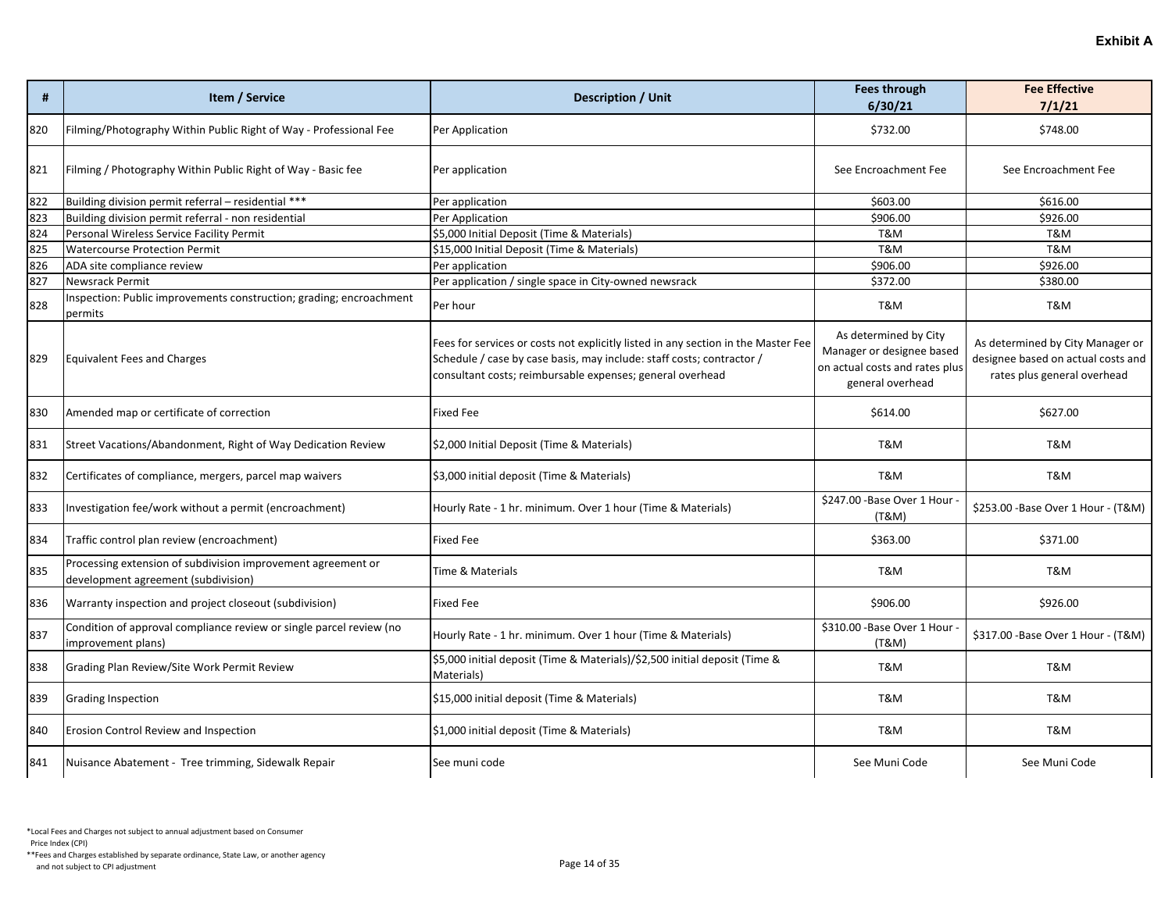| #   | Item / Service                                                                                      | Description / Unit                                                                                                                                                                                                      | <b>Fees through</b><br>6/30/21                                                                           | <b>Fee Effective</b><br>7/1/21                                                                        |
|-----|-----------------------------------------------------------------------------------------------------|-------------------------------------------------------------------------------------------------------------------------------------------------------------------------------------------------------------------------|----------------------------------------------------------------------------------------------------------|-------------------------------------------------------------------------------------------------------|
| 820 | Filming/Photography Within Public Right of Way - Professional Fee                                   | Per Application                                                                                                                                                                                                         | \$732.00                                                                                                 | \$748.00                                                                                              |
| 821 | Filming / Photography Within Public Right of Way - Basic fee                                        | Per application                                                                                                                                                                                                         | See Encroachment Fee                                                                                     | See Encroachment Fee                                                                                  |
| 822 | Building division permit referral - residential ***                                                 | Per application                                                                                                                                                                                                         | \$603.00                                                                                                 | \$616.00                                                                                              |
| 823 | Building division permit referral - non residential                                                 | Per Application                                                                                                                                                                                                         | \$906.00                                                                                                 | \$926.00                                                                                              |
| 824 | Personal Wireless Service Facility Permit                                                           | \$5,000 Initial Deposit (Time & Materials)                                                                                                                                                                              | <b>T&amp;M</b>                                                                                           | T&M                                                                                                   |
| 825 | <b>Watercourse Protection Permit</b>                                                                | \$15,000 Initial Deposit (Time & Materials)                                                                                                                                                                             | <b>T&amp;M</b>                                                                                           | T&M                                                                                                   |
| 826 | ADA site compliance review                                                                          | Per application                                                                                                                                                                                                         | \$906.00                                                                                                 | \$926.00                                                                                              |
| 827 | <b>Newsrack Permit</b>                                                                              | Per application / single space in City-owned newsrack                                                                                                                                                                   | \$372.00                                                                                                 | \$380.00                                                                                              |
| 828 | Inspection: Public improvements construction; grading; encroachment<br>permits                      | Per hour                                                                                                                                                                                                                | T&M                                                                                                      | T&M                                                                                                   |
| 829 | <b>Equivalent Fees and Charges</b>                                                                  | Fees for services or costs not explicitly listed in any section in the Master Fee<br>Schedule / case by case basis, may include: staff costs; contractor /<br>consultant costs; reimbursable expenses; general overhead | As determined by City<br>Manager or designee based<br>on actual costs and rates plus<br>general overhead | As determined by City Manager or<br>designee based on actual costs and<br>rates plus general overhead |
| 830 | Amended map or certificate of correction                                                            | <b>Fixed Fee</b>                                                                                                                                                                                                        | \$614.00                                                                                                 | \$627.00                                                                                              |
| 831 | Street Vacations/Abandonment, Right of Way Dedication Review                                        | \$2,000 Initial Deposit (Time & Materials)                                                                                                                                                                              | <b>T&amp;M</b>                                                                                           | T&M                                                                                                   |
| 832 | Certificates of compliance, mergers, parcel map waivers                                             | \$3,000 initial deposit (Time & Materials)                                                                                                                                                                              | T&M                                                                                                      | T&M                                                                                                   |
| 833 | Investigation fee/work without a permit (encroachment)                                              | Hourly Rate - 1 hr. minimum. Over 1 hour (Time & Materials)                                                                                                                                                             | \$247.00 - Base Over 1 Hour -<br>(T&M)                                                                   | \$253.00 - Base Over 1 Hour - (T&M)                                                                   |
| 834 | Traffic control plan review (encroachment)                                                          | <b>Fixed Fee</b>                                                                                                                                                                                                        | \$363.00                                                                                                 | \$371.00                                                                                              |
| 835 | Processing extension of subdivision improvement agreement or<br>development agreement (subdivision) | Time & Materials                                                                                                                                                                                                        | T&M                                                                                                      | T&M                                                                                                   |
| 836 | Warranty inspection and project closeout (subdivision)                                              | <b>Fixed Fee</b>                                                                                                                                                                                                        | \$906.00                                                                                                 | \$926.00                                                                                              |
| 837 | Condition of approval compliance review or single parcel review (no<br>improvement plans)           | Hourly Rate - 1 hr. minimum. Over 1 hour (Time & Materials)                                                                                                                                                             | \$310.00 - Base Over 1 Hour -<br>(T&M)                                                                   | \$317.00 - Base Over 1 Hour - (T&M)                                                                   |
| 838 | Grading Plan Review/Site Work Permit Review                                                         | \$5,000 initial deposit (Time & Materials)/\$2,500 initial deposit (Time &<br>Materials)                                                                                                                                | T&M                                                                                                      | T&M                                                                                                   |
| 839 | <b>Grading Inspection</b>                                                                           | \$15,000 initial deposit (Time & Materials)                                                                                                                                                                             | T&M                                                                                                      | T&M                                                                                                   |
| 840 | Erosion Control Review and Inspection                                                               | \$1,000 initial deposit (Time & Materials)                                                                                                                                                                              | T&M                                                                                                      | T&M                                                                                                   |
| 841 | Nuisance Abatement - Tree trimming, Sidewalk Repair                                                 | See muni code                                                                                                                                                                                                           | See Muni Code                                                                                            | See Muni Code                                                                                         |

Price Index (CPI)

\*\*Fees and Charges established by separate ordinance, State Law, or another agency And not subject to CPI adjustment<br>and not subject to CPI adjustment<br>
Page 14 of 35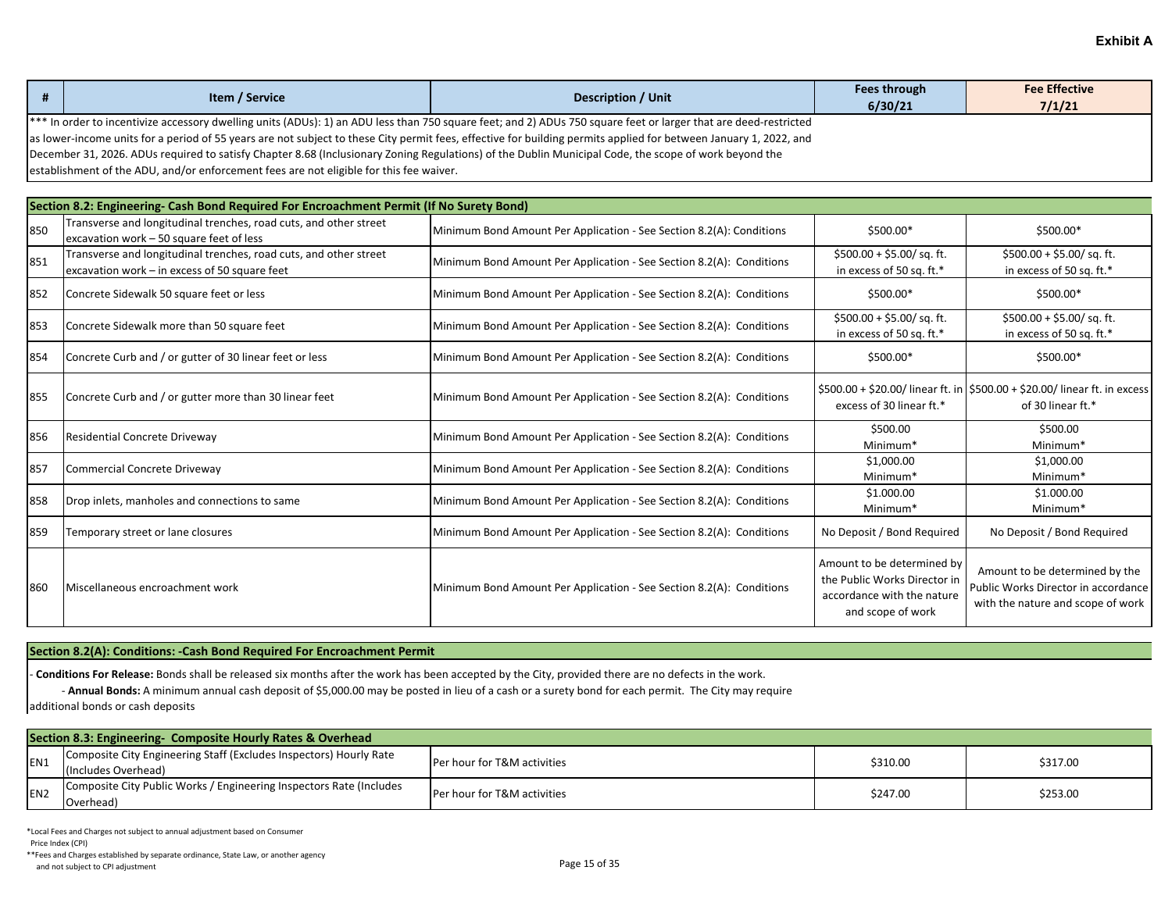| #   | Item / Service                                                                                                                                                                                                                                                                                                                                                                                                                                                                                                                                                                            | <b>Description / Unit</b>                                            | <b>Fees through</b><br>6/30/21                                                                                | <b>Fee Effective</b><br>7/1/21                                                                             |  |  |  |
|-----|-------------------------------------------------------------------------------------------------------------------------------------------------------------------------------------------------------------------------------------------------------------------------------------------------------------------------------------------------------------------------------------------------------------------------------------------------------------------------------------------------------------------------------------------------------------------------------------------|----------------------------------------------------------------------|---------------------------------------------------------------------------------------------------------------|------------------------------------------------------------------------------------------------------------|--|--|--|
|     | *** In order to incentivize accessory dwelling units (ADUs): 1) an ADU less than 750 square feet; and 2) ADUs 750 square feet or larger that are deed-restricted<br>as lower-income units for a period of 55 years are not subject to these City permit fees, effective for building permits applied for between January 1, 2022, and<br>December 31, 2026. ADUs required to satisfy Chapter 8.68 (Inclusionary Zoning Regulations) of the Dublin Municipal Code, the scope of work beyond the<br>establishment of the ADU, and/or enforcement fees are not eligible for this fee waiver. |                                                                      |                                                                                                               |                                                                                                            |  |  |  |
|     | Section 8.2: Engineering- Cash Bond Required For Encroachment Permit (If No Surety Bond)                                                                                                                                                                                                                                                                                                                                                                                                                                                                                                  |                                                                      |                                                                                                               |                                                                                                            |  |  |  |
| 850 | Transverse and longitudinal trenches, road cuts, and other street<br>excavation work - 50 square feet of less                                                                                                                                                                                                                                                                                                                                                                                                                                                                             | Minimum Bond Amount Per Application - See Section 8.2(A): Conditions | \$500.00*                                                                                                     | \$500.00*                                                                                                  |  |  |  |
| 851 | Transverse and longitudinal trenches, road cuts, and other street<br>excavation work - in excess of 50 square feet                                                                                                                                                                                                                                                                                                                                                                                                                                                                        | Minimum Bond Amount Per Application - See Section 8.2(A): Conditions | $$500.00 + $5.00 / sq. ft.$<br>in excess of 50 sq. ft.*                                                       | $$500.00 + $5.00 / sq. ft.$<br>in excess of 50 sq. ft.*                                                    |  |  |  |
| 852 | Concrete Sidewalk 50 square feet or less                                                                                                                                                                                                                                                                                                                                                                                                                                                                                                                                                  | Minimum Bond Amount Per Application - See Section 8.2(A): Conditions | \$500.00*                                                                                                     | \$500.00*                                                                                                  |  |  |  |
| 853 | Concrete Sidewalk more than 50 square feet                                                                                                                                                                                                                                                                                                                                                                                                                                                                                                                                                | Minimum Bond Amount Per Application - See Section 8.2(A): Conditions | $$500.00 + $5.00 / sq. ft.$<br>in excess of 50 sq. ft.*                                                       | $$500.00 + $5.00$ / sq. ft.<br>in excess of 50 sq. ft.*                                                    |  |  |  |
| 854 | Concrete Curb and / or gutter of 30 linear feet or less                                                                                                                                                                                                                                                                                                                                                                                                                                                                                                                                   | Minimum Bond Amount Per Application - See Section 8.2(A): Conditions | \$500.00*                                                                                                     | \$500.00*                                                                                                  |  |  |  |
| 855 | Concrete Curb and / or gutter more than 30 linear feet                                                                                                                                                                                                                                                                                                                                                                                                                                                                                                                                    | Minimum Bond Amount Per Application - See Section 8.2(A): Conditions | excess of 30 linear ft.*                                                                                      | \$500.00 + \$20.00/ linear ft. in \$500.00 + \$20.00/ linear ft. in excess<br>of 30 linear ft.*            |  |  |  |
| 856 | Residential Concrete Driveway                                                                                                                                                                                                                                                                                                                                                                                                                                                                                                                                                             | Minimum Bond Amount Per Application - See Section 8.2(A): Conditions | \$500.00<br>Minimum*                                                                                          | \$500.00<br>Minimum*                                                                                       |  |  |  |
| 857 | Commercial Concrete Driveway                                                                                                                                                                                                                                                                                                                                                                                                                                                                                                                                                              | Minimum Bond Amount Per Application - See Section 8.2(A): Conditions | \$1,000.00<br>Minimum <sup>*</sup>                                                                            | \$1,000.00<br>Minimum*                                                                                     |  |  |  |
| 858 | Drop inlets, manholes and connections to same                                                                                                                                                                                                                                                                                                                                                                                                                                                                                                                                             | Minimum Bond Amount Per Application - See Section 8.2(A): Conditions | \$1.000.00<br>Minimum*                                                                                        | \$1.000.00<br>Minimum*                                                                                     |  |  |  |
| 859 | Temporary street or lane closures                                                                                                                                                                                                                                                                                                                                                                                                                                                                                                                                                         | Minimum Bond Amount Per Application - See Section 8.2(A): Conditions | No Deposit / Bond Required                                                                                    | No Deposit / Bond Required                                                                                 |  |  |  |
| 860 | Miscellaneous encroachment work                                                                                                                                                                                                                                                                                                                                                                                                                                                                                                                                                           | Minimum Bond Amount Per Application - See Section 8.2(A): Conditions | Amount to be determined by<br>the Public Works Director in<br>accordance with the nature<br>and scope of work | Amount to be determined by the<br>Public Works Director in accordance<br>with the nature and scope of work |  |  |  |

### **Section 8.2(A): Conditions: -Cash Bond Required For Encroachment Permit**

- **Conditions For Release:** Bonds shall be released six months after the work has been accepted by the City, provided there are no defects in the work.

- **Annual Bonds:** A minimum annual cash deposit of \$5,000.00 may be posted in lieu of a cash or a surety bond for each permit. The City may require

additional bonds or cash deposits

| Section 8.3: Engineering- Composite Hourly Rates & Overhead |                                                                                           |                                        |          |          |
|-------------------------------------------------------------|-------------------------------------------------------------------------------------------|----------------------------------------|----------|----------|
| EN <sub>1</sub>                                             | Composite City Engineering Staff (Excludes Inspectors) Hourly Rate<br>(Includes Overhead) | <b>Per hour for T&amp;M activities</b> | \$310.00 | \$317.00 |
| EN <sub>2</sub>                                             | Composite City Public Works / Engineering Inspectors Rate (Includes<br>Overhead)          | <b>Per hour for T&amp;M activities</b> | \$247.00 | \$253.00 |

\*Local Fees and Charges not subject to annual adjustment based on Consumer

Price Index (CPI)

\*\*Fees and Charges established by separate ordinance, State Law, or another agency And not subject to CPI adjustment<br>and not subject to CPI adjustment<br>
Page 15 of 35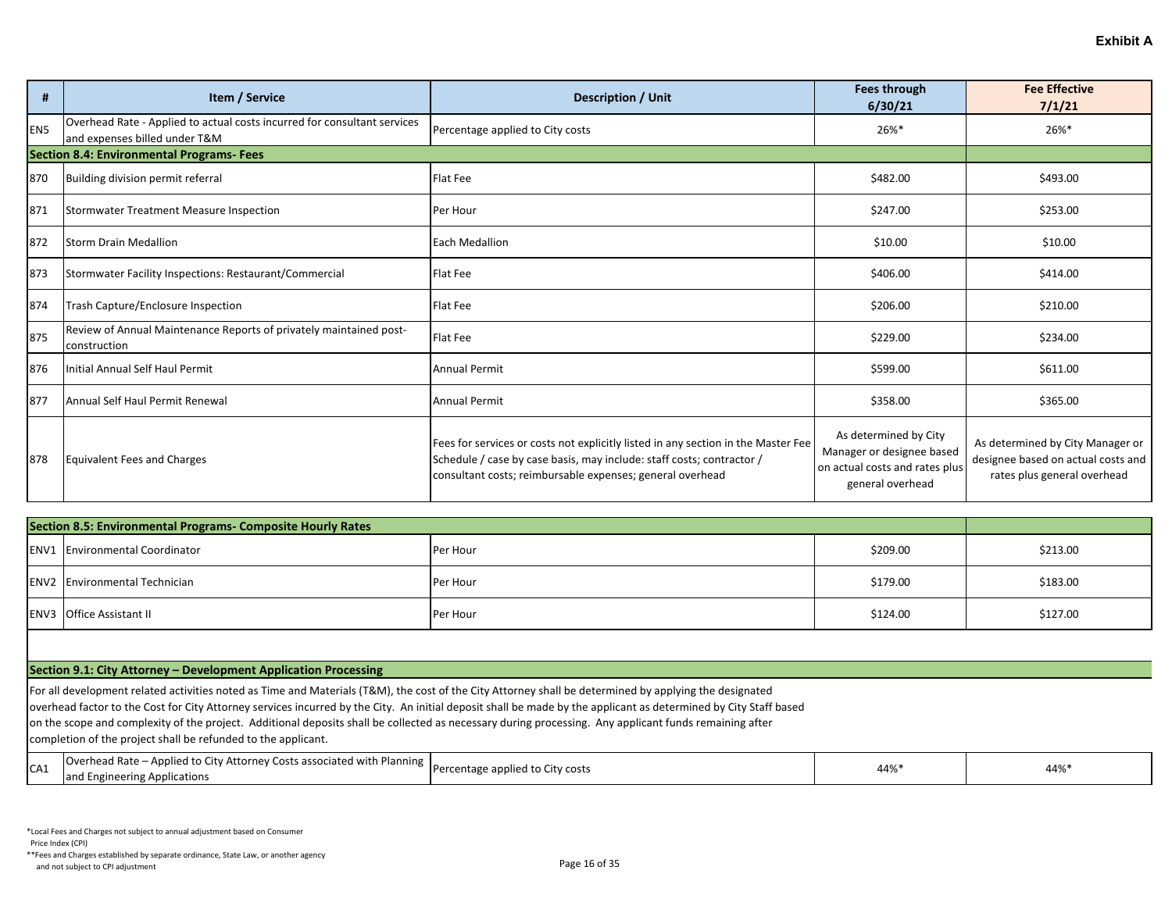| #               | Item / Service                                                                                            | <b>Description / Unit</b>                                                                                                                                                                                               | <b>Fees through</b><br>6/30/21                                                                           | <b>Fee Effective</b><br>7/1/21                                                                        |
|-----------------|-----------------------------------------------------------------------------------------------------------|-------------------------------------------------------------------------------------------------------------------------------------------------------------------------------------------------------------------------|----------------------------------------------------------------------------------------------------------|-------------------------------------------------------------------------------------------------------|
| EN <sub>5</sub> | Overhead Rate - Applied to actual costs incurred for consultant services<br>and expenses billed under T&M | Percentage applied to City costs                                                                                                                                                                                        | 26%*                                                                                                     | 26%*                                                                                                  |
|                 | <b>Section 8.4: Environmental Programs- Fees</b>                                                          |                                                                                                                                                                                                                         |                                                                                                          |                                                                                                       |
| 870             | Building division permit referral                                                                         | Flat Fee                                                                                                                                                                                                                | \$482.00                                                                                                 | \$493.00                                                                                              |
| 871             | Stormwater Treatment Measure Inspection                                                                   | Per Hour                                                                                                                                                                                                                | \$247.00                                                                                                 | \$253.00                                                                                              |
| 872             | <b>Storm Drain Medallion</b>                                                                              | <b>Each Medallion</b>                                                                                                                                                                                                   | \$10.00                                                                                                  | \$10.00                                                                                               |
| 873             | Stormwater Facility Inspections: Restaurant/Commercial                                                    | <b>Flat Fee</b>                                                                                                                                                                                                         | \$406.00                                                                                                 | \$414.00                                                                                              |
| 874             | Trash Capture/Enclosure Inspection                                                                        | Flat Fee                                                                                                                                                                                                                | \$206.00                                                                                                 | \$210.00                                                                                              |
| 875             | Review of Annual Maintenance Reports of privately maintained post-<br>construction                        | <b>Flat Fee</b>                                                                                                                                                                                                         | \$229.00                                                                                                 | \$234.00                                                                                              |
| 876             | Initial Annual Self Haul Permit                                                                           | <b>Annual Permit</b>                                                                                                                                                                                                    | \$599.00                                                                                                 | \$611.00                                                                                              |
| 877             | Annual Self Haul Permit Renewal                                                                           | <b>Annual Permit</b>                                                                                                                                                                                                    | \$358.00                                                                                                 | \$365.00                                                                                              |
| 878             | Equivalent Fees and Charges                                                                               | Fees for services or costs not explicitly listed in any section in the Master Fee<br>Schedule / case by case basis, may include: staff costs; contractor /<br>consultant costs; reimbursable expenses; general overhead | As determined by City<br>Manager or designee based<br>on actual costs and rates plus<br>general overhead | As determined by City Manager or<br>designee based on actual costs and<br>rates plus general overhead |

| Section 8.5: Environmental Programs- Composite Hourly Rates |                                       |          |          |          |
|-------------------------------------------------------------|---------------------------------------|----------|----------|----------|
|                                                             | <b>ENV1</b> Environmental Coordinator | Per Hour | \$209.00 | \$213.00 |
|                                                             | <b>ENV2</b> Environmental Technician  | Per Hour | \$179.00 | \$183.00 |
|                                                             | <b>ENV3</b> Office Assistant II       | Per Hour | \$124.00 | \$127.00 |

#### **Section 9.1: City Attorney – Development Application Processing**

For all development related activities noted as Time and Materials (T&M), the cost of the City Attorney shall be determined by applying the designated overhead factor to the Cost for City Attorney services incurred by the City. An initial deposit shall be made by the applicant as determined by City Staff based on the scope and complexity of the project. Additional deposits shall be collected as necessary during processing. Any applicant funds remaining after completion of the project shall be refunded to the applicant.

| ົ່  | Overhead Rate – Applied to City Attorney Costs associated with Planning $\left  \begin{matrix} \text{percent} \\ \text{percent} \\ \text{percent} \\ \text{applied to City costs} \end{matrix} \right $ | 44% | 44% |
|-----|---------------------------------------------------------------------------------------------------------------------------------------------------------------------------------------------------------|-----|-----|
| -A1 | and Engineering Applications                                                                                                                                                                            |     |     |

Price Index (CPI)

\*\*Fees and Charges established by separate ordinance, State Law, or another agency And not subject to CPI adjustment<br>and not subject to CPI adjustment<br>
Page 16 of 35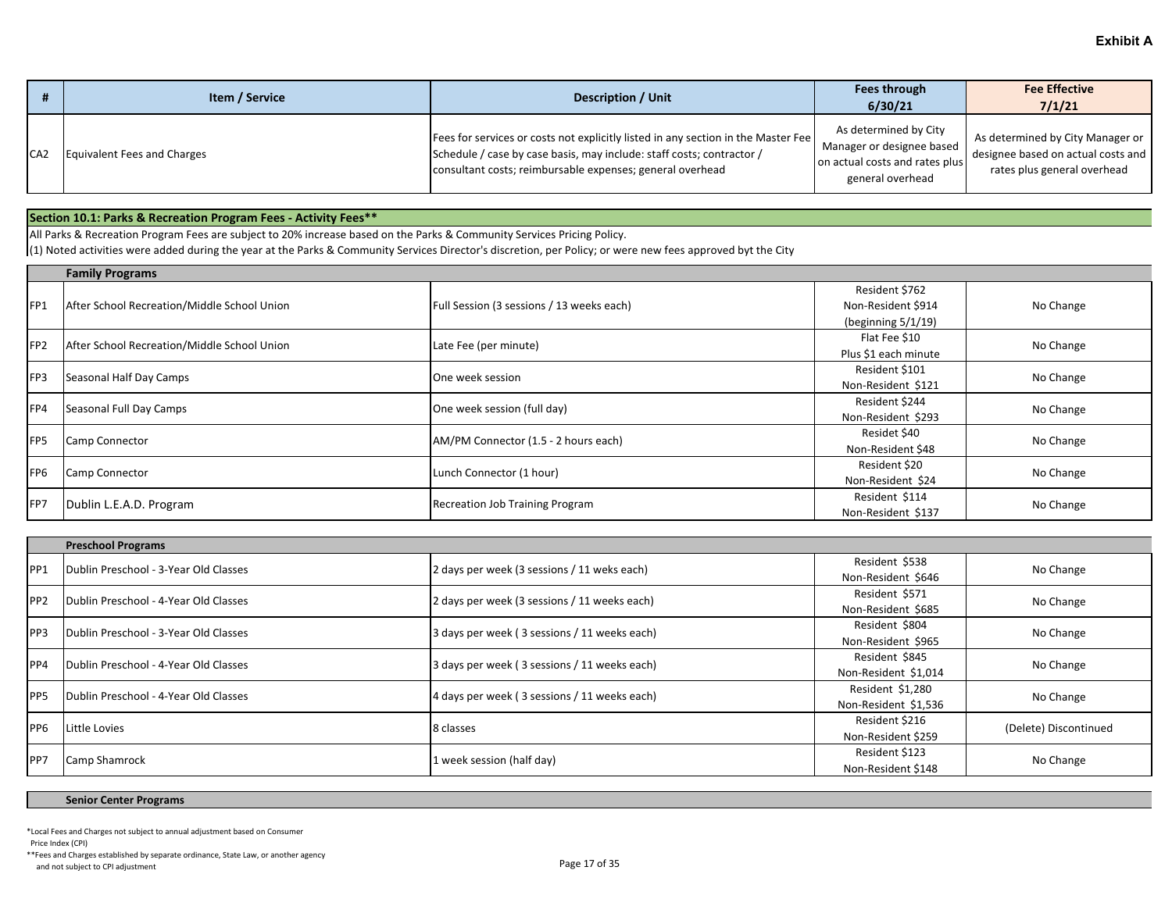|     | Item / Service              | Description / Unit                                                                                                                                                                                                      | Fees through<br>6/30/21                                                                                  | <b>Fee Effective</b><br>7/1/21                                                                        |
|-----|-----------------------------|-------------------------------------------------------------------------------------------------------------------------------------------------------------------------------------------------------------------------|----------------------------------------------------------------------------------------------------------|-------------------------------------------------------------------------------------------------------|
| CA2 | Equivalent Fees and Charges | Fees for services or costs not explicitly listed in any section in the Master Fee<br>Schedule / case by case basis, may include: staff costs; contractor /<br>consultant costs; reimbursable expenses; general overhead | As determined by City<br>Manager or designee based<br>on actual costs and rates plus<br>general overhead | As determined by City Manager or<br>designee based on actual costs and<br>rates plus general overhead |

## **Section 10.1: Parks & Recreation Program Fees - Activity Fees\*\***

All Parks & Recreation Program Fees are subject to 20% increase based on the Parks & Community Services Pricing Policy.

 $(1)$  Noted activities were added during the year at the Parks & Community Services Director's discretion, per Policy; or were new fees approved byt the City

|                 | <b>Family Programs</b>                      |                                           |                       |           |  |
|-----------------|---------------------------------------------|-------------------------------------------|-----------------------|-----------|--|
|                 |                                             |                                           | Resident \$762        |           |  |
| FP1             | After School Recreation/Middle School Union | Full Session (3 sessions / 13 weeks each) | Non-Resident \$914    | No Change |  |
|                 |                                             |                                           | (beginning $5/1/19$ ) |           |  |
| FP <sub>2</sub> | After School Recreation/Middle School Union | Late Fee (per minute)                     | Flat Fee \$10         | No Change |  |
|                 |                                             |                                           | Plus \$1 each minute  |           |  |
| FP3             | Seasonal Half Day Camps                     | One week session                          | Resident \$101        | No Change |  |
|                 |                                             |                                           | Non-Resident \$121    |           |  |
| FP4             | Seasonal Full Day Camps                     | One week session (full day)               | Resident \$244        | No Change |  |
|                 |                                             |                                           | Non-Resident \$293    |           |  |
| <b>FP5</b>      | Camp Connector                              | AM/PM Connector (1.5 - 2 hours each)      | Residet \$40          | No Change |  |
|                 |                                             |                                           | Non-Resident \$48     |           |  |
| FP <sub>6</sub> | Camp Connector                              | Lunch Connector (1 hour)                  | Resident \$20         | No Change |  |
|                 |                                             |                                           | Non-Resident \$24     |           |  |
| FP7             | Dublin L.E.A.D. Program                     | <b>Recreation Job Training Program</b>    | Resident \$114        |           |  |
|                 |                                             |                                           | Non-Resident \$137    | No Change |  |

|                  | <b>Preschool Programs</b>             |                                              |                      |                       |  |
|------------------|---------------------------------------|----------------------------------------------|----------------------|-----------------------|--|
| IPP <sub>1</sub> | Dublin Preschool - 3-Year Old Classes | 2 days per week (3 sessions / 11 weks each)  | Resident \$538       | No Change             |  |
|                  |                                       |                                              | Non-Resident \$646   |                       |  |
| PP <sub>2</sub>  | Dublin Preschool - 4-Year Old Classes | 2 days per week (3 sessions / 11 weeks each) | Resident \$571       | No Change             |  |
|                  |                                       |                                              | Non-Resident \$685   |                       |  |
| PP3              | Dublin Preschool - 3-Year Old Classes | 3 days per week (3 sessions / 11 weeks each) | Resident \$804       | No Change             |  |
|                  |                                       |                                              | Non-Resident \$965   |                       |  |
| PP4              | Dublin Preschool - 4-Year Old Classes | 3 days per week (3 sessions / 11 weeks each) | Resident \$845       | No Change             |  |
|                  |                                       |                                              | Non-Resident \$1,014 |                       |  |
| <b>PP5</b>       | Dublin Preschool - 4-Year Old Classes | 4 days per week (3 sessions / 11 weeks each) | Resident \$1,280     | No Change             |  |
|                  |                                       |                                              | Non-Resident \$1,536 |                       |  |
| PP <sub>6</sub>  | Little Lovies                         | 8 classes                                    | Resident \$216       | (Delete) Discontinued |  |
|                  |                                       |                                              | Non-Resident \$259   |                       |  |
| IPP7             |                                       | 1 week session (half day)                    | Resident \$123       |                       |  |
|                  | <b>Camp Shamrock</b>                  |                                              | Non-Resident \$148   | No Change             |  |

#### **Senior Center Programs**

\*Local Fees and Charges not subject to annual adjustment based on Consumer

Price Index (CPI)

\*\*Fees and Charges established by separate ordinance, State Law, or another agency And not subject to CPI adjustment<br>and not subject to CPI adjustment<br>
Page 17 of 35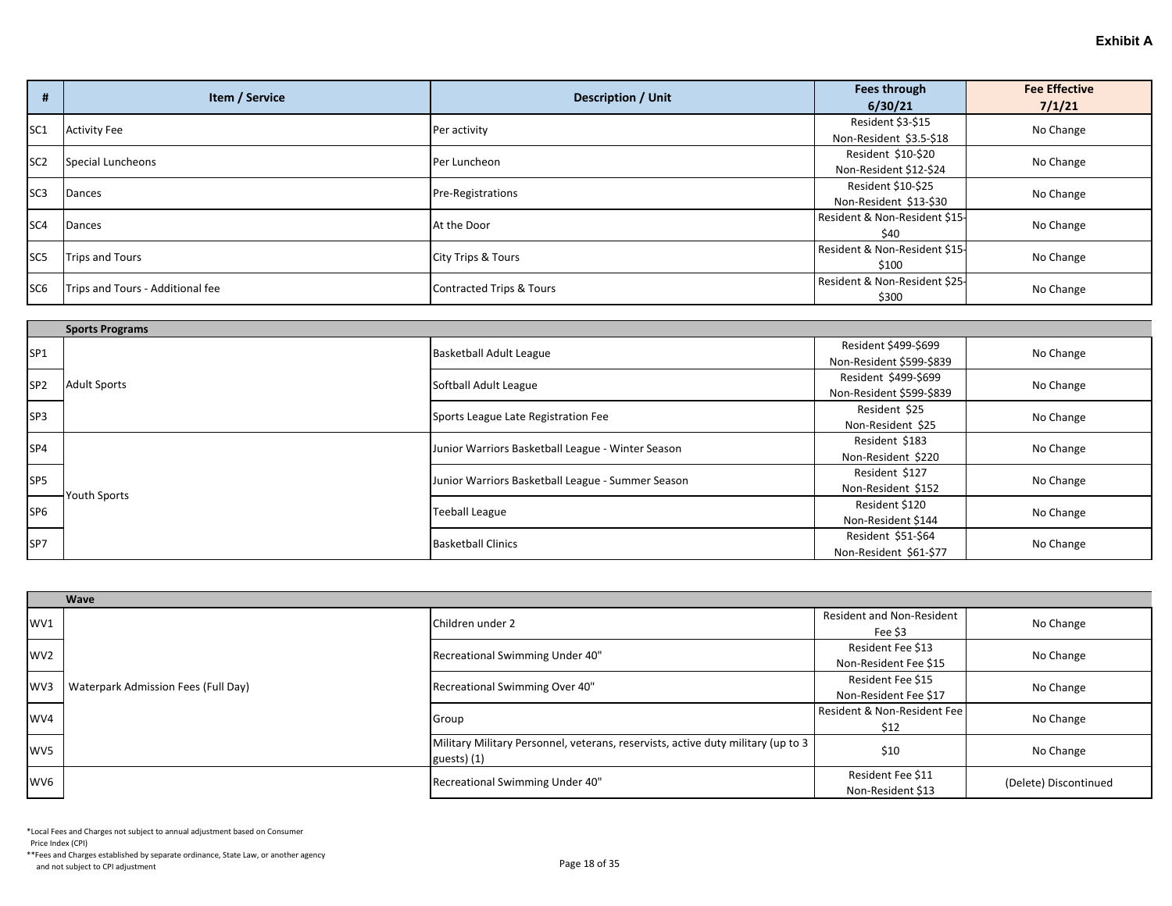|                 | Item / Service                   |                               | Fees through                  | <b>Fee Effective</b> |
|-----------------|----------------------------------|-------------------------------|-------------------------------|----------------------|
|                 |                                  | <b>Description / Unit</b>     | 6/30/21                       | 7/1/21               |
| SC <sub>1</sub> | <b>Activity Fee</b>              | Per activity                  | Resident \$3-\$15             | No Change            |
|                 |                                  |                               | Non-Resident \$3.5-\$18       |                      |
| SC <sub>2</sub> | Special Luncheons                | Per Luncheon                  | Resident \$10-\$20            | No Change            |
|                 |                                  |                               | Non-Resident \$12-\$24        |                      |
| SC <sub>3</sub> | Dances                           | <b>Pre-Registrations</b>      | Resident \$10-\$25            | No Change            |
|                 |                                  |                               | Non-Resident \$13-\$30        |                      |
| SC <sub>4</sub> | Dances                           | At the Door                   | Resident & Non-Resident \$15- | No Change            |
|                 |                                  |                               | \$40                          |                      |
| SC <sub>5</sub> | Trips and Tours                  | <b>City Trips &amp; Tours</b> | Resident & Non-Resident \$15- | No Change            |
|                 |                                  |                               | \$100                         |                      |
| SC <sub>6</sub> |                                  |                               | Resident & Non-Resident \$25- |                      |
|                 | Trips and Tours - Additional fee | Contracted Trips & Tours      | \$300                         | No Change            |

|                 | <b>Sports Programs</b> |                                                   |                          |           |
|-----------------|------------------------|---------------------------------------------------|--------------------------|-----------|
| SP <sub>1</sub> |                        | <b>Basketball Adult League</b>                    | Resident \$499-\$699     | No Change |
|                 |                        |                                                   | Non-Resident \$599-\$839 |           |
| SP <sub>2</sub> | <b>Adult Sports</b>    | Softball Adult League                             | Resident \$499-\$699     | No Change |
|                 |                        |                                                   | Non-Resident \$599-\$839 |           |
| SP <sub>3</sub> |                        | Sports League Late Registration Fee               | Resident \$25            | No Change |
|                 |                        |                                                   | Non-Resident \$25        |           |
| SP <sub>4</sub> |                        | Junior Warriors Basketball League - Winter Season | Resident \$183           | No Change |
|                 |                        |                                                   | Non-Resident \$220       |           |
| SP <sub>5</sub> |                        | Junior Warriors Basketball League - Summer Season | Resident \$127           | No Change |
|                 | <b>Youth Sports</b>    |                                                   | Non-Resident \$152       |           |
| SP <sub>6</sub> |                        | <b>Teeball League</b>                             | Resident \$120           | No Change |
|                 |                        |                                                   | Non-Resident \$144       |           |
| SP7             |                        | <b>Basketball Clinics</b>                         | Resident \$51-\$64       | No Change |
|                 |                        |                                                   | Non-Resident \$61-\$77   |           |

|                 | Wave                                |                                                                                                  |                             |                       |
|-----------------|-------------------------------------|--------------------------------------------------------------------------------------------------|-----------------------------|-----------------------|
| WV1             |                                     | Children under 2                                                                                 | Resident and Non-Resident   | No Change             |
|                 |                                     |                                                                                                  | Fee \$3                     |                       |
| WV <sub>2</sub> |                                     | Recreational Swimming Under 40"                                                                  | Resident Fee \$13           | No Change             |
|                 |                                     |                                                                                                  | Non-Resident Fee \$15       |                       |
| WV3             | Waterpark Admission Fees (Full Day) | Recreational Swimming Over 40"                                                                   | Resident Fee \$15           | No Change             |
|                 |                                     |                                                                                                  | Non-Resident Fee \$17       |                       |
| WV4             |                                     |                                                                                                  | Resident & Non-Resident Fee |                       |
|                 |                                     | Group                                                                                            | \$12                        | No Change             |
| WV <sub>5</sub> |                                     | Military Military Personnel, veterans, reservists, active duty military (up to 3<br>guests $(1)$ | \$10                        | No Change             |
| WV6             |                                     | Recreational Swimming Under 40"                                                                  | Resident Fee \$11           | (Delete) Discontinued |
|                 |                                     |                                                                                                  | Non-Resident \$13           |                       |

Price Index (CPI)

\*\*Fees and Charges established by separate ordinance, State Law, or another agency And not subject to CPI adjustment<br>and not subject to CPI adjustment<br>
Page 18 of 35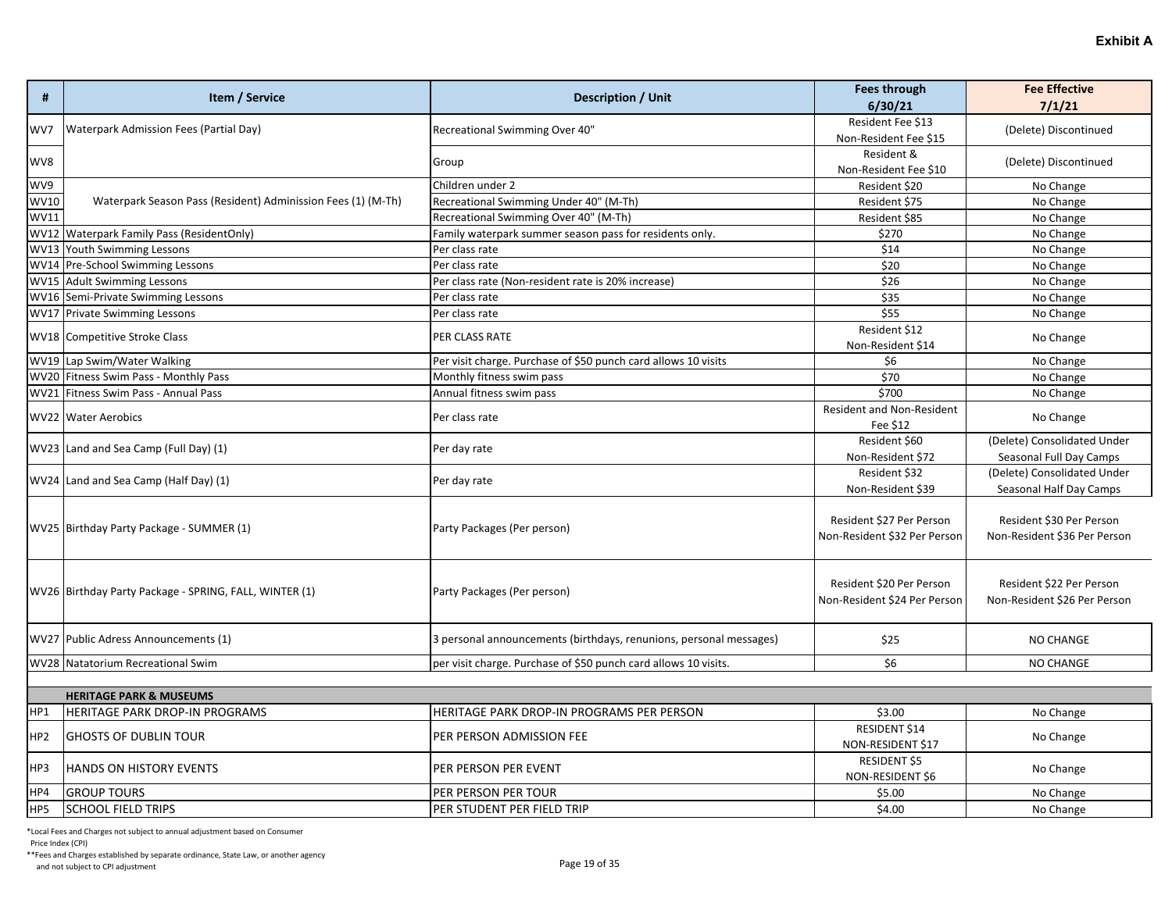|             | Item / Service<br><b>Description / Unit</b>                  | <b>Fees through</b>                                                | <b>Fee Effective</b>             |                              |
|-------------|--------------------------------------------------------------|--------------------------------------------------------------------|----------------------------------|------------------------------|
| #           |                                                              |                                                                    | 6/30/21                          | 7/1/21                       |
| WV7         | <b>Waterpark Admission Fees (Partial Day)</b>                | Recreational Swimming Over 40"                                     | Resident Fee \$13                | (Delete) Discontinued        |
|             |                                                              |                                                                    | Non-Resident Fee \$15            |                              |
| WV8         |                                                              | Group                                                              | Resident &                       | (Delete) Discontinued        |
|             |                                                              |                                                                    | Non-Resident Fee \$10            |                              |
| WV9         |                                                              | Children under 2                                                   | Resident \$20                    | No Change                    |
| <b>WV10</b> | Waterpark Season Pass (Resident) Adminission Fees (1) (M-Th) | Recreational Swimming Under 40" (M-Th)                             | Resident \$75                    | No Change                    |
| <b>WV11</b> |                                                              | Recreational Swimming Over 40" (M-Th)                              | Resident \$85                    | No Change                    |
|             | WV12 Waterpark Family Pass (ResidentOnly)                    | Family waterpark summer season pass for residents only.            | \$270                            | No Change                    |
| <b>WV13</b> | Youth Swimming Lessons                                       | Per class rate                                                     | \$14                             | No Change                    |
|             | WV14 Pre-School Swimming Lessons                             | Per class rate                                                     | \$20                             | No Change                    |
|             | WV15 Adult Swimming Lessons                                  | Per class rate (Non-resident rate is 20% increase)                 | \$26                             | No Change                    |
|             | WV16 Semi-Private Swimming Lessons                           | Per class rate                                                     | \$35                             | No Change                    |
|             | WV17 Private Swimming Lessons                                | Per class rate                                                     | \$55                             | No Change                    |
|             | WV18 Competitive Stroke Class                                | PER CLASS RATE                                                     | Resident \$12                    |                              |
|             |                                                              |                                                                    | Non-Resident \$14                | No Change                    |
|             | WV19 Lap Swim/Water Walking                                  | Per visit charge. Purchase of \$50 punch card allows 10 visits     | \$6                              | No Change                    |
|             | WV20 Fitness Swim Pass - Monthly Pass                        | Monthly fitness swim pass                                          | \$70                             | No Change                    |
|             | WV21 Fitness Swim Pass - Annual Pass                         | Annual fitness swim pass                                           | \$700                            | No Change                    |
|             | WV22 Water Aerobics                                          | Per class rate                                                     | <b>Resident and Non-Resident</b> | No Change                    |
|             |                                                              |                                                                    | Fee \$12                         |                              |
|             | WV23 Land and Sea Camp (Full Day) (1)                        | Per day rate                                                       | Resident \$60                    | (Delete) Consolidated Under  |
|             |                                                              |                                                                    | Non-Resident \$72                | Seasonal Full Day Camps      |
|             | WV24 Land and Sea Camp (Half Day) (1)                        | Per day rate                                                       | Resident \$32                    | (Delete) Consolidated Under  |
|             |                                                              |                                                                    | Non-Resident \$39                | Seasonal Half Day Camps      |
|             |                                                              |                                                                    |                                  |                              |
|             | WV25 Birthday Party Package - SUMMER (1)                     | Party Packages (Per person)                                        | Resident \$27 Per Person         | Resident \$30 Per Person     |
|             |                                                              |                                                                    | Non-Resident \$32 Per Person     | Non-Resident \$36 Per Person |
|             |                                                              |                                                                    |                                  |                              |
|             |                                                              |                                                                    |                                  |                              |
|             | WV26 Birthday Party Package - SPRING, FALL, WINTER (1)       | Party Packages (Per person)                                        | Resident \$20 Per Person         | Resident \$22 Per Person     |
|             |                                                              |                                                                    | Non-Resident \$24 Per Person     | Non-Resident \$26 Per Person |
|             |                                                              |                                                                    |                                  |                              |
|             | WV27 Public Adress Announcements (1)                         | 3 personal announcements (birthdays, renunions, personal messages) | \$25                             | <b>NO CHANGE</b>             |
|             |                                                              |                                                                    |                                  |                              |
|             | WV28 Natatorium Recreational Swim                            | per visit charge. Purchase of \$50 punch card allows 10 visits.    | \$6                              | NO CHANGE                    |
|             |                                                              |                                                                    |                                  |                              |
|             | <b>HERITAGE PARK &amp; MUSEUMS</b>                           |                                                                    |                                  |                              |
| HP1         | <b>HERITAGE PARK DROP-IN PROGRAMS</b>                        | HERITAGE PARK DROP-IN PROGRAMS PER PERSON                          | \$3.00                           | No Change                    |
|             |                                                              |                                                                    | <b>DECIDENT C14</b>              |                              |

|                 |                                |                             | ----                               |           |
|-----------------|--------------------------------|-----------------------------|------------------------------------|-----------|
| HP <sub>2</sub> | <b>GHOSTS OF DUBLIN TOUR</b>   | PER PERSON ADMISSION FEE    | RESIDENT \$14<br>NON-RESIDENT \$17 | No Change |
| HP3             | <b>HANDS ON HISTORY EVENTS</b> | PER PERSON PER EVENT        | RESIDENT \$5<br>NON-RESIDENT \$6   | No Change |
| HP4             | <b>GROUP TOURS</b>             | IPER PERSON PER TOUR        | \$5.00                             | No Change |
| HP5             | <b>SCHOOL FIELD TRIPS</b>      | IPER STUDENT PER FIELD TRIP | \$4.00                             | No Change |

Price Index (CPI)

\*\*Fees and Charges established by separate ordinance, State Law, or another agency

And not subject to CPI adjustment<br>and not subject to CPI adjustment<br>
Page 19 of 35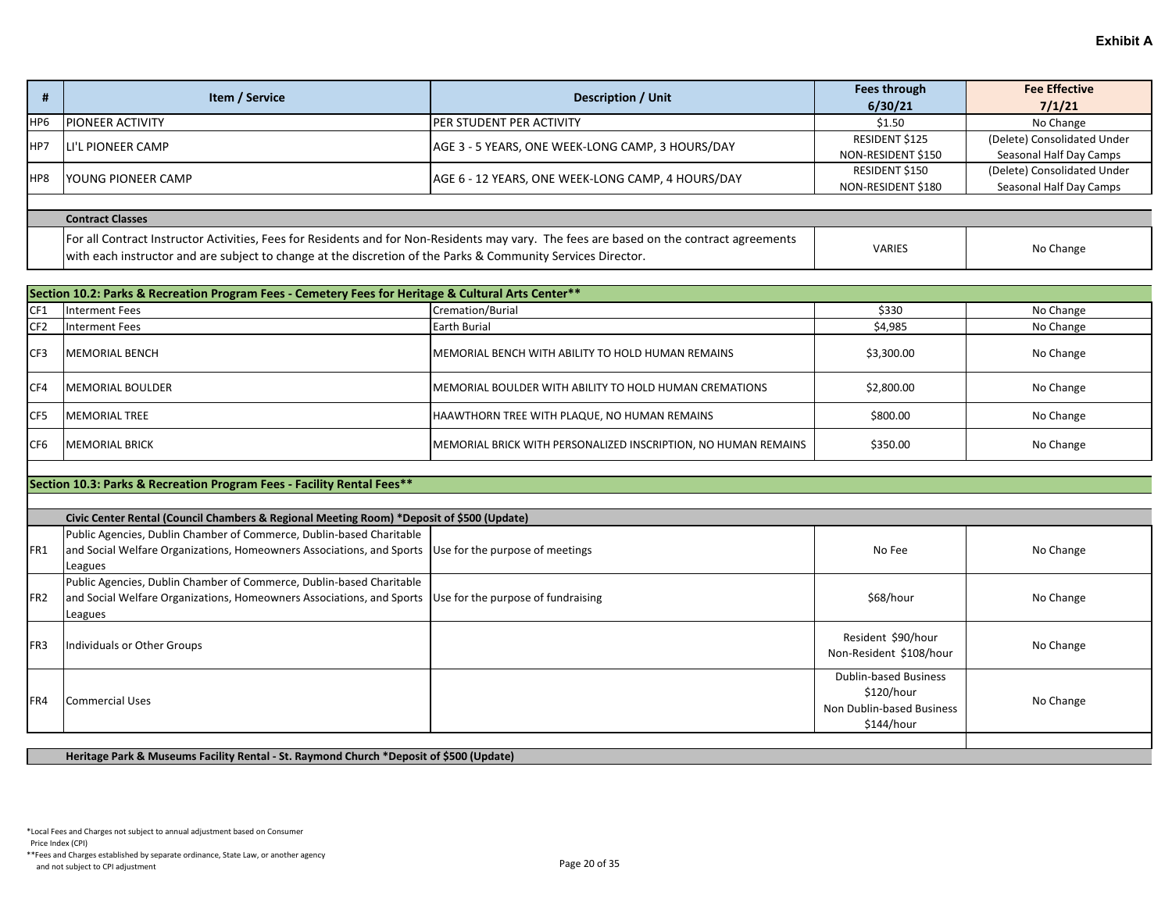|     | Item / Service           | <b>Description / Unit</b>                         | Fees through<br>6/30/21              | <b>Fee Effective</b><br>7/1/21                         |
|-----|--------------------------|---------------------------------------------------|--------------------------------------|--------------------------------------------------------|
| HP6 | <b>IPIONEER ACTIVITY</b> | <b>IPER STUDENT PER ACTIVITY</b>                  | \$1.50                               | No Change                                              |
| HP7 | LI'L PIONEER CAMP        | AGE 3 - 5 YEARS, ONE WEEK-LONG CAMP, 3 HOURS/DAY  | RESIDENT \$125<br>NON-RESIDENT \$150 | (Delete) Consolidated Under<br>Seasonal Half Day Camps |
| HP8 | IYOUNG PIONEER CAMP      | AGE 6 - 12 YEARS, ONE WEEK-LONG CAMP, 4 HOURS/DAY | RESIDENT \$150<br>NON-RESIDENT \$180 | (Delete) Consolidated Under<br>Seasonal Half Day Camps |

| Contract Classes                                                                                                                         |               |           |  |  |
|------------------------------------------------------------------------------------------------------------------------------------------|---------------|-----------|--|--|
| For all Contract Instructor Activities, Fees for Residents and for Non-Residents may vary. The fees are based on the contract agreements | <b>VARIES</b> |           |  |  |
| lwith each instructor and are subject to change at the discretion of the Parks & Community Services Director.                            |               | No Change |  |  |

|                 | Section 10.2: Parks & Recreation Program Fees - Cemetery Fees for Heritage & Cultural Arts Center** |                                                                |            |           |  |  |
|-----------------|-----------------------------------------------------------------------------------------------------|----------------------------------------------------------------|------------|-----------|--|--|
| CF <sub>1</sub> | Interment Fees                                                                                      | Cremation/Burial                                               | \$330      | No Change |  |  |
| CF <sub>2</sub> | Interment Fees                                                                                      | Earth Burial                                                   | \$4,985    | No Change |  |  |
| CF3             | <b>MEMORIAL BENCH</b>                                                                               | IMEMORIAL BENCH WITH ABILITY TO HOLD HUMAN REMAINS             | \$3,300.00 | No Change |  |  |
| CF4             | <b>IMEMORIAL BOULDER</b>                                                                            | IMEMORIAL BOULDER WITH ABILITY TO HOLD HUMAN CREMATIONS        | \$2,800.00 | No Change |  |  |
| ICF5            | <b>MEMORIAL TREE</b>                                                                                | HAAWTHORN TREE WITH PLAQUE, NO HUMAN REMAINS                   | \$800.00   | No Change |  |  |
| CF <sub>6</sub> | <b>IMEMORIAL BRICK</b>                                                                              | MEMORIAL BRICK WITH PERSONALIZED INSCRIPTION, NO HUMAN REMAINS | \$350.00   | No Change |  |  |

### **Section 10.3: Parks & Recreation Program Fees - Facility Rental Fees\*\***

|                 | Civic Center Rental (Council Chambers & Regional Meeting Room) *Deposit of \$500 (Update)                        |  |                                               |           |  |
|-----------------|------------------------------------------------------------------------------------------------------------------|--|-----------------------------------------------|-----------|--|
|                 | Public Agencies, Dublin Chamber of Commerce, Dublin-based Charitable                                             |  |                                               |           |  |
| IFR1            | and Social Welfare Organizations, Homeowners Associations, and Sports Use for the purpose of meetings            |  | No Fee                                        | No Change |  |
|                 | Leagues                                                                                                          |  |                                               |           |  |
|                 | Public Agencies, Dublin Chamber of Commerce, Dublin-based Charitable                                             |  |                                               |           |  |
| FR <sub>2</sub> | and Social Welfare Organizations, Homeowners Associations, and Sports $\vert$ Use for the purpose of fundraising |  | \$68/hour                                     | No Change |  |
|                 | Leagues                                                                                                          |  |                                               |           |  |
| FR <sub>3</sub> | Individuals or Other Groups                                                                                      |  | Resident \$90/hour<br>Non-Resident \$108/hour | No Change |  |
|                 |                                                                                                                  |  | <b>Dublin-based Business</b>                  |           |  |
| IFR4            | <b>Commercial Uses</b>                                                                                           |  | \$120/hour                                    | No Change |  |
|                 |                                                                                                                  |  | Non Dublin-based Business                     |           |  |
|                 |                                                                                                                  |  | \$144/hour                                    |           |  |
|                 |                                                                                                                  |  |                                               |           |  |

**Heritage Park & Museums Facility Rental - St. Raymond Church \*Deposit of \$500 (Update)**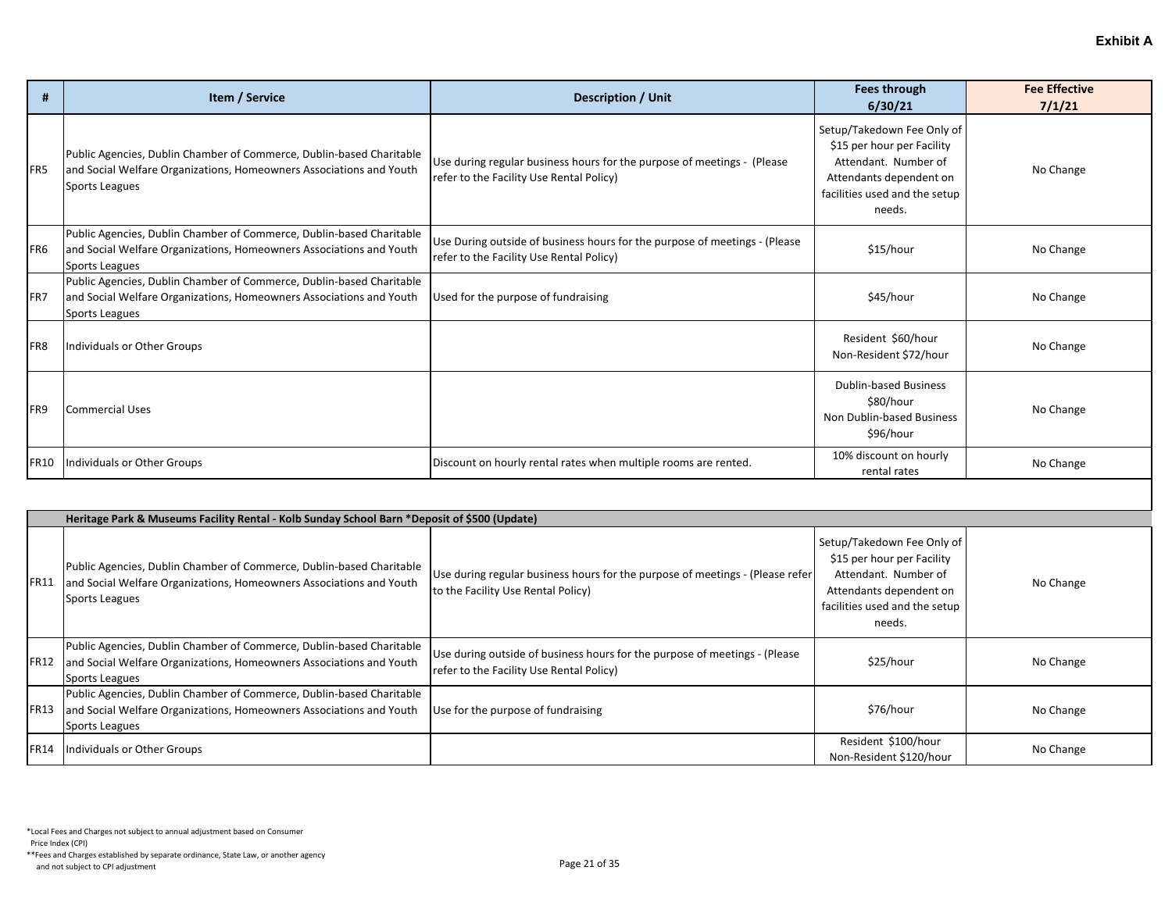| #               | Item / Service                                                                                                                                                | <b>Description / Unit</b>                                                                                              | Fees through<br>6/30/21                                                                                                                                | <b>Fee Effective</b><br>7/1/21 |  |  |
|-----------------|---------------------------------------------------------------------------------------------------------------------------------------------------------------|------------------------------------------------------------------------------------------------------------------------|--------------------------------------------------------------------------------------------------------------------------------------------------------|--------------------------------|--|--|
| FR5             | Public Agencies, Dublin Chamber of Commerce, Dublin-based Charitable<br>and Social Welfare Organizations, Homeowners Associations and Youth<br>Sports Leagues | Use during regular business hours for the purpose of meetings - (Please<br>refer to the Facility Use Rental Policy)    | Setup/Takedown Fee Only of<br>\$15 per hour per Facility<br>Attendant. Number of<br>Attendants dependent on<br>facilities used and the setup<br>needs. | No Change                      |  |  |
| FR <sub>6</sub> | Public Agencies, Dublin Chamber of Commerce, Dublin-based Charitable<br>and Social Welfare Organizations, Homeowners Associations and Youth<br>Sports Leagues | Use During outside of business hours for the purpose of meetings - (Please<br>refer to the Facility Use Rental Policy) | \$15/hour                                                                                                                                              | No Change                      |  |  |
| <b>IFR7</b>     | Public Agencies, Dublin Chamber of Commerce, Dublin-based Charitable<br>and Social Welfare Organizations, Homeowners Associations and Youth<br>Sports Leagues | Used for the purpose of fundraising                                                                                    | \$45/hour                                                                                                                                              | No Change                      |  |  |
| FR <sub>8</sub> | Individuals or Other Groups                                                                                                                                   |                                                                                                                        | Resident \$60/hour<br>Non-Resident \$72/hour                                                                                                           | No Change                      |  |  |
| FR9             | <b>Commercial Uses</b>                                                                                                                                        |                                                                                                                        | <b>Dublin-based Business</b><br>\$80/hour<br>Non Dublin-based Business<br>\$96/hour                                                                    | No Change                      |  |  |
| <b>FR10</b>     | Individuals or Other Groups                                                                                                                                   | Discount on hourly rental rates when multiple rooms are rented.                                                        | 10% discount on hourly<br>rental rates                                                                                                                 | No Change                      |  |  |
|                 |                                                                                                                                                               |                                                                                                                        |                                                                                                                                                        |                                |  |  |

|             | Heritage Park & Museums Facility Rental - Kolb Sunday School Barn *Deposit of \$500 (Update)                                                                  |                                                                                                                        |                                                                                                                                                        |           |  |  |
|-------------|---------------------------------------------------------------------------------------------------------------------------------------------------------------|------------------------------------------------------------------------------------------------------------------------|--------------------------------------------------------------------------------------------------------------------------------------------------------|-----------|--|--|
| FR11        | Public Agencies, Dublin Chamber of Commerce, Dublin-based Charitable<br>and Social Welfare Organizations, Homeowners Associations and Youth<br>Sports Leagues | Use during regular business hours for the purpose of meetings - (Please refer<br>to the Facility Use Rental Policy)    | Setup/Takedown Fee Only of<br>\$15 per hour per Facility<br>Attendant. Number of<br>Attendants dependent on<br>facilities used and the setup<br>needs. | No Change |  |  |
| <b>FR12</b> | Public Agencies, Dublin Chamber of Commerce, Dublin-based Charitable<br>and Social Welfare Organizations, Homeowners Associations and Youth<br>Sports Leagues | Use during outside of business hours for the purpose of meetings - (Please<br>refer to the Facility Use Rental Policy) | \$25/hour                                                                                                                                              | No Change |  |  |
| <b>FR13</b> | Public Agencies, Dublin Chamber of Commerce, Dublin-based Charitable<br>and Social Welfare Organizations, Homeowners Associations and Youth<br>Sports Leagues | Use for the purpose of fundraising                                                                                     | \$76/hour                                                                                                                                              | No Change |  |  |
| <b>FR14</b> | Individuals or Other Groups                                                                                                                                   |                                                                                                                        | Resident \$100/hour<br>Non-Resident \$120/hour                                                                                                         | No Change |  |  |

Price Index (CPI)

\*\*Fees and Charges established by separate ordinance, State Law, or another agency And not subject to CPI adjustment<br>and not subject to CPI adjustment<br>
Page 21 of 35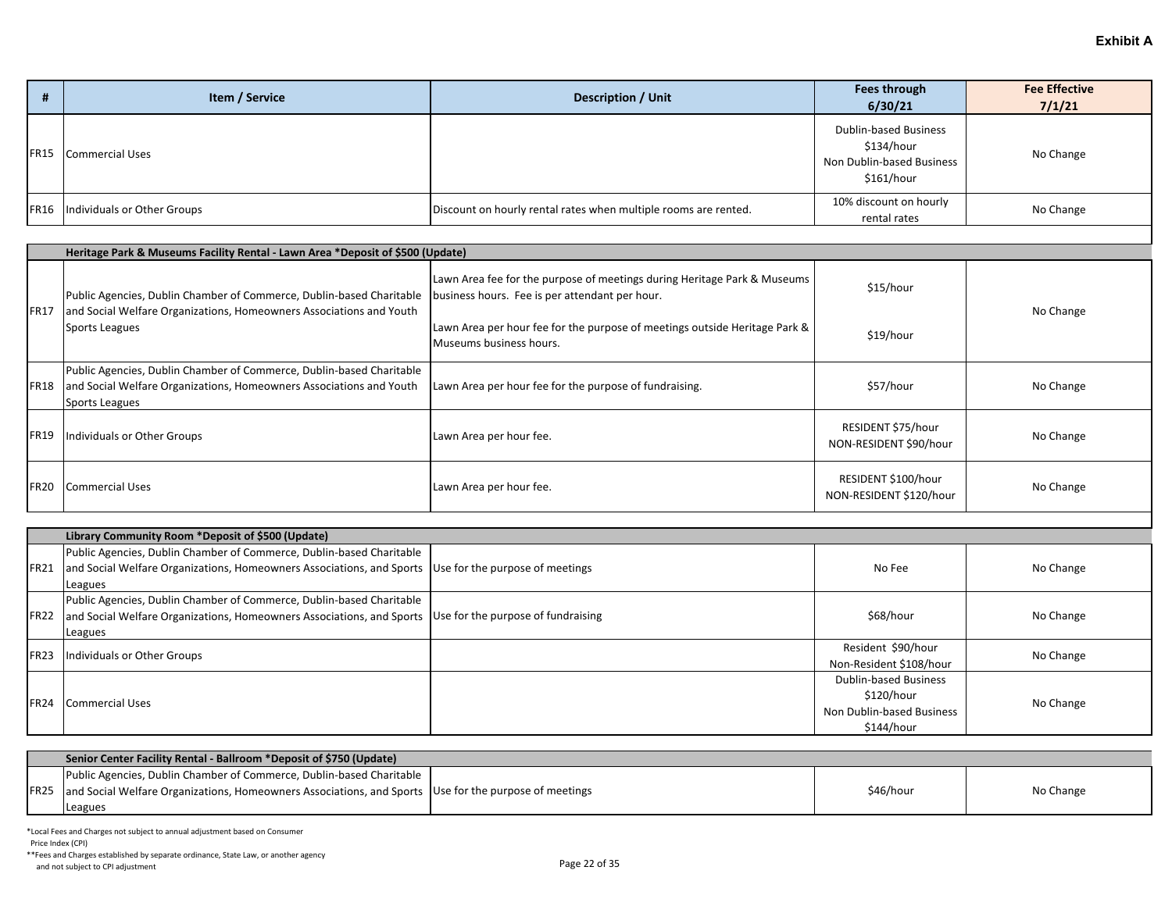| л | Item / Service                     | <b>Description / Unit</b>                                       | Fees through<br>6/30/21                                                               | <b>Fee Effective</b><br>7/1/21 |
|---|------------------------------------|-----------------------------------------------------------------|---------------------------------------------------------------------------------------|--------------------------------|
|   | FR15 Commercial Uses               |                                                                 | <b>Dublin-based Business</b><br>\$134/hour<br>Non Dublin-based Business<br>\$161/hour | No Change                      |
|   | FR16   Individuals or Other Groups | Discount on hourly rental rates when multiple rooms are rented. | 10% discount on hourly<br>rental rates                                                | No Change                      |

|             | Heritage Park & Museums Facility Rental - Lawn Area *Deposit of \$500 (Update)                                                                                |                                                                                                                            |                                                |           |  |  |
|-------------|---------------------------------------------------------------------------------------------------------------------------------------------------------------|----------------------------------------------------------------------------------------------------------------------------|------------------------------------------------|-----------|--|--|
| <b>FR17</b> | Public Agencies, Dublin Chamber of Commerce, Dublin-based Charitable<br>and Social Welfare Organizations, Homeowners Associations and Youth<br>Sports Leagues | Lawn Area fee for the purpose of meetings during Heritage Park & Museums<br>business hours. Fee is per attendant per hour. | \$15/hour                                      | No Change |  |  |
|             |                                                                                                                                                               | Lawn Area per hour fee for the purpose of meetings outside Heritage Park &<br>Museums business hours.                      | \$19/hour                                      |           |  |  |
| FR18        | Public Agencies, Dublin Chamber of Commerce, Dublin-based Charitable<br>and Social Welfare Organizations, Homeowners Associations and Youth<br>Sports Leagues | Lawn Area per hour fee for the purpose of fundraising.                                                                     | \$57/hour                                      | No Change |  |  |
| FR19        | Individuals or Other Groups                                                                                                                                   | Lawn Area per hour fee.                                                                                                    | RESIDENT \$75/hour<br>NON-RESIDENT \$90/hour   | No Change |  |  |
| FR20        | Commercial Uses                                                                                                                                               | Lawn Area per hour fee.                                                                                                    | RESIDENT \$100/hour<br>NON-RESIDENT \$120/hour | No Change |  |  |

|             | Library Community Room *Deposit of \$500 (Update)                                                        |                              |           |
|-------------|----------------------------------------------------------------------------------------------------------|------------------------------|-----------|
|             | Public Agencies, Dublin Chamber of Commerce, Dublin-based Charitable                                     |                              |           |
| <b>FR21</b> | and Social Welfare Organizations, Homeowners Associations, and Sports Use for the purpose of meetings    | No Fee                       | No Change |
|             | Leagues                                                                                                  |                              |           |
|             | Public Agencies, Dublin Chamber of Commerce, Dublin-based Charitable                                     |                              |           |
| <b>FR22</b> | and Social Welfare Organizations, Homeowners Associations, and Sports Use for the purpose of fundraising | \$68/hour                    | No Change |
|             | Leagues                                                                                                  |                              |           |
| <b>FR23</b> | Individuals or Other Groups                                                                              | Resident \$90/hour           | No Change |
|             |                                                                                                          | Non-Resident \$108/hour      |           |
|             |                                                                                                          | <b>Dublin-based Business</b> |           |
| <b>FR24</b> | <b>ICommercial Uses</b>                                                                                  | \$120/hour                   | No Change |
|             |                                                                                                          | Non Dublin-based Business    |           |
|             |                                                                                                          | \$144/hour                   |           |

| Senior Center Facility Rental - Ballroom *Deposit of \$750 (Update)                                               |  |           |           |  |
|-------------------------------------------------------------------------------------------------------------------|--|-----------|-----------|--|
| Public Agencies, Dublin Chamber of Commerce, Dublin-based Charitable                                              |  |           |           |  |
| <b>FR25</b> and Social Welfare Organizations, Homeowners Associations, and Sports Use for the purpose of meetings |  | \$46/hour | No Change |  |
| Leagues                                                                                                           |  |           |           |  |

Price Index (CPI)

\*\*Fees and Charges established by separate ordinance, State Law, or another agency And not subject to CPI adjustment<br>and not subject to CPI adjustment<br>
Page 22 of 35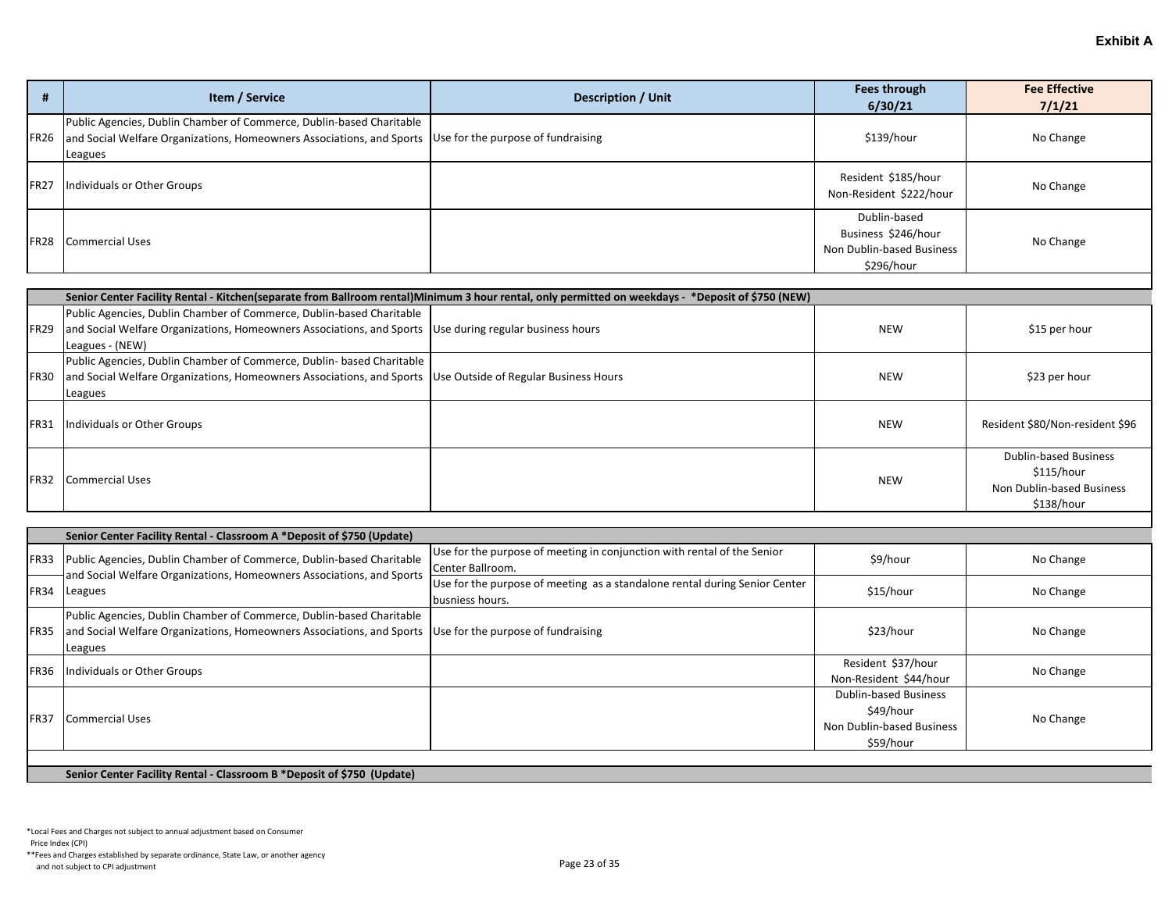|             | Item / Service                                                                                                                                                                              | <b>Description / Unit</b> | Fees through<br>6/30/21                                                        | <b>Fee Effective</b><br>7/1/21 |
|-------------|---------------------------------------------------------------------------------------------------------------------------------------------------------------------------------------------|---------------------------|--------------------------------------------------------------------------------|--------------------------------|
| <b>FR26</b> | Public Agencies, Dublin Chamber of Commerce, Dublin-based Charitable<br>and Social Welfare Organizations, Homeowners Associations, and Sports Use for the purpose of fundraising<br>Leagues |                           | \$139/hour                                                                     | No Change                      |
| <b>FR27</b> | Individuals or Other Groups                                                                                                                                                                 |                           | Resident \$185/hour<br>Non-Resident \$222/hour                                 | No Change                      |
| <b>FR28</b> | <b>Commercial Uses</b>                                                                                                                                                                      |                           | Dublin-based<br>Business \$246/hour<br>Non Dublin-based Business<br>\$296/hour | No Change                      |

|             | Senior Center Facility Rental - Kitchen(separate from Ballroom rental)Minimum 3 hour rental, only permitted on weekdays - *Deposit of \$750 (NEW) |  |            |                                 |  |
|-------------|---------------------------------------------------------------------------------------------------------------------------------------------------|--|------------|---------------------------------|--|
|             | Public Agencies, Dublin Chamber of Commerce, Dublin-based Charitable                                                                              |  |            |                                 |  |
| <b>FR29</b> | and Social Welfare Organizations, Homeowners Associations, and Sports Use during regular business hours                                           |  | <b>NEW</b> | \$15 per hour                   |  |
|             | Leagues - (NEW)                                                                                                                                   |  |            |                                 |  |
|             | Public Agencies, Dublin Chamber of Commerce, Dublin- based Charitable                                                                             |  |            |                                 |  |
| <b>FR30</b> | and Social Welfare Organizations, Homeowners Associations, and Sports Use Outside of Regular Business Hours                                       |  | <b>NEW</b> | \$23 per hour                   |  |
|             | Leagues                                                                                                                                           |  |            |                                 |  |
| <b>FR31</b> | Individuals or Other Groups                                                                                                                       |  | <b>NEW</b> | Resident \$80/Non-resident \$96 |  |
|             |                                                                                                                                                   |  |            | <b>Dublin-based Business</b>    |  |
| <b>FR32</b> | Commercial Uses                                                                                                                                   |  | <b>NEW</b> | \$115/hour                      |  |
|             |                                                                                                                                                   |  |            | Non Dublin-based Business       |  |
|             |                                                                                                                                                   |  |            | \$138/hour                      |  |

|             | Senior Center Facility Rental - Classroom A *Deposit of \$750 (Update)                                                                                   |                                                                                               |                                                                                     |           |  |
|-------------|----------------------------------------------------------------------------------------------------------------------------------------------------------|-----------------------------------------------------------------------------------------------|-------------------------------------------------------------------------------------|-----------|--|
| FR33        | Public Agencies, Dublin Chamber of Commerce, Dublin-based Charitable<br>and Social Welfare Organizations, Homeowners Associations, and Sports            | Use for the purpose of meeting in conjunction with rental of the Senior<br>Center Ballroom.   | \$9/hour                                                                            | No Change |  |
|             | FR34 Leagues                                                                                                                                             | Use for the purpose of meeting as a standalone rental during Senior Center<br>busniess hours. | \$15/hour                                                                           | No Change |  |
| IFR35       | Public Agencies, Dublin Chamber of Commerce, Dublin-based Charitable<br>and Social Welfare Organizations, Homeowners Associations, and Sports<br>Leagues | Use for the purpose of fundraising                                                            | \$23/hour                                                                           | No Change |  |
| <b>FR36</b> | Individuals or Other Groups                                                                                                                              |                                                                                               | Resident \$37/hour<br>Non-Resident \$44/hour                                        | No Change |  |
| <b>FR37</b> | <b>Commercial Uses</b>                                                                                                                                   |                                                                                               | <b>Dublin-based Business</b><br>\$49/hour<br>Non Dublin-based Business<br>\$59/hour | No Change |  |

## **Senior Center Facility Rental - Classroom B \*Deposit of \$750 (Update)**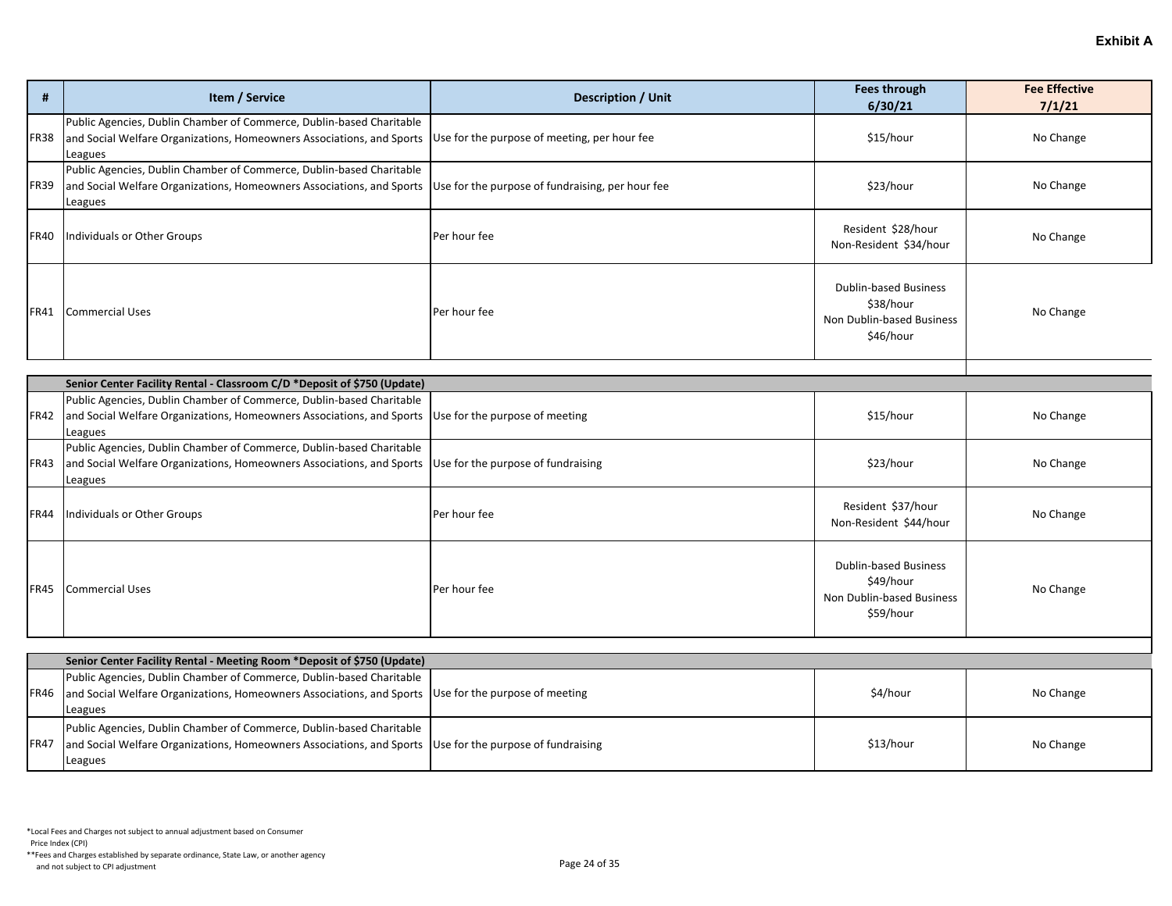| #           | Item / Service                                                                                                                                           | <b>Description / Unit</b>                        | <b>Fees through</b><br>6/30/21                                                      | <b>Fee Effective</b><br>7/1/21 |  |  |
|-------------|----------------------------------------------------------------------------------------------------------------------------------------------------------|--------------------------------------------------|-------------------------------------------------------------------------------------|--------------------------------|--|--|
| FR38        | Public Agencies, Dublin Chamber of Commerce, Dublin-based Charitable<br>and Social Welfare Organizations, Homeowners Associations, and Sports<br>Leagues | Use for the purpose of meeting, per hour fee     | \$15/hour                                                                           | No Change                      |  |  |
| <b>FR39</b> | Public Agencies, Dublin Chamber of Commerce, Dublin-based Charitable<br>and Social Welfare Organizations, Homeowners Associations, and Sports<br>Leagues | Use for the purpose of fundraising, per hour fee | \$23/hour                                                                           | No Change                      |  |  |
| <b>FR40</b> | Individuals or Other Groups                                                                                                                              | Per hour fee                                     | Resident \$28/hour<br>Non-Resident \$34/hour                                        | No Change                      |  |  |
| FR41        | <b>Commercial Uses</b>                                                                                                                                   | Per hour fee                                     | <b>Dublin-based Business</b><br>\$38/hour<br>Non Dublin-based Business<br>\$46/hour | No Change                      |  |  |
|             |                                                                                                                                                          |                                                  |                                                                                     |                                |  |  |
|             | Senior Center Facility Rental - Classroom C/D *Deposit of \$750 (Update)<br>Public Agencies, Dublin Chamber of Commerce, Dublin-based Charitable         |                                                  |                                                                                     |                                |  |  |
| FR42        | and Social Welfare Organizations, Homeowners Associations, and Sports<br>Leagues                                                                         | Use for the purpose of meeting                   | \$15/hour                                                                           | No Change                      |  |  |
| FR43        | Public Agencies, Dublin Chamber of Commerce, Dublin-based Charitable<br>and Social Welfare Organizations, Homeowners Associations, and Sports<br>Leagues | Use for the purpose of fundraising               | \$23/hour                                                                           | No Change                      |  |  |
| <b>FR44</b> | Individuals or Other Groups                                                                                                                              | Per hour fee                                     | Resident \$37/hour<br>Non-Resident \$44/hour                                        | No Change                      |  |  |
| <b>FR45</b> | <b>Commercial Uses</b>                                                                                                                                   | Per hour fee                                     | <b>Dublin-based Business</b><br>\$49/hour<br>Non Dublin-based Business<br>\$59/hour | No Change                      |  |  |
|             |                                                                                                                                                          |                                                  |                                                                                     |                                |  |  |
|             | Senior Center Facility Rental - Meeting Room *Deposit of \$750 (Update)                                                                                  |                                                  |                                                                                     |                                |  |  |
| <b>FR46</b> | Public Agencies, Dublin Chamber of Commerce, Dublin-based Charitable<br>and Social Welfare Organizations, Homeowners Associations, and Sports<br>Leagues | Use for the purpose of meeting                   | \$4/hour                                                                            | No Change                      |  |  |
| FR47        | Public Agencies, Dublin Chamber of Commerce, Dublin-based Charitable<br>and Social Welfare Organizations, Homeowners Associations, and Sports<br>Leagues | Use for the purpose of fundraising               | \$13/hour                                                                           | No Change                      |  |  |

Price Index (CPI)

\*\*Fees and Charges established by separate ordinance, State Law, or another agency And not subject to CPI adjustment<br>and not subject to CPI adjustment<br>
Page 24 of 35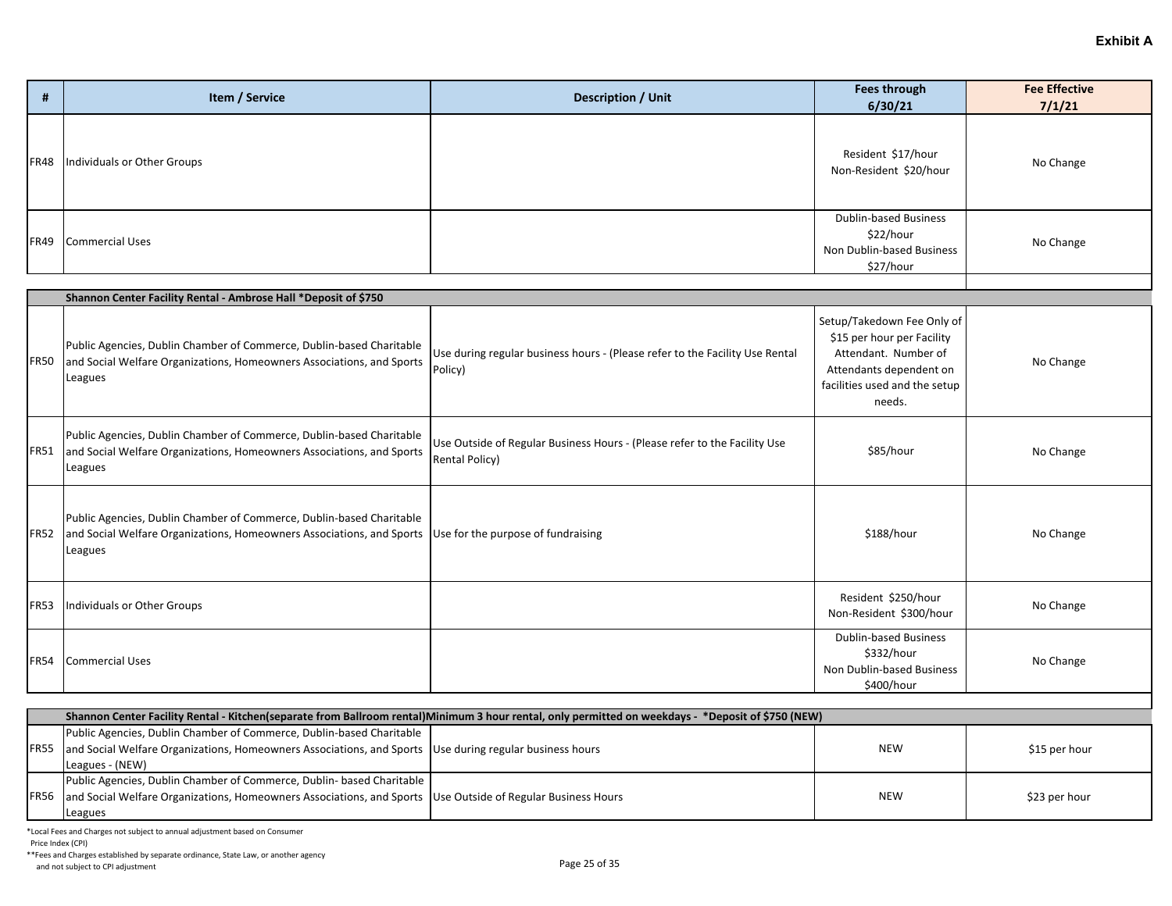| Item / Service                          | <b>Description / Unit</b> | Fees through<br>6/30/21                                                      | <b>Fee Effective</b><br>7/1/21 |
|-----------------------------------------|---------------------------|------------------------------------------------------------------------------|--------------------------------|
| <b>FR48</b> Individuals or Other Groups |                           | Resident \$17/hour<br>Non-Resident \$20/hour                                 | No Change                      |
| FR49 Commercial Uses                    |                           | Dublin-based Business<br>\$22/hour<br>Non Dublin-based Business<br>\$27/hour | No Change                      |

|             | Shannon Center Facility Rental - Ambrose Hall *Deposit of \$750                                                                                                                               |                                                                                                     |                                                                                                                                                        |           |
|-------------|-----------------------------------------------------------------------------------------------------------------------------------------------------------------------------------------------|-----------------------------------------------------------------------------------------------------|--------------------------------------------------------------------------------------------------------------------------------------------------------|-----------|
| <b>FR50</b> | Public Agencies, Dublin Chamber of Commerce, Dublin-based Charitable<br>and Social Welfare Organizations, Homeowners Associations, and Sports<br>Leagues                                      | Use during regular business hours - (Please refer to the Facility Use Rental<br>Policy)             | Setup/Takedown Fee Only of<br>\$15 per hour per Facility<br>Attendant. Number of<br>Attendants dependent on<br>facilities used and the setup<br>needs. | No Change |
| FR51        | Public Agencies, Dublin Chamber of Commerce, Dublin-based Charitable<br>and Social Welfare Organizations, Homeowners Associations, and Sports<br>Leagues                                      | Use Outside of Regular Business Hours - (Please refer to the Facility Use<br><b>Rental Policy</b> ) | \$85/hour                                                                                                                                              | No Change |
| IFR52       | Public Agencies, Dublin Chamber of Commerce, Dublin-based Charitable<br>and Social Welfare Organizations, Homeowners Associations, and Sports   Use for the purpose of fundraising<br>Leagues |                                                                                                     | \$188/hour                                                                                                                                             | No Change |
| <b>FR53</b> | Individuals or Other Groups                                                                                                                                                                   |                                                                                                     | Resident \$250/hour<br>Non-Resident \$300/hour                                                                                                         | No Change |
| <b>FR54</b> | Commercial Uses                                                                                                                                                                               |                                                                                                     | <b>Dublin-based Business</b><br>\$332/hour<br>Non Dublin-based Business<br>\$400/hour                                                                  | No Change |

| Shannon Center Facility Rental - Kitchen(separate from Ballroom rental)Minimum 3 hour rental, only permitted on weekdays - *Deposit of \$750 (NEW) |  |     |               |  |
|----------------------------------------------------------------------------------------------------------------------------------------------------|--|-----|---------------|--|
| Public Agencies, Dublin Chamber of Commerce, Dublin-based Charitable                                                                               |  |     |               |  |
| FR55  and Social Welfare Organizations, Homeowners Associations, and Sports  Use during regular business hours                                     |  | NEW | \$15 per hour |  |
| Leagues - (NEW)                                                                                                                                    |  |     |               |  |
| Public Agencies, Dublin Chamber of Commerce, Dublin-based Charitable                                                                               |  |     |               |  |
| FR56 and Social Welfare Organizations, Homeowners Associations, and Sports Use Outside of Regular Business Hours                                   |  | NEW | \$23 per hour |  |
| Leagues                                                                                                                                            |  |     |               |  |

Price Index (CPI)

\*\*Fees and Charges established by separate ordinance, State Law, or another agency

And not subject to CPI adjustment<br>and not subject to CPI adjustment<br>
Page 25 of 35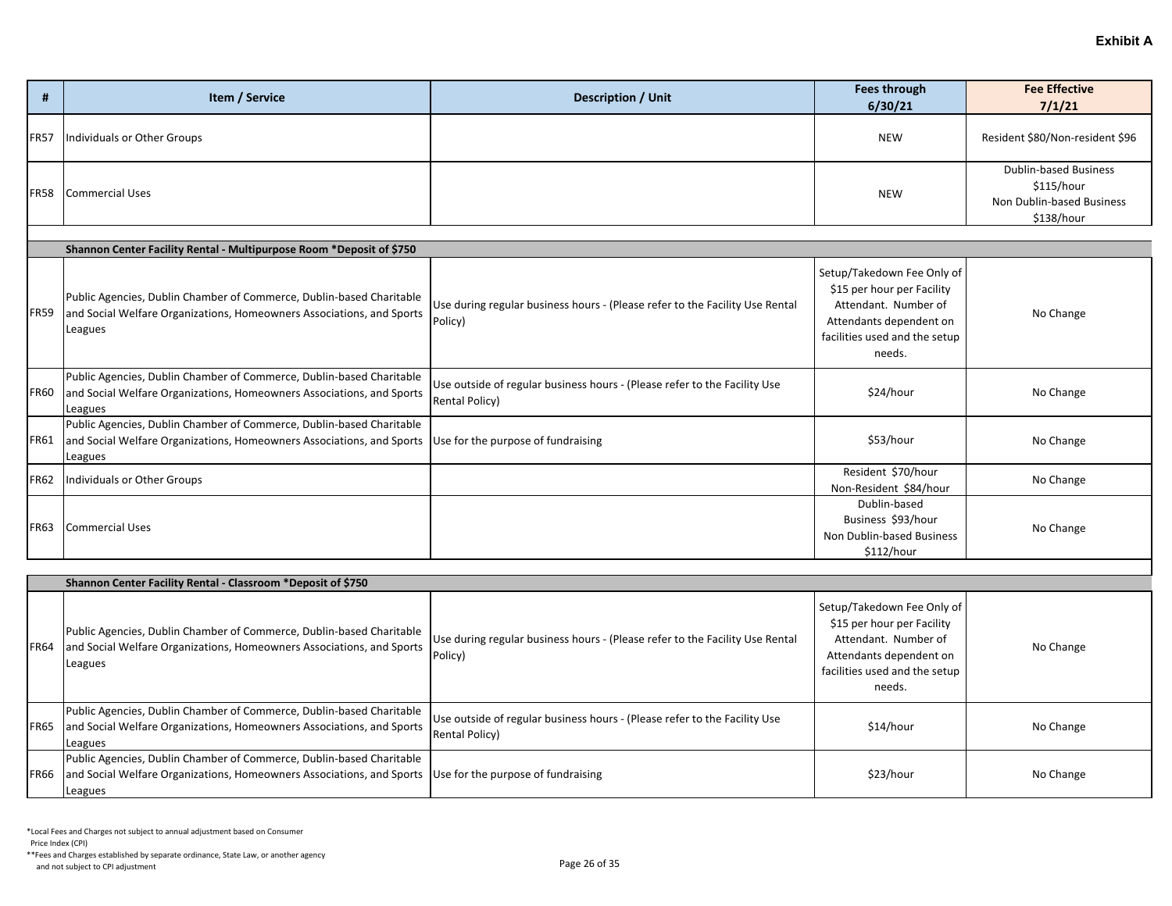| #           | Item / Service              | <b>Description / Unit</b> | <b>Fees through</b><br>6/30/21 | <b>Fee Effective</b><br>7/1/21                                                        |
|-------------|-----------------------------|---------------------------|--------------------------------|---------------------------------------------------------------------------------------|
| <b>FR57</b> | Individuals or Other Groups |                           | <b>NEW</b>                     | Resident \$80/Non-resident \$96                                                       |
|             | FR58 Commercial Uses        |                           | NEW                            | <b>Dublin-based Business</b><br>\$115/hour<br>Non Dublin-based Business<br>\$138/hour |

|             | Shannon Center Facility Rental - Multipurpose Room *Deposit of \$750                                                                                     |                                                                                             |                                                                                                                                                        |           |  |  |
|-------------|----------------------------------------------------------------------------------------------------------------------------------------------------------|---------------------------------------------------------------------------------------------|--------------------------------------------------------------------------------------------------------------------------------------------------------|-----------|--|--|
| <b>FR59</b> | Public Agencies, Dublin Chamber of Commerce, Dublin-based Charitable<br>and Social Welfare Organizations, Homeowners Associations, and Sports<br>Leagues | Use during regular business hours - (Please refer to the Facility Use Rental<br>Policy)     | Setup/Takedown Fee Only of<br>\$15 per hour per Facility<br>Attendant. Number of<br>Attendants dependent on<br>facilities used and the setup<br>needs. | No Change |  |  |
| <b>FR60</b> | Public Agencies, Dublin Chamber of Commerce, Dublin-based Charitable<br>and Social Welfare Organizations, Homeowners Associations, and Sports<br>Leagues | Use outside of regular business hours - (Please refer to the Facility Use<br>Rental Policy) | \$24/hour                                                                                                                                              | No Change |  |  |
| <b>FR61</b> | Public Agencies, Dublin Chamber of Commerce, Dublin-based Charitable<br>and Social Welfare Organizations, Homeowners Associations, and Sports<br>Leagues | Use for the purpose of fundraising                                                          | \$53/hour                                                                                                                                              | No Change |  |  |
| <b>FR62</b> | Individuals or Other Groups                                                                                                                              |                                                                                             | Resident \$70/hour<br>Non-Resident \$84/hour                                                                                                           | No Change |  |  |
| <b>FR63</b> | <b>Commercial Uses</b>                                                                                                                                   |                                                                                             | Dublin-based<br>Business \$93/hour<br>Non Dublin-based Business<br>\$112/hour                                                                          | No Change |  |  |

|             | Shannon Center Facility Rental - Classroom *Deposit of \$750                                                                                                                                  |                                                                                                     |                                                                                                                                                        |           |  |
|-------------|-----------------------------------------------------------------------------------------------------------------------------------------------------------------------------------------------|-----------------------------------------------------------------------------------------------------|--------------------------------------------------------------------------------------------------------------------------------------------------------|-----------|--|
| <b>FR64</b> | Public Agencies, Dublin Chamber of Commerce, Dublin-based Charitable<br>and Social Welfare Organizations, Homeowners Associations, and Sports<br>Leagues                                      | Use during regular business hours - (Please refer to the Facility Use Rental<br>Policy)             | Setup/Takedown Fee Only of<br>\$15 per hour per Facility<br>Attendant. Number of<br>Attendants dependent on<br>facilities used and the setup<br>needs. | No Change |  |
| <b>FR65</b> | Public Agencies, Dublin Chamber of Commerce, Dublin-based Charitable<br>and Social Welfare Organizations, Homeowners Associations, and Sports<br>Leagues                                      | Use outside of regular business hours - (Please refer to the Facility Use<br><b>Rental Policy</b> ) | \$14/hour                                                                                                                                              | No Change |  |
| <b>FR66</b> | Public Agencies, Dublin Chamber of Commerce, Dublin-based Charitable<br>and Social Welfare Organizations, Homeowners Associations, and Sports   Use for the purpose of fundraising<br>Leagues |                                                                                                     | \$23/hour                                                                                                                                              | No Change |  |

Price Index (CPI)

\*\*Fees and Charges established by separate ordinance, State Law, or another agency And not subject to CPI adjustment<br>and not subject to CPI adjustment<br>
Page 26 of 35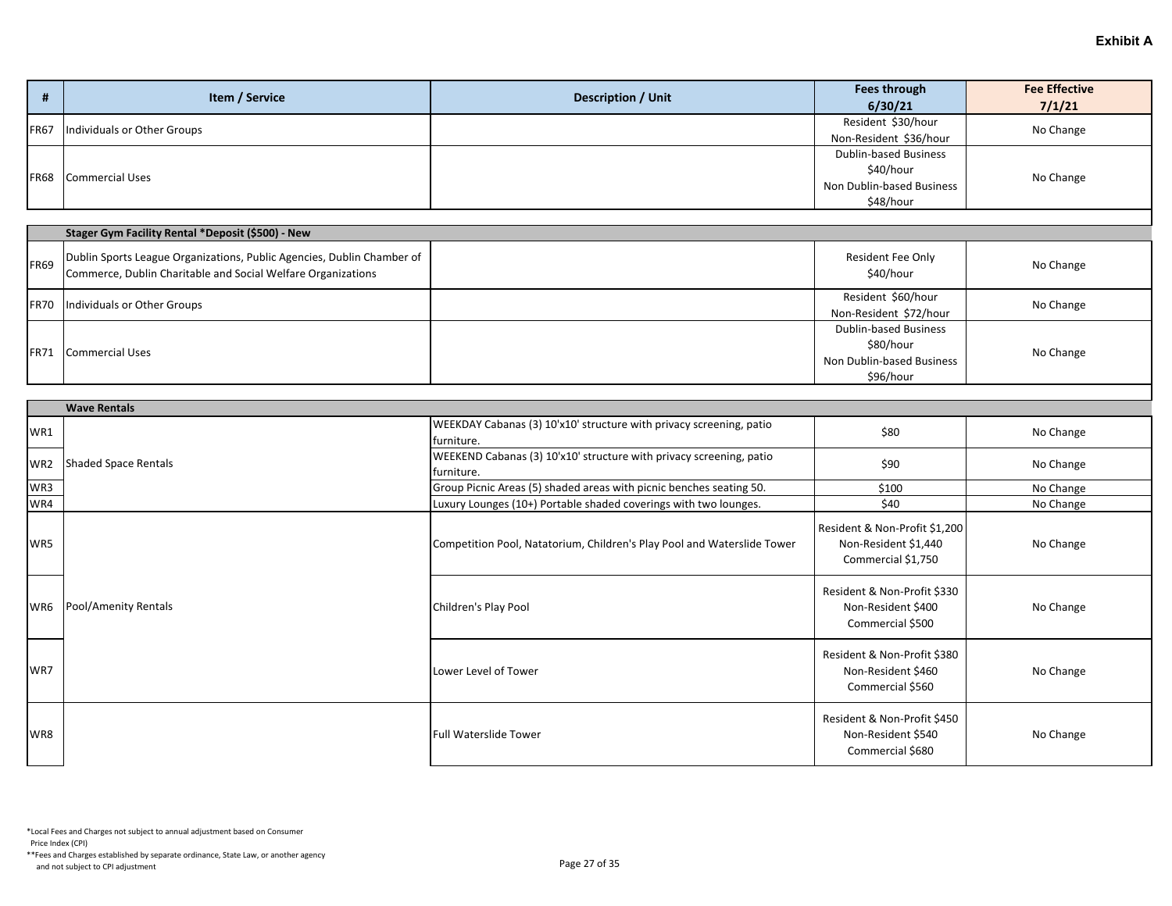| Ħ           | Item / Service              | <b>Description / Unit</b> | Fees through<br>6/30/21                                                             | <b>Fee Effective</b><br>7/1/21 |
|-------------|-----------------------------|---------------------------|-------------------------------------------------------------------------------------|--------------------------------|
| <b>FR67</b> | Individuals or Other Groups |                           | Resident \$30/hour<br>Non-Resident \$36/hour                                        | No Change                      |
|             | <b>FR68</b> Commercial Uses |                           | <b>Dublin-based Business</b><br>\$40/hour<br>Non Dublin-based Business<br>\$48/hour | No Change                      |

|             | Stager Gym Facility Rental *Deposit (\$500) - New                                                                                      |                                                                              |           |
|-------------|----------------------------------------------------------------------------------------------------------------------------------------|------------------------------------------------------------------------------|-----------|
| <b>FR69</b> | Dublin Sports League Organizations, Public Agencies, Dublin Chamber of<br>Commerce, Dublin Charitable and Social Welfare Organizations | Resident Fee Only<br>\$40/hour                                               | No Change |
| <b>FR70</b> | Individuals or Other Groups                                                                                                            | Resident \$60/hour<br>Non-Resident \$72/hour                                 | No Change |
| <b>FR71</b> | Commercial Uses                                                                                                                        | Dublin-based Business<br>\$80/hour<br>Non Dublin-based Business<br>\$96/hour | No Change |

|                 | <b>Wave Rentals</b>  |                                                                                   |                                                                             |           |  |
|-----------------|----------------------|-----------------------------------------------------------------------------------|-----------------------------------------------------------------------------|-----------|--|
| WR1             |                      | WEEKDAY Cabanas (3) 10'x10' structure with privacy screening, patio<br>furniture. | \$80                                                                        | No Change |  |
| WR <sub>2</sub> | Shaded Space Rentals | WEEKEND Cabanas (3) 10'x10' structure with privacy screening, patio<br>furniture. | \$90                                                                        | No Change |  |
| WR3             |                      | Group Picnic Areas (5) shaded areas with picnic benches seating 50.               | \$100                                                                       | No Change |  |
| WR4             |                      | Luxury Lounges (10+) Portable shaded coverings with two lounges.                  | \$40                                                                        | No Change |  |
| WR5             |                      | Competition Pool, Natatorium, Children's Play Pool and Waterslide Tower           | Resident & Non-Profit \$1,200<br>Non-Resident \$1,440<br>Commercial \$1,750 | No Change |  |
| WR6             | Pool/Amenity Rentals | Children's Play Pool                                                              | Resident & Non-Profit \$330<br>Non-Resident \$400<br>Commercial \$500       | No Change |  |
| WR7             |                      | Lower Level of Tower                                                              | Resident & Non-Profit \$380<br>Non-Resident \$460<br>Commercial \$560       | No Change |  |
| WR8             |                      | <b>Full Waterslide Tower</b>                                                      | Resident & Non-Profit \$450<br>Non-Resident \$540<br>Commercial \$680       | No Change |  |

Price Index (CPI)

\*\*Fees and Charges established by separate ordinance, State Law, or another agency And not subject to CPI adjustment<br>and not subject to CPI adjustment<br>
Page 27 of 35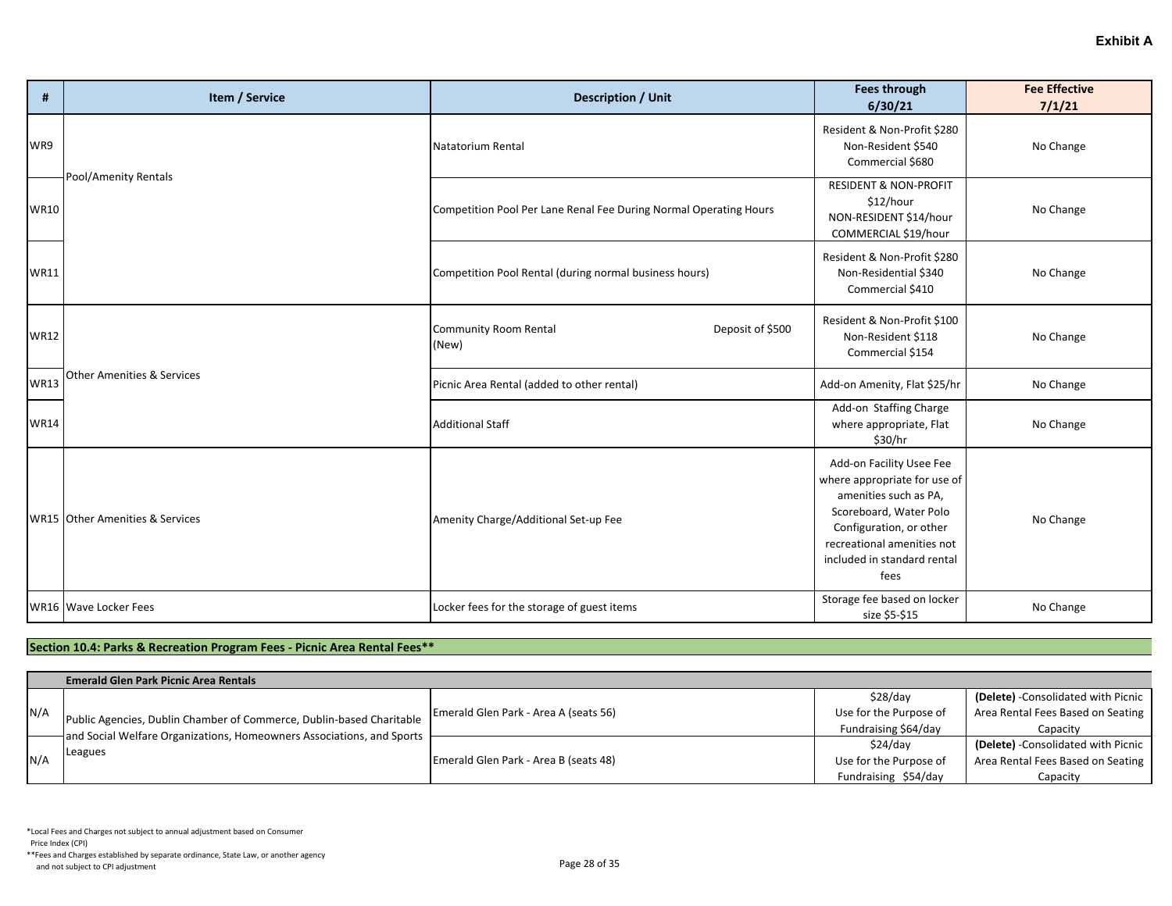| #           | Item / Service                        | <b>Description / Unit</b>                                         | <b>Fees through</b><br>6/30/21                                                                                                                                                                              | <b>Fee Effective</b><br>7/1/21 |
|-------------|---------------------------------------|-------------------------------------------------------------------|-------------------------------------------------------------------------------------------------------------------------------------------------------------------------------------------------------------|--------------------------------|
| WR9         |                                       | Natatorium Rental                                                 | Resident & Non-Profit \$280<br>Non-Resident \$540<br>Commercial \$680                                                                                                                                       | No Change                      |
| <b>WR10</b> | Pool/Amenity Rentals                  | Competition Pool Per Lane Renal Fee During Normal Operating Hours | <b>RESIDENT &amp; NON-PROFIT</b><br>\$12/hour<br>NON-RESIDENT \$14/hour<br>COMMERCIAL \$19/hour                                                                                                             | No Change                      |
| <b>WR11</b> |                                       | Competition Pool Rental (during normal business hours)            | Resident & Non-Profit \$280<br>Non-Residential \$340<br>Commercial \$410                                                                                                                                    | No Change                      |
| <b>WR12</b> |                                       | <b>Community Room Rental</b><br>Deposit of \$500<br>(New)         | Resident & Non-Profit \$100<br>Non-Resident \$118<br>Commercial \$154                                                                                                                                       | No Change                      |
| <b>WR13</b> | <b>Other Amenities &amp; Services</b> | Picnic Area Rental (added to other rental)                        | Add-on Amenity, Flat \$25/hr                                                                                                                                                                                | No Change                      |
| <b>WR14</b> |                                       | <b>Additional Staff</b>                                           | Add-on Staffing Charge<br>where appropriate, Flat<br>\$30/hr                                                                                                                                                | No Change                      |
|             | WR15 Other Amenities & Services       | Amenity Charge/Additional Set-up Fee                              | Add-on Facility Usee Fee<br>where appropriate for use of<br>amenities such as PA,<br>Scoreboard, Water Polo<br>Configuration, or other<br>recreational amenities not<br>included in standard rental<br>fees | No Change                      |
|             | WR16 Wave Locker Fees                 | Locker fees for the storage of guest items                        | Storage fee based on locker<br>size \$5-\$15                                                                                                                                                                | No Change                      |

# **Section 10.4: Parks & Recreation Program Fees - Picnic Area Rental Fees\*\***

|     | <b>Emerald Glen Park Picnic Area Rentals</b>                          |                                       |                        |                                     |
|-----|-----------------------------------------------------------------------|---------------------------------------|------------------------|-------------------------------------|
|     |                                                                       |                                       | \$28/day               | (Delete) - Consolidated with Picnic |
| N/A | Public Agencies, Dublin Chamber of Commerce, Dublin-based Charitable  | Emerald Glen Park - Area A (seats 56) | Use for the Purpose of | Area Rental Fees Based on Seating   |
|     | and Social Welfare Organizations, Homeowners Associations, and Sports |                                       | Fundraising \$64/day   | Capacity                            |
| N/A |                                                                       |                                       | \$24/day               | (Delete) - Consolidated with Picnic |
|     | Leagues                                                               | Emerald Glen Park - Area B (seats 48) | Use for the Purpose of | Area Rental Fees Based on Seating   |
|     |                                                                       |                                       | Fundraising \$54/day   | Capacity                            |

Price Index (CPI)

\*\*Fees and Charges established by separate ordinance, State Law, or another agency And not subject to CPI adjustment<br>and not subject to CPI adjustment<br>
Page 28 of 35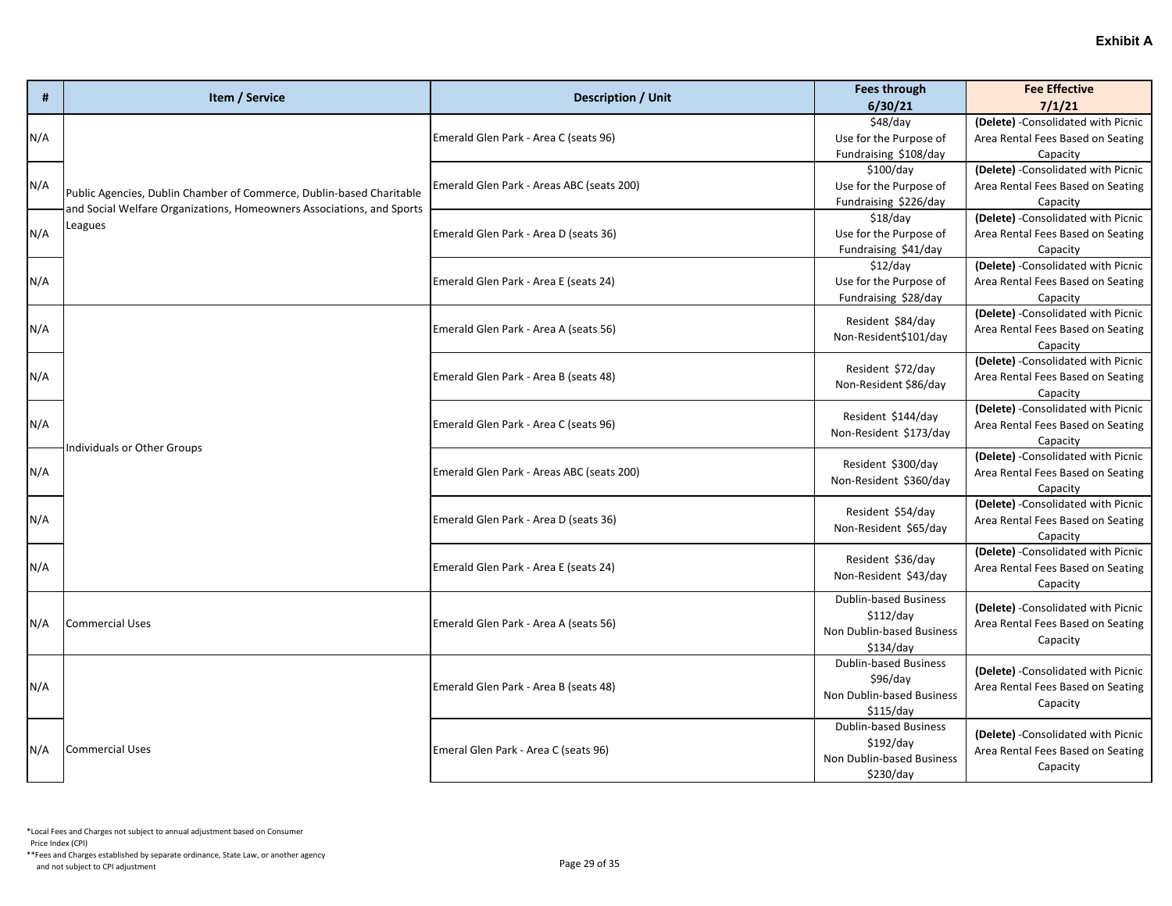| #   | Item / Service                                                                                                                                           | <b>Description / Unit</b>                 | <b>Fees through</b><br>6/30/21                                                      | <b>Fee Effective</b><br>7/1/21                                                       |
|-----|----------------------------------------------------------------------------------------------------------------------------------------------------------|-------------------------------------------|-------------------------------------------------------------------------------------|--------------------------------------------------------------------------------------|
| N/A |                                                                                                                                                          | Emerald Glen Park - Area C (seats 96)     | \$48/day<br>Use for the Purpose of                                                  | (Delete) - Consolidated with Picnic<br>Area Rental Fees Based on Seating             |
| N/A |                                                                                                                                                          | Emerald Glen Park - Areas ABC (seats 200) | Fundraising \$108/day<br>\$100/day<br>Use for the Purpose of                        | Capacity<br>(Delete) - Consolidated with Picnic<br>Area Rental Fees Based on Seating |
|     | Public Agencies, Dublin Chamber of Commerce, Dublin-based Charitable<br>and Social Welfare Organizations, Homeowners Associations, and Sports<br>Leagues |                                           | Fundraising \$226/day<br>$$18$ /day                                                 | Capacity<br>(Delete) - Consolidated with Picnic                                      |
| N/A |                                                                                                                                                          | Emerald Glen Park - Area D (seats 36)     | Use for the Purpose of<br>Fundraising \$41/day<br>$$12$ /day                        | Area Rental Fees Based on Seating<br>Capacity<br>(Delete) - Consolidated with Picnic |
| N/A |                                                                                                                                                          | Emerald Glen Park - Area E (seats 24)     | Use for the Purpose of<br>Fundraising \$28/day                                      | Area Rental Fees Based on Seating<br>Capacity                                        |
| N/A |                                                                                                                                                          | Emerald Glen Park - Area A (seats 56)     | Resident \$84/day<br>Non-Resident\$101/day                                          | (Delete) - Consolidated with Picnic<br>Area Rental Fees Based on Seating<br>Capacity |
| N/A |                                                                                                                                                          | Emerald Glen Park - Area B (seats 48)     | Resident \$72/day<br>Non-Resident \$86/day                                          | (Delete) - Consolidated with Picnic<br>Area Rental Fees Based on Seating<br>Capacity |
| N/A | Individuals or Other Groups                                                                                                                              | Emerald Glen Park - Area C (seats 96)     | Resident \$144/day<br>Non-Resident \$173/day                                        | (Delete) - Consolidated with Picnic<br>Area Rental Fees Based on Seating<br>Capacity |
| N/A |                                                                                                                                                          | Emerald Glen Park - Areas ABC (seats 200) | Resident \$300/day<br>Non-Resident \$360/day                                        | (Delete) - Consolidated with Picnic<br>Area Rental Fees Based on Seating<br>Capacity |
| N/A |                                                                                                                                                          | Emerald Glen Park - Area D (seats 36)     | Resident \$54/day<br>Non-Resident \$65/day                                          | (Delete) - Consolidated with Picnic<br>Area Rental Fees Based on Seating<br>Capacity |
| N/A |                                                                                                                                                          | Emerald Glen Park - Area E (seats 24)     | Resident \$36/day<br>Non-Resident \$43/day                                          | (Delete) - Consolidated with Picnic<br>Area Rental Fees Based on Seating<br>Capacity |
| N/A | <b>Commercial Uses</b>                                                                                                                                   | Emerald Glen Park - Area A (seats 56)     | <b>Dublin-based Business</b><br>\$112/day<br>Non Dublin-based Business<br>\$134/day | (Delete) - Consolidated with Picnic<br>Area Rental Fees Based on Seating<br>Capacity |
| N/A |                                                                                                                                                          | Emerald Glen Park - Area B (seats 48)     | <b>Dublin-based Business</b><br>\$96/day<br>Non Dublin-based Business<br>\$115/day  | (Delete) - Consolidated with Picnic<br>Area Rental Fees Based on Seating<br>Capacity |
| N/A | <b>Commercial Uses</b>                                                                                                                                   | Emeral Glen Park - Area C (seats 96)      | <b>Dublin-based Business</b><br>\$192/day<br>Non Dublin-based Business<br>\$230/day | (Delete) - Consolidated with Picnic<br>Area Rental Fees Based on Seating<br>Capacity |

Price Index (CPI)

\*\*Fees and Charges established by separate ordinance, State Law, or another agency And not subject to CPI adjustment<br>and not subject to CPI adjustment<br>
Page 29 of 35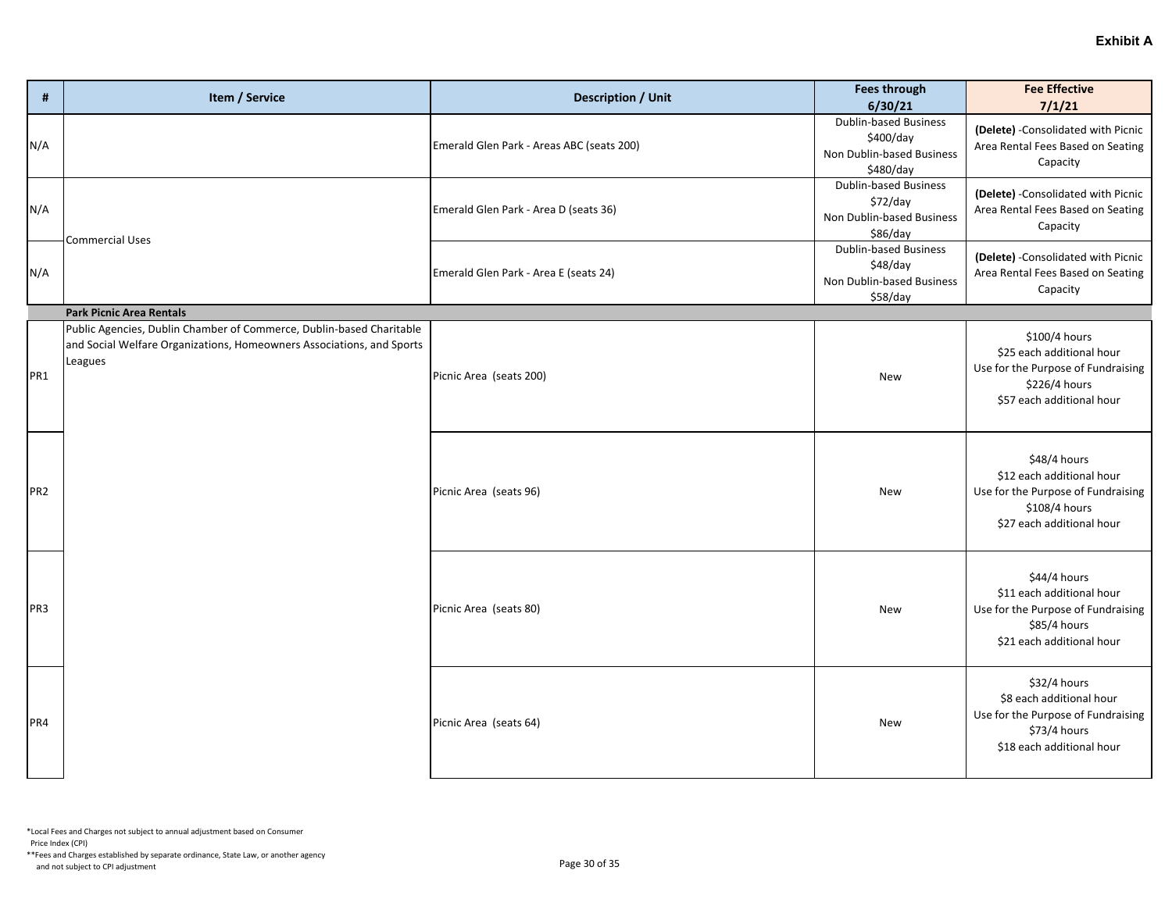| #               | Item / Service                                                                                                                                           | <b>Description / Unit</b>                 | <b>Fees through</b><br>6/30/21                                                      | <b>Fee Effective</b><br>7/1/21                                                                                                 |
|-----------------|----------------------------------------------------------------------------------------------------------------------------------------------------------|-------------------------------------------|-------------------------------------------------------------------------------------|--------------------------------------------------------------------------------------------------------------------------------|
| N/A             |                                                                                                                                                          | Emerald Glen Park - Areas ABC (seats 200) | <b>Dublin-based Business</b><br>\$400/day<br>Non Dublin-based Business<br>\$480/day | (Delete) - Consolidated with Picnic<br>Area Rental Fees Based on Seating<br>Capacity                                           |
| N/A             | <b>Commercial Uses</b>                                                                                                                                   | Emerald Glen Park - Area D (seats 36)     | <b>Dublin-based Business</b><br>\$72/day<br>Non Dublin-based Business<br>\$86/day   | (Delete) - Consolidated with Picnic<br>Area Rental Fees Based on Seating<br>Capacity                                           |
| N/A             |                                                                                                                                                          | Emerald Glen Park - Area E (seats 24)     | <b>Dublin-based Business</b><br>\$48/day<br>Non Dublin-based Business<br>\$58/day   | (Delete) - Consolidated with Picnic<br>Area Rental Fees Based on Seating<br>Capacity                                           |
|                 | <b>Park Picnic Area Rentals</b>                                                                                                                          |                                           |                                                                                     |                                                                                                                                |
| PR <sub>1</sub> | Public Agencies, Dublin Chamber of Commerce, Dublin-based Charitable<br>and Social Welfare Organizations, Homeowners Associations, and Sports<br>Leagues | Picnic Area (seats 200)                   | New                                                                                 | \$100/4 hours<br>\$25 each additional hour<br>Use for the Purpose of Fundraising<br>\$226/4 hours<br>\$57 each additional hour |
| PR <sub>2</sub> |                                                                                                                                                          | Picnic Area (seats 96)                    | New                                                                                 | \$48/4 hours<br>\$12 each additional hour<br>Use for the Purpose of Fundraising<br>\$108/4 hours<br>\$27 each additional hour  |
| PR <sub>3</sub> |                                                                                                                                                          | Picnic Area (seats 80)                    | New                                                                                 | \$44/4 hours<br>\$11 each additional hour<br>Use for the Purpose of Fundraising<br>\$85/4 hours<br>\$21 each additional hour   |
| PR4             |                                                                                                                                                          | Picnic Area (seats 64)                    | New                                                                                 | \$32/4 hours<br>\$8 each additional hour<br>Use for the Purpose of Fundraising<br>\$73/4 hours<br>\$18 each additional hour    |

\*Local Fees and Charges not subject to annual adjustment based on Consumer

Price Index (CPI)

\*\*Fees and Charges established by separate ordinance, State Law, or another agency And not subject to CPI adjustment<br>and not subject to CPI adjustment<br>
Page 30 of 35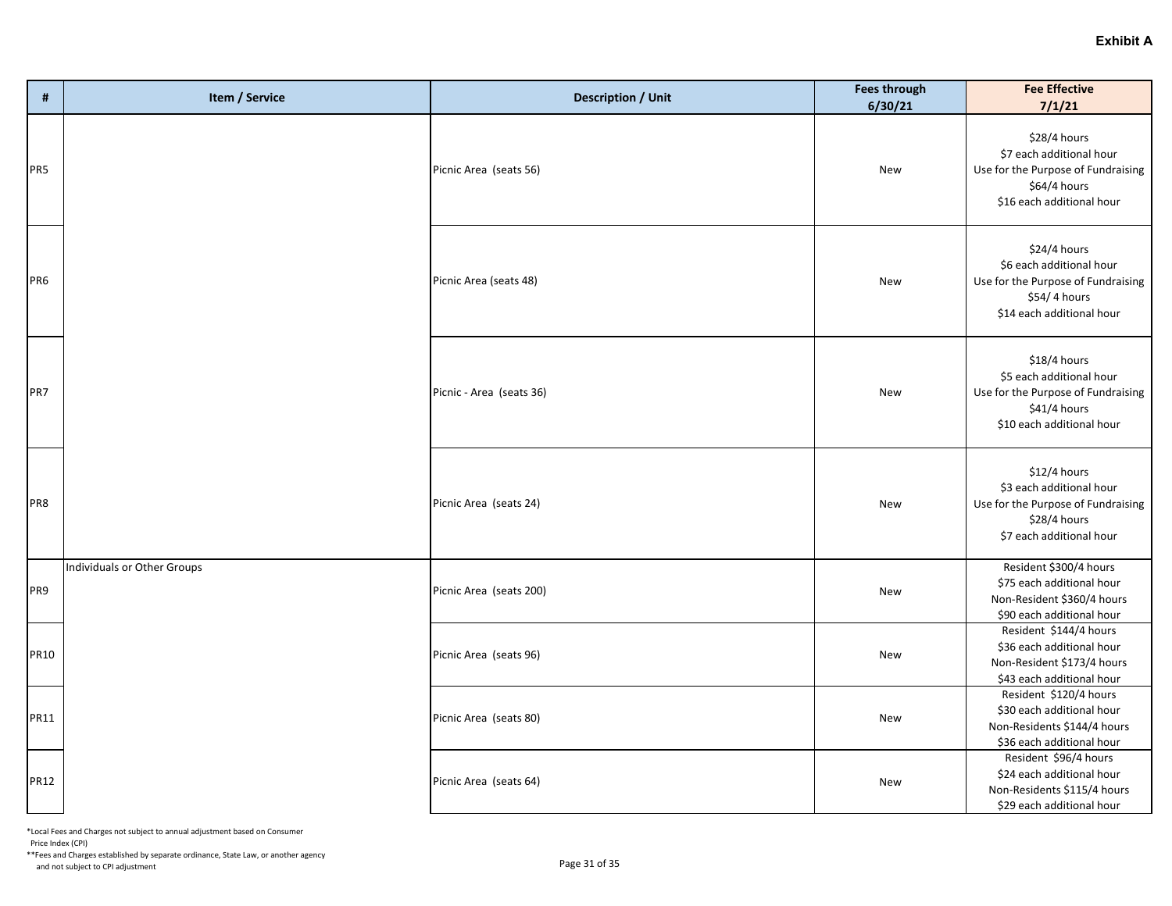| #           | Item / Service              | <b>Description / Unit</b> | <b>Fees through</b><br>6/30/21 | <b>Fee Effective</b><br>7/1/21                                                                                              |
|-------------|-----------------------------|---------------------------|--------------------------------|-----------------------------------------------------------------------------------------------------------------------------|
| PR5         |                             | Picnic Area (seats 56)    | New                            | \$28/4 hours<br>\$7 each additional hour<br>Use for the Purpose of Fundraising<br>\$64/4 hours<br>\$16 each additional hour |
| PR6         |                             | Picnic Area (seats 48)    | New                            | \$24/4 hours<br>\$6 each additional hour<br>Use for the Purpose of Fundraising<br>\$54/4 hours<br>\$14 each additional hour |
| PR7         |                             | Picnic - Area (seats 36)  | New                            | \$18/4 hours<br>\$5 each additional hour<br>Use for the Purpose of Fundraising<br>\$41/4 hours<br>\$10 each additional hour |
| PR8         |                             | Picnic Area (seats 24)    | New                            | \$12/4 hours<br>\$3 each additional hour<br>Use for the Purpose of Fundraising<br>\$28/4 hours<br>\$7 each additional hour  |
| PR9         | Individuals or Other Groups | Picnic Area (seats 200)   | New                            | Resident \$300/4 hours<br>\$75 each additional hour<br>Non-Resident \$360/4 hours<br>\$90 each additional hour              |
| <b>PR10</b> |                             | Picnic Area (seats 96)    | New                            | Resident \$144/4 hours<br>\$36 each additional hour<br>Non-Resident \$173/4 hours<br>\$43 each additional hour              |
| <b>PR11</b> |                             | Picnic Area (seats 80)    | New                            | Resident \$120/4 hours<br>\$30 each additional hour<br>Non-Residents \$144/4 hours<br>\$36 each additional hour             |
| <b>PR12</b> |                             | Picnic Area (seats 64)    | New                            | Resident \$96/4 hours<br>\$24 each additional hour<br>Non-Residents \$115/4 hours<br>\$29 each additional hour              |

Price Index (CPI)

\*\*Fees and Charges established by separate ordinance, State Law, or another agency And not subject to CPI adjustment<br>and not subject to CPI adjustment<br>
Page 31 of 35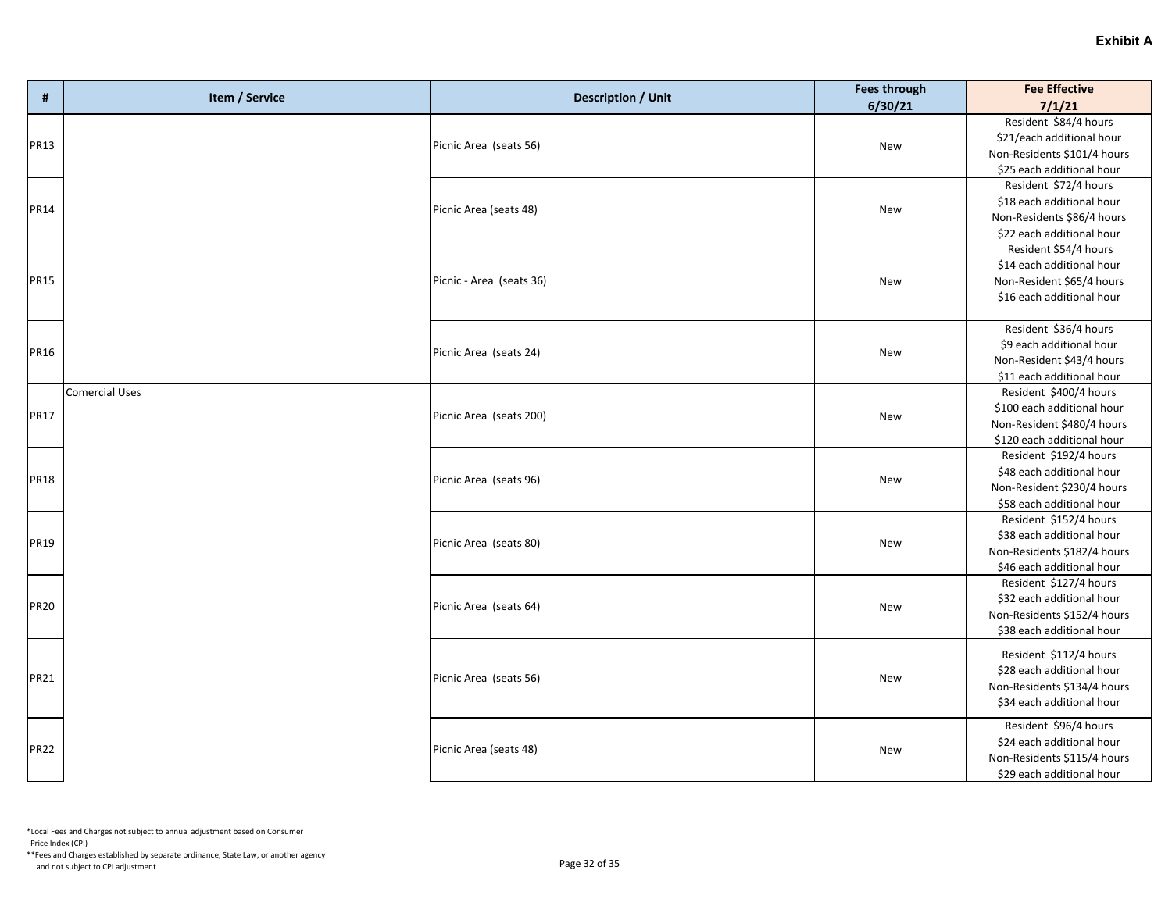| #           | Item / Service        | <b>Description / Unit</b> | <b>Fees through</b><br>6/30/21 | <b>Fee Effective</b><br>7/1/21                                                                                   |
|-------------|-----------------------|---------------------------|--------------------------------|------------------------------------------------------------------------------------------------------------------|
| PR13        |                       | Picnic Area (seats 56)    | New                            | Resident \$84/4 hours<br>\$21/each additional hour<br>Non-Residents \$101/4 hours<br>\$25 each additional hour   |
| PR14        |                       | Picnic Area (seats 48)    | <b>New</b>                     | Resident \$72/4 hours<br>\$18 each additional hour<br>Non-Residents \$86/4 hours<br>\$22 each additional hour    |
| <b>PR15</b> |                       | Picnic - Area (seats 36)  | New                            | Resident \$54/4 hours<br>\$14 each additional hour<br>Non-Resident \$65/4 hours<br>\$16 each additional hour     |
| PR16        |                       | Picnic Area (seats 24)    | New                            | Resident \$36/4 hours<br>\$9 each additional hour<br>Non-Resident \$43/4 hours<br>\$11 each additional hour      |
| PR17        | <b>Comercial Uses</b> | Picnic Area (seats 200)   | <b>New</b>                     | Resident \$400/4 hours<br>\$100 each additional hour<br>Non-Resident \$480/4 hours<br>\$120 each additional hour |
| <b>PR18</b> |                       | Picnic Area (seats 96)    | New                            | Resident \$192/4 hours<br>\$48 each additional hour<br>Non-Resident \$230/4 hours<br>\$58 each additional hour   |
| PR19        |                       | Picnic Area (seats 80)    | New                            | Resident \$152/4 hours<br>\$38 each additional hour<br>Non-Residents \$182/4 hours<br>\$46 each additional hour  |
| <b>PR20</b> |                       | Picnic Area (seats 64)    | New                            | Resident \$127/4 hours<br>\$32 each additional hour<br>Non-Residents \$152/4 hours<br>\$38 each additional hour  |
| PR21        |                       | Picnic Area (seats 56)    | New                            | Resident \$112/4 hours<br>\$28 each additional hour<br>Non-Residents \$134/4 hours<br>\$34 each additional hour  |
| <b>PR22</b> |                       | Picnic Area (seats 48)    | New                            | Resident \$96/4 hours<br>\$24 each additional hour<br>Non-Residents \$115/4 hours<br>\$29 each additional hour   |

Price Index (CPI)

\*\*Fees and Charges established by separate ordinance, State Law, or another agency And not subject to CPI adjustment<br>and not subject to CPI adjustment<br>
Page 32 of 35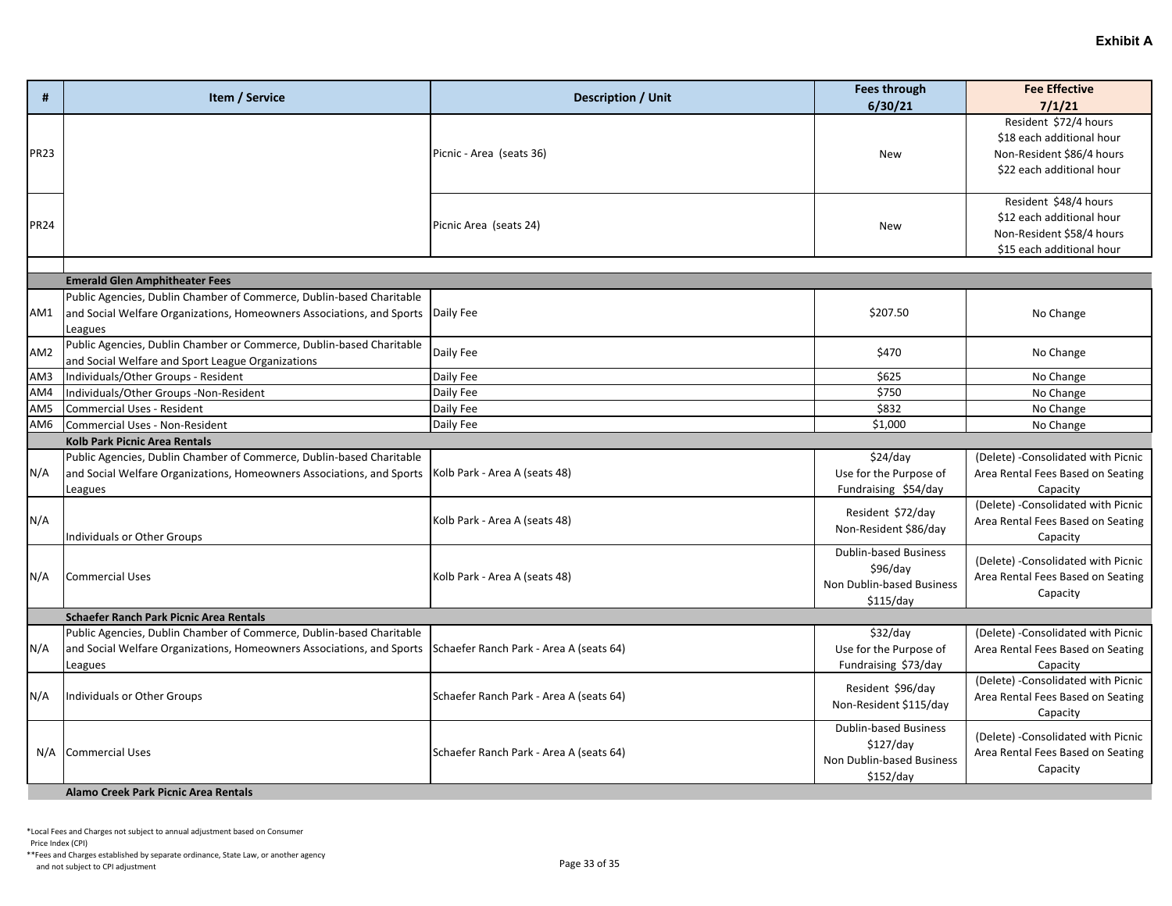| #               | Item / Service                                                                                                                                                                           | <b>Description / Unit</b>               | <b>Fees through</b><br>6/30/21                                                      | <b>Fee Effective</b><br>7/1/21                                                                               |
|-----------------|------------------------------------------------------------------------------------------------------------------------------------------------------------------------------------------|-----------------------------------------|-------------------------------------------------------------------------------------|--------------------------------------------------------------------------------------------------------------|
| <b>PR23</b>     |                                                                                                                                                                                          | Picnic - Area (seats 36)                | <b>New</b>                                                                          | Resident \$72/4 hours<br>\$18 each additional hour<br>Non-Resident \$86/4 hours<br>\$22 each additional hour |
| <b>PR24</b>     |                                                                                                                                                                                          | Picnic Area (seats 24)                  | <b>New</b>                                                                          | Resident \$48/4 hours<br>\$12 each additional hour<br>Non-Resident \$58/4 hours<br>\$15 each additional hour |
|                 | <b>Emerald Glen Amphitheater Fees</b>                                                                                                                                                    |                                         |                                                                                     |                                                                                                              |
| AM1             | Public Agencies, Dublin Chamber of Commerce, Dublin-based Charitable<br>and Social Welfare Organizations, Homeowners Associations, and Sports<br>Leagues                                 | Daily Fee                               | \$207.50                                                                            | No Change                                                                                                    |
| AM <sub>2</sub> | Public Agencies, Dublin Chamber or Commerce, Dublin-based Charitable<br>and Social Welfare and Sport League Organizations                                                                | Daily Fee                               | \$470                                                                               | No Change                                                                                                    |
| AM3             | Individuals/Other Groups - Resident                                                                                                                                                      | Daily Fee                               | \$625                                                                               | No Change                                                                                                    |
| AM4             | Individuals/Other Groups -Non-Resident                                                                                                                                                   | Daily Fee                               | \$750                                                                               | No Change                                                                                                    |
| AM5             | Commercial Uses - Resident                                                                                                                                                               | Daily Fee                               | \$832                                                                               | No Change                                                                                                    |
| AM6             | Commercial Uses - Non-Resident                                                                                                                                                           | Daily Fee                               | \$1,000                                                                             | No Change                                                                                                    |
|                 | Kolb Park Picnic Area Rentals                                                                                                                                                            |                                         |                                                                                     |                                                                                                              |
| N/A             | Public Agencies, Dublin Chamber of Commerce, Dublin-based Charitable<br>and Social Welfare Organizations, Homeowners Associations, and Sports   Kolb Park - Area A (seats 48)<br>Leagues |                                         | \$24/day<br>Use for the Purpose of<br>Fundraising \$54/day                          | (Delete) - Consolidated with Picnic<br>Area Rental Fees Based on Seating<br>Capacity                         |
| N/A             | Individuals or Other Groups                                                                                                                                                              | Kolb Park - Area A (seats 48)           | Resident \$72/day<br>Non-Resident \$86/day                                          | (Delete) - Consolidated with Picnic<br>Area Rental Fees Based on Seating<br>Capacity                         |
| N/A             | <b>Commercial Uses</b>                                                                                                                                                                   | Kolb Park - Area A (seats 48)           | <b>Dublin-based Business</b><br>\$96/day<br>Non Dublin-based Business<br>\$115/day  | (Delete) - Consolidated with Picnic<br>Area Rental Fees Based on Seating<br>Capacity                         |
|                 | Schaefer Ranch Park Picnic Area Rentals                                                                                                                                                  |                                         |                                                                                     |                                                                                                              |
| N/A             | Public Agencies, Dublin Chamber of Commerce, Dublin-based Charitable<br>and Social Welfare Organizations, Homeowners Associations, and Sports<br>Leagues                                 | Schaefer Ranch Park - Area A (seats 64) | \$32/day<br>Use for the Purpose of<br>Fundraising \$73/day                          | (Delete) - Consolidated with Picnic<br>Area Rental Fees Based on Seating<br>Capacity                         |
| N/A             | Individuals or Other Groups                                                                                                                                                              | Schaefer Ranch Park - Area A (seats 64) | Resident \$96/day<br>Non-Resident \$115/day                                         | (Delete) - Consolidated with Picnic<br>Area Rental Fees Based on Seating<br>Capacity                         |
| N/A             | <b>Commercial Uses</b>                                                                                                                                                                   | Schaefer Ranch Park - Area A (seats 64) | <b>Dublin-based Business</b><br>\$127/day<br>Non Dublin-based Business<br>\$152/day | (Delete) - Consolidated with Picnic<br>Area Rental Fees Based on Seating<br>Capacity                         |
|                 | Alamo Creek Park Picnic Area Rentals                                                                                                                                                     |                                         |                                                                                     |                                                                                                              |

Price Index (CPI)

\*\*Fees and Charges established by separate ordinance, State Law, or another agency And not subject to CPI adjustment<br>and not subject to CPI adjustment<br>
Page 33 of 35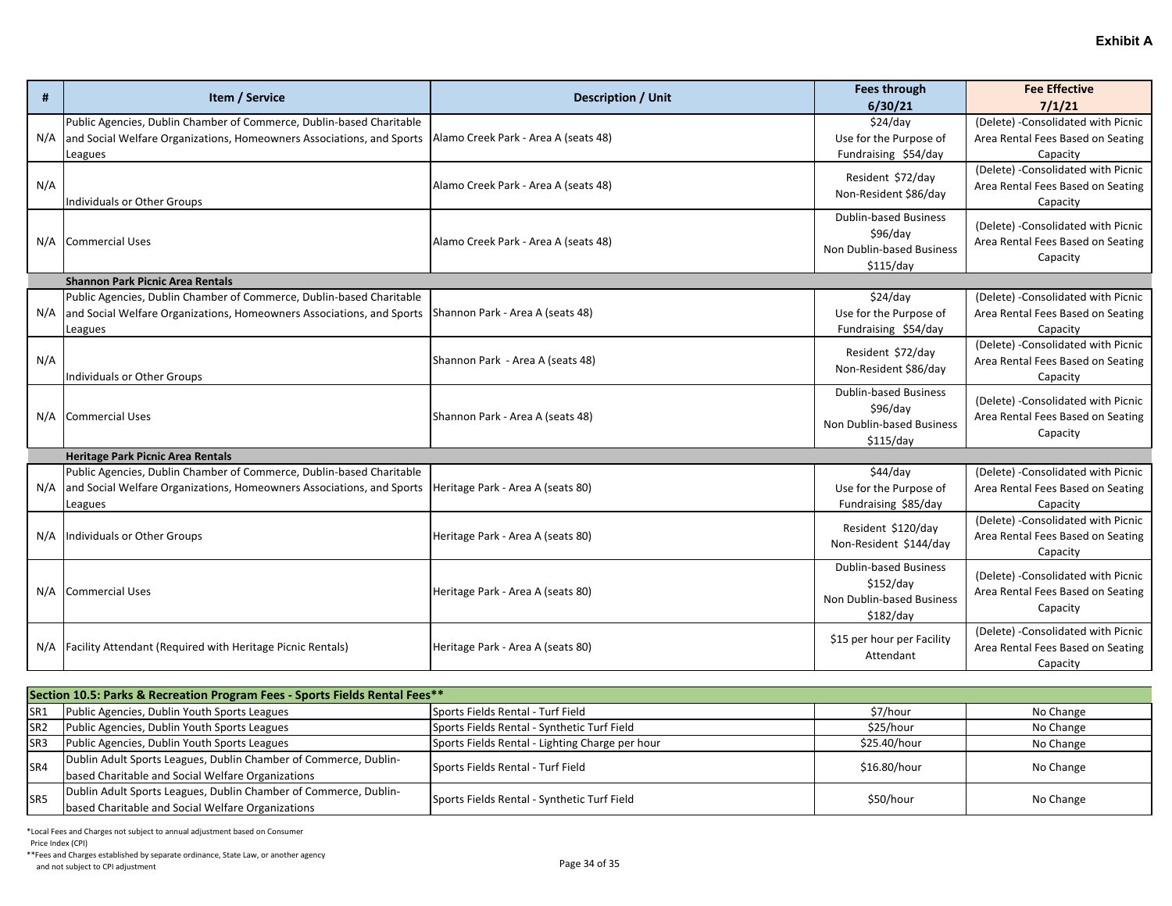| #   | Item / Service                                                                                                                                           | <b>Description / Unit</b>            | <b>Fees through</b>                                                                 | <b>Fee Effective</b>                                                                 |
|-----|----------------------------------------------------------------------------------------------------------------------------------------------------------|--------------------------------------|-------------------------------------------------------------------------------------|--------------------------------------------------------------------------------------|
|     |                                                                                                                                                          |                                      | 6/30/21                                                                             | 7/1/21                                                                               |
| N/A | Public Agencies, Dublin Chamber of Commerce, Dublin-based Charitable<br>and Social Welfare Organizations, Homeowners Associations, and Sports<br>Leagues | Alamo Creek Park - Area A (seats 48) | \$24/day<br>Use for the Purpose of<br>Fundraising \$54/day                          | (Delete) - Consolidated with Picnic<br>Area Rental Fees Based on Seating<br>Capacity |
| N/A | <b>Individuals or Other Groups</b>                                                                                                                       | Alamo Creek Park - Area A (seats 48) | Resident \$72/day<br>Non-Resident \$86/day                                          | (Delete) - Consolidated with Picnic<br>Area Rental Fees Based on Seating<br>Capacity |
| N/A | <b>Commercial Uses</b>                                                                                                                                   | Alamo Creek Park - Area A (seats 48) | <b>Dublin-based Business</b><br>\$96/day<br>Non Dublin-based Business<br>\$115/day  | (Delete) - Consolidated with Picnic<br>Area Rental Fees Based on Seating<br>Capacity |
|     | <b>Shannon Park Picnic Area Rentals</b>                                                                                                                  |                                      |                                                                                     |                                                                                      |
| N/A | Public Agencies, Dublin Chamber of Commerce, Dublin-based Charitable<br>and Social Welfare Organizations, Homeowners Associations, and Sports<br>Leagues | Shannon Park - Area A (seats 48)     | \$24/day<br>Use for the Purpose of<br>Fundraising \$54/day                          | (Delete) - Consolidated with Picnic<br>Area Rental Fees Based on Seating<br>Capacity |
| N/A | Individuals or Other Groups                                                                                                                              | Shannon Park - Area A (seats 48)     | Resident \$72/day<br>Non-Resident \$86/day                                          | (Delete) - Consolidated with Picnic<br>Area Rental Fees Based on Seating<br>Capacity |
| N/A | <b>Commercial Uses</b>                                                                                                                                   | Shannon Park - Area A (seats 48)     | <b>Dublin-based Business</b><br>\$96/day<br>Non Dublin-based Business<br>\$115/day  | (Delete) - Consolidated with Picnic<br>Area Rental Fees Based on Seating<br>Capacity |
|     | <b>Heritage Park Picnic Area Rentals</b>                                                                                                                 |                                      |                                                                                     |                                                                                      |
| N/A | Public Agencies, Dublin Chamber of Commerce, Dublin-based Charitable<br>and Social Welfare Organizations, Homeowners Associations, and Sports<br>Leagues | Heritage Park - Area A (seats 80)    | \$44/day<br>Use for the Purpose of<br>Fundraising \$85/day                          | (Delete) - Consolidated with Picnic<br>Area Rental Fees Based on Seating<br>Capacity |
| N/A | Individuals or Other Groups                                                                                                                              | Heritage Park - Area A (seats 80)    | Resident \$120/day<br>Non-Resident \$144/day                                        | (Delete) - Consolidated with Picnic<br>Area Rental Fees Based on Seating<br>Capacity |
| N/A | <b>Commercial Uses</b>                                                                                                                                   | Heritage Park - Area A (seats 80)    | <b>Dublin-based Business</b><br>\$152/day<br>Non Dublin-based Business<br>\$182/day | (Delete) - Consolidated with Picnic<br>Area Rental Fees Based on Seating<br>Capacity |
| N/A | <b>Facility Attendant (Required with Heritage Picnic Rentals)</b>                                                                                        | Heritage Park - Area A (seats 80)    | \$15 per hour per Facility<br>Attendant                                             | (Delete) - Consolidated with Picnic<br>Area Rental Fees Based on Seating<br>Capacity |

| Section 10.5: Parks & Recreation Program Fees - Sports Fields Rental Fees** |                                                                  |                                                 |              |           |
|-----------------------------------------------------------------------------|------------------------------------------------------------------|-------------------------------------------------|--------------|-----------|
| SR1                                                                         | Public Agencies, Dublin Youth Sports Leagues                     | Sports Fields Rental - Turf Field               | \$7/hour     | No Change |
| SR <sub>2</sub>                                                             | Public Agencies, Dublin Youth Sports Leagues                     | Sports Fields Rental - Synthetic Turf Field     | \$25/hour    | No Change |
| SR <sub>3</sub>                                                             | Public Agencies, Dublin Youth Sports Leagues                     | Sports Fields Rental - Lighting Charge per hour | \$25.40/hour | No Change |
| SR4                                                                         | Dublin Adult Sports Leagues, Dublin Chamber of Commerce, Dublin- | Sports Fields Rental - Turf Field               | \$16.80/hour | No Change |
|                                                                             | based Charitable and Social Welfare Organizations                |                                                 |              |           |
| SR <sub>5</sub>                                                             | Dublin Adult Sports Leagues, Dublin Chamber of Commerce, Dublin- | Sports Fields Rental - Synthetic Turf Field     | \$50/hour    | No Change |
|                                                                             | based Charitable and Social Welfare Organizations                |                                                 |              |           |

Price Index (CPI)

\*\*Fees and Charges established by separate ordinance, State Law, or another agency And not subject to CPI adjustment<br>and not subject to CPI adjustment<br>
Page 34 of 35